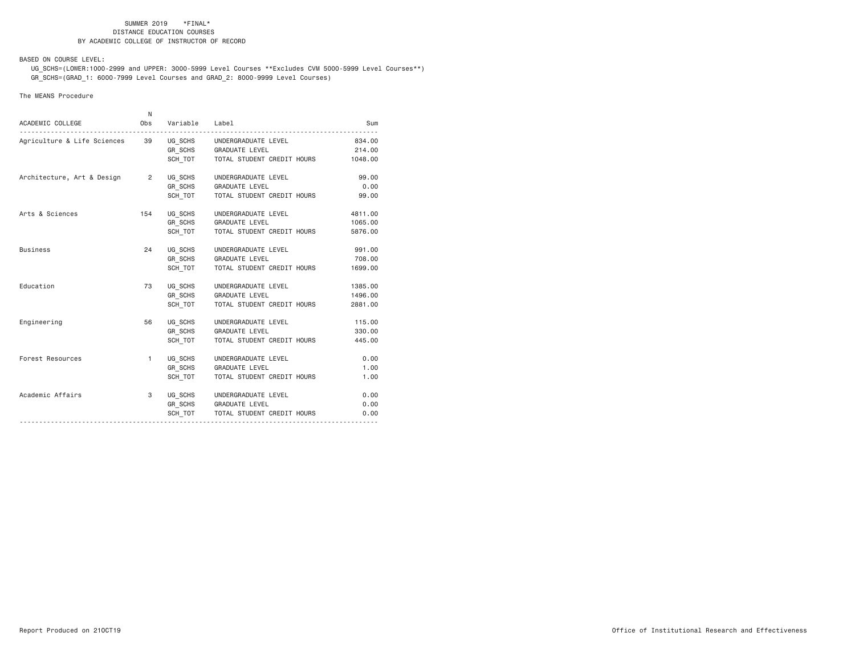BASED ON COURSE LEVEL:

 UG\_SCHS=(LOWER:1000-2999 and UPPER: 3000-5999 Level Courses \*\*Excludes CVM 5000-5999 Level Courses\*\*) GR\_SCHS=(GRAD\_1: 6000-7999 Level Courses and GRAD\_2: 8000-9999 Level Courses)

## The MEANS Procedure

| ACADEMIC COLLEGE                                           | N<br>Obs       | Variable | Label                                | Sum     |
|------------------------------------------------------------|----------------|----------|--------------------------------------|---------|
| Agriculture & Life Sciences 39 UG SCHS UNDERGRADUATE LEVEL |                |          |                                      | 834.00  |
|                                                            |                |          | GR SCHS GRADUATE LEVEL               | 214,00  |
|                                                            |                |          | SCH TOT   TOTAL STUDENT CREDIT HOURS | 1048.00 |
| Architecture, Art & Design                                 | $\overline{2}$ | UG SCHS  | UNDERGRADUATE LEVEL                  | 99,00   |
|                                                            |                | GR_SCHS  | <b>GRADUATE LEVEL</b>                | 0.00    |
|                                                            |                | SCH TOT  | TOTAL STUDENT CREDIT HOURS           | 99.00   |
| Arts & Sciences                                            | 154            | UG SCHS  | UNDERGRADUATE LEVEL                  | 4811.00 |
|                                                            |                |          | GR SCHS GRADUATE LEVEL               | 1065,00 |
|                                                            |                | SCH TOT  | TOTAL STUDENT CREDIT HOURS           | 5876.00 |
| <b>Business</b>                                            | 24             | UG SCHS  | UNDERGRADUATE LEVEL                  | 991.00  |
|                                                            |                | GR SCHS  | <b>GRADUATE LEVEL</b>                | 708.00  |
|                                                            |                | SCH_TOT  | TOTAL STUDENT CREDIT HOURS           | 1699,00 |
| Education                                                  | 73             | UG SCHS  | UNDERGRADUATE LEVEL                  | 1385.00 |
|                                                            |                |          | GR SCHS GRADUATE LEVEL               | 1496.00 |
|                                                            |                | SCH TOT  | TOTAL STUDENT CREDIT HOURS           | 2881.00 |
| Engineering                                                | 56             | UG SCHS  | UNDERGRADUATE LEVEL                  | 115.00  |
|                                                            |                | GR SCHS  | <b>GRADUATE LEVEL</b>                | 330.00  |
|                                                            |                | SCH TOT  | TOTAL STUDENT CREDIT HOURS           | 445.00  |
| Forest Resources                                           | $\mathbf{1}$   | UG SCHS  | UNDERGRADUATE LEVEL                  | 0.00    |
|                                                            |                | GR SCHS  | <b>GRADUATE LEVEL</b>                | 1.00    |
|                                                            |                | SCH TOT  | TOTAL STUDENT CREDIT HOURS           | 1.00    |
| Academic Affairs                                           | 3              |          | UG SCHS UNDERGRADUATE LEVEL          | 0.00    |
|                                                            |                |          | GR SCHS GRADUATE LEVEL               | 0.00    |
|                                                            |                | SCH TOT  | TOTAL STUDENT CREDIT HOURS           | 0.00    |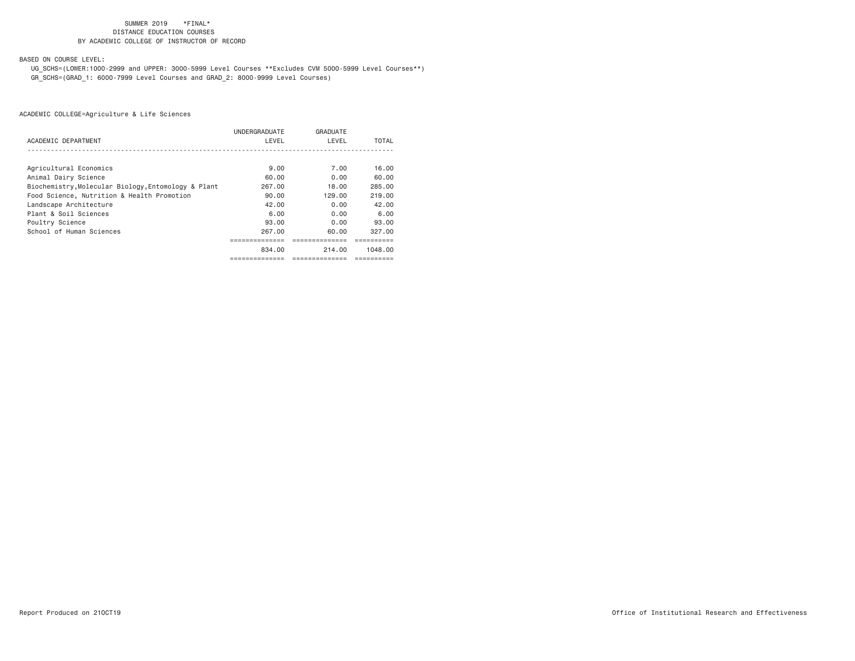BASED ON COURSE LEVEL:

 UG\_SCHS=(LOWER:1000-2999 and UPPER: 3000-5999 Level Courses \*\*Excludes CVM 5000-5999 Level Courses\*\*) GR\_SCHS=(GRAD\_1: 6000-7999 Level Courses and GRAD\_2: 8000-9999 Level Courses)

|                                                     | UNDERGRADUATE  | GRADUATE       |            |
|-----------------------------------------------------|----------------|----------------|------------|
| ACADEMIC DEPARTMENT                                 | LEVEL          | LEVEL          | TOTAL      |
|                                                     |                |                |            |
| Agricultural Economics                              | 9.00           | 7.00           | 16.00      |
| Animal Dairy Science                                | 60.00          | 0.00           | 60.00      |
| Biochemistry, Molecular Biology, Entomology & Plant | 267.00         | 18.00          | 285.00     |
| Food Science, Nutrition & Health Promotion          | 90.00          | 129.00         | 219,00     |
| Landscape Architecture                              | 42.00          | 0.00           | 42.00      |
| Plant & Soil Sciences                               | 6.00           | 0.00           | 6.00       |
| Poultry Science                                     | 93.00          | 0.00           | 93.00      |
| School of Human Sciences                            | 267.00         | 60.00          | 327.00     |
|                                                     |                | -------------- |            |
|                                                     | 834.00         | 214.00         | 1048.00    |
|                                                     | -------------- | ============== | ========== |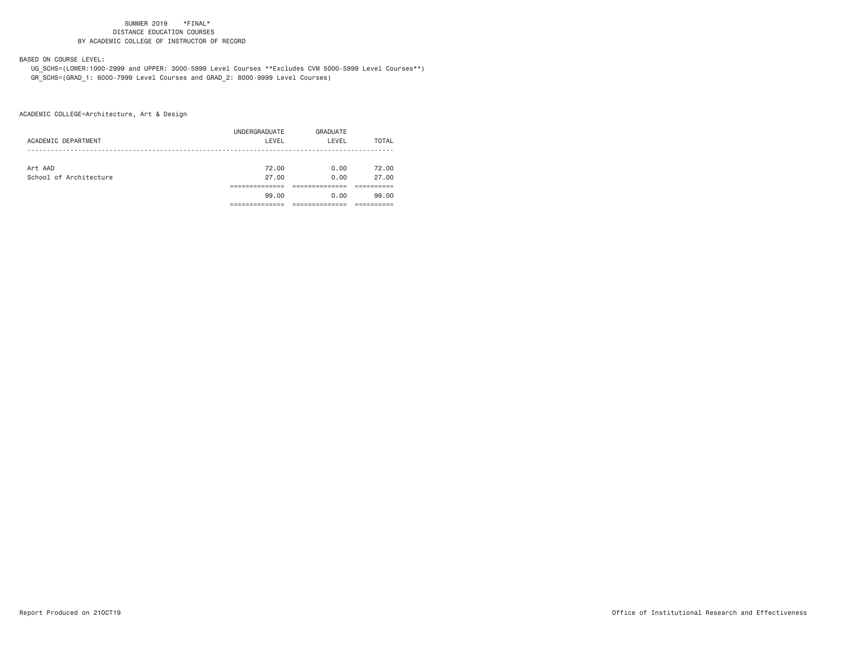# BASED ON COURSE LEVEL:

 UG\_SCHS=(LOWER:1000-2999 and UPPER: 3000-5999 Level Courses \*\*Excludes CVM 5000-5999 Level Courses\*\*) GR\_SCHS=(GRAD\_1: 6000-7999 Level Courses and GRAD\_2: 8000-9999 Level Courses)

ACADEMIC COLLEGE=Architecture, Art & Design

|                        | UNDERGRADUATE | GRADUATE |       |
|------------------------|---------------|----------|-------|
| ACADEMIC DEPARTMENT    | LEVEL         | LEVEL    | TOTAL |
|                        |               |          |       |
| Art AAD                | 72.00         | 0.00     | 72.00 |
|                        |               |          |       |
| School of Architecture | 27.00         | 0.00     | 27.00 |
|                        |               |          |       |
|                        | 99.00         | 0.00     | 99.00 |
|                        |               |          |       |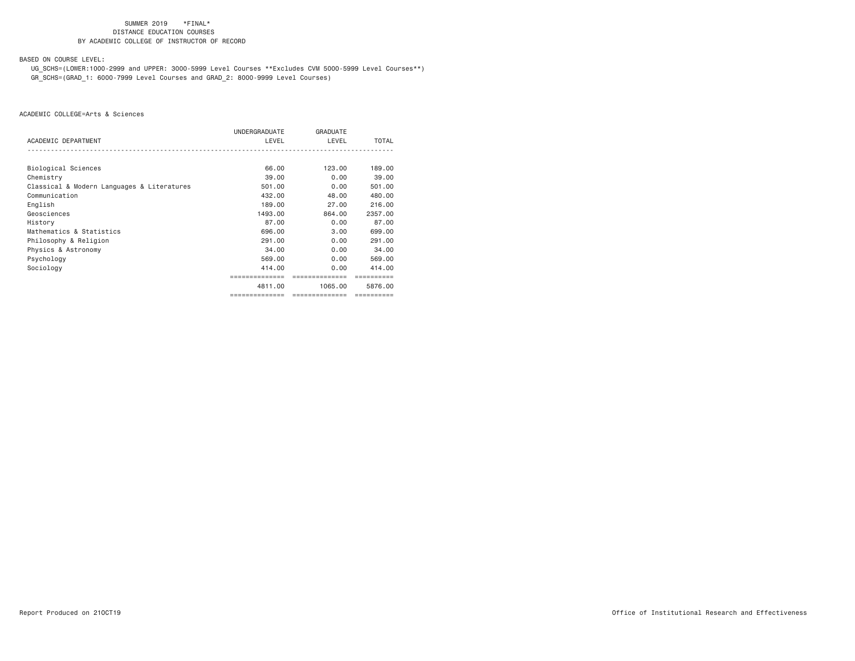BASED ON COURSE LEVEL:

 UG\_SCHS=(LOWER:1000-2999 and UPPER: 3000-5999 Level Courses \*\*Excludes CVM 5000-5999 Level Courses\*\*) GR\_SCHS=(GRAD\_1: 6000-7999 Level Courses and GRAD\_2: 8000-9999 Level Courses)

|                                            | UNDERGRADUATE  | <b>GRADUATE</b> |              |
|--------------------------------------------|----------------|-----------------|--------------|
| ACADEMIC DEPARTMENT                        | LEVEL          | LEVEL           | <b>TOTAL</b> |
|                                            |                |                 |              |
| Biological Sciences                        | 66.00          | 123.00          | 189.00       |
| Chemistry                                  | 39,00          | 0.00            | 39,00        |
| Classical & Modern Languages & Literatures | 501,00         | 0.00            | 501,00       |
| Communication                              | 432,00         | 48,00           | 480,00       |
| English                                    | 189,00         | 27,00           | 216,00       |
| Geosciences                                | 1493.00        | 864,00          | 2357,00      |
| History                                    | 87.00          | 0.00            | 87.00        |
| Mathematics & Statistics                   | 696,00         | 3.00            | 699,00       |
| Philosophy & Religion                      | 291.00         | 0.00            | 291,00       |
| Physics & Astronomy                        | 34,00          | 0.00            | 34,00        |
| Psychology                                 | 569,00         | 0.00            | 569,00       |
| Sociology                                  | 414.00         | 0.00            | 414.00       |
|                                            | ============   | :=============  |              |
|                                            | 4811,00        | 1065,00         | 5876.00      |
|                                            | ============== | ==============  | ==========   |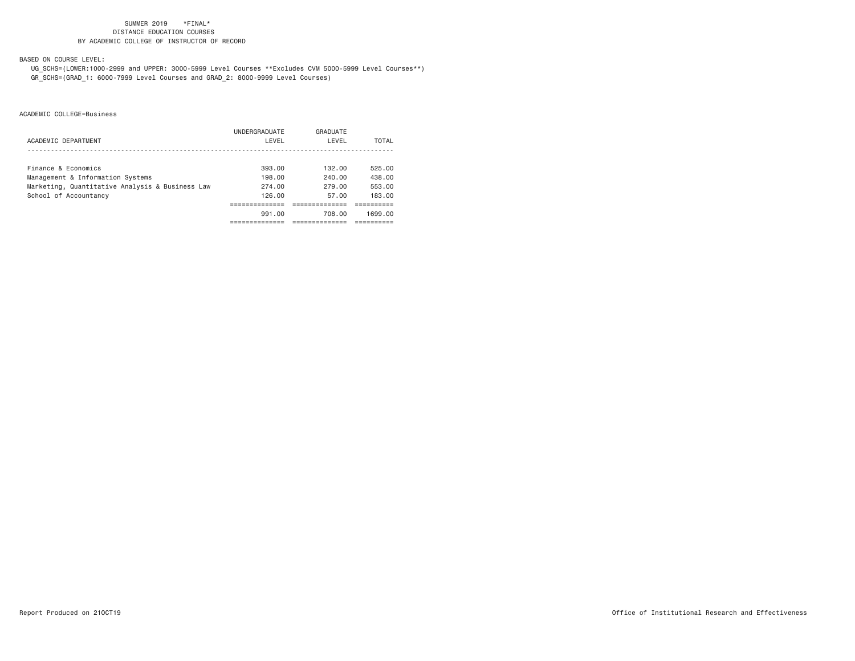BASED ON COURSE LEVEL:

 UG\_SCHS=(LOWER:1000-2999 and UPPER: 3000-5999 Level Courses \*\*Excludes CVM 5000-5999 Level Courses\*\*) GR\_SCHS=(GRAD\_1: 6000-7999 Level Courses and GRAD\_2: 8000-9999 Level Courses)

|                                                 | UNDERGRADUATE | GRADUATE |         |
|-------------------------------------------------|---------------|----------|---------|
| ACADEMIC DEPARTMENT                             | LEVEL         | LEVEL    | TOTAL   |
|                                                 |               |          |         |
| Finance & Economics                             | 393.00        | 132.00   | 525.00  |
| Management & Information Systems                | 198.00        | 240.00   | 438.00  |
| Marketing, Quantitative Analysis & Business Law | 274.00        | 279.00   | 553.00  |
| School of Accountancy                           | 126.00        | 57.00    | 183.00  |
|                                                 |               |          |         |
|                                                 | 991.00        | 708.00   | 1699.00 |
|                                                 |               |          |         |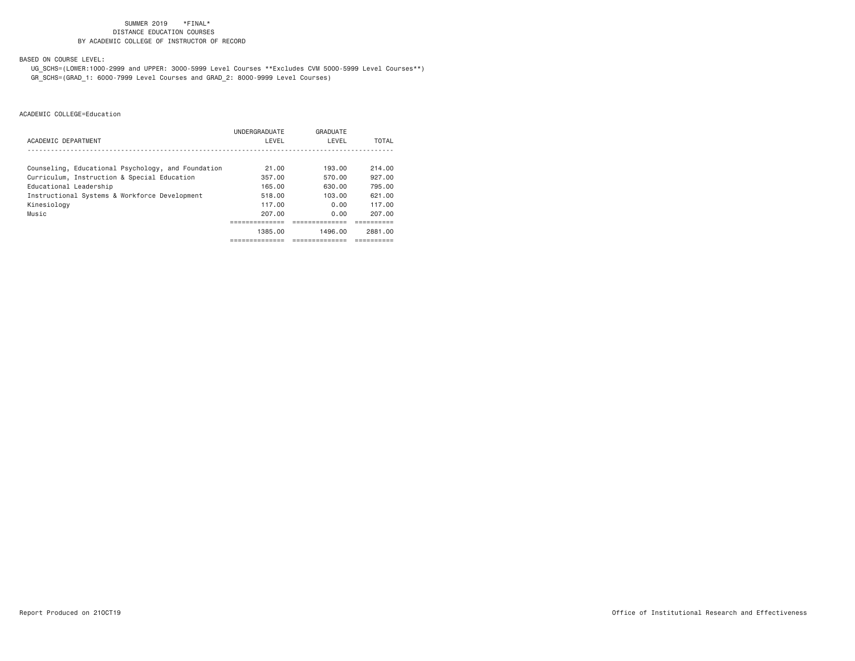BASED ON COURSE LEVEL:

 UG\_SCHS=(LOWER:1000-2999 and UPPER: 3000-5999 Level Courses \*\*Excludes CVM 5000-5999 Level Courses\*\*) GR\_SCHS=(GRAD\_1: 6000-7999 Level Courses and GRAD\_2: 8000-9999 Level Courses)

|                                                    | UNDERGRADUATE | GRADUATE    |         |
|----------------------------------------------------|---------------|-------------|---------|
| ACADEMIC DEPARTMENT                                | LEVEL         | LEVEL       | TOTAL   |
|                                                    |               |             |         |
| Counseling, Educational Psychology, and Foundation | 21.00         | 193.00      | 214.00  |
| Curriculum, Instruction & Special Education        | 357.00        | 570.00      | 927.00  |
| Educational Leadership                             | 165.00        | 630.00      | 795.00  |
| Instructional Systems & Workforce Development      | 518.00        | 103.00      | 621.00  |
| Kinesiology                                        | 117.00        | 0.00        | 117.00  |
| Music                                              | 207.00        | 0.00        | 207.00  |
|                                                    |               |             |         |
|                                                    | 1385.00       | 1496.00     | 2881.00 |
|                                                    |               | ----------- |         |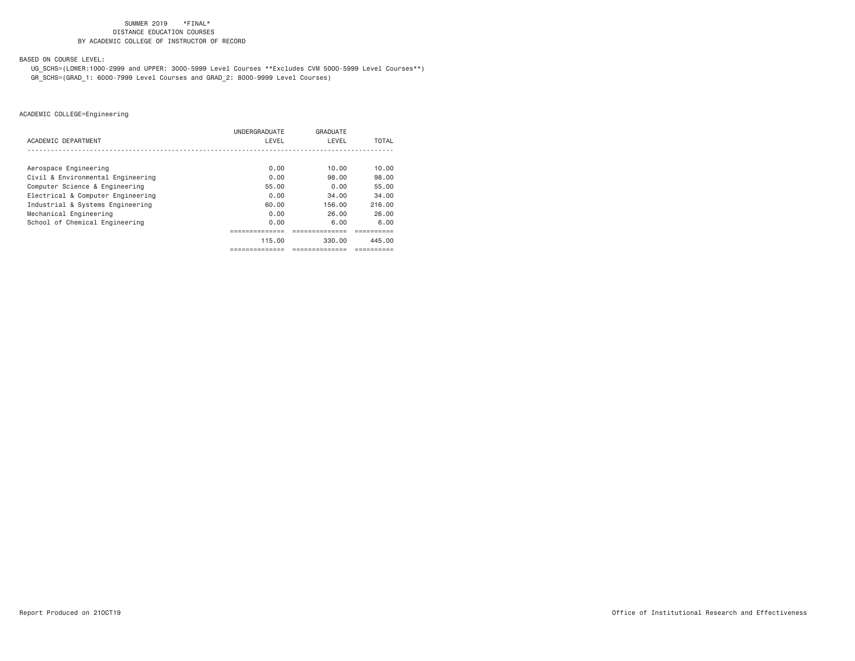BASED ON COURSE LEVEL:

 UG\_SCHS=(LOWER:1000-2999 and UPPER: 3000-5999 Level Courses \*\*Excludes CVM 5000-5999 Level Courses\*\*) GR\_SCHS=(GRAD\_1: 6000-7999 Level Courses and GRAD\_2: 8000-9999 Level Courses)

|                                   | UNDERGRADUATE | GRADUATE |        |
|-----------------------------------|---------------|----------|--------|
| ACADEMIC DEPARTMENT               | LEVEL         | LEVEL    | TOTAL  |
|                                   |               |          |        |
| Aerospace Engineering             | 0.00          | 10.00    | 10.00  |
| Civil & Environmental Engineering | 0.00          | 98.00    | 98.00  |
| Computer Science & Engineering    | 55.00         | 0.00     | 55.00  |
| Electrical & Computer Engineering | 0.00          | 34.00    | 34.00  |
| Industrial & Systems Engineering  | 60.00         | 156.00   | 216.00 |
| Mechanical Engineering            | 0.00          | 26.00    | 26.00  |
| School of Chemical Engineering    | 0.00          | 6.00     | 6.00   |
|                                   |               |          |        |
|                                   | 115.00        | 330.00   | 445.00 |
|                                   |               |          |        |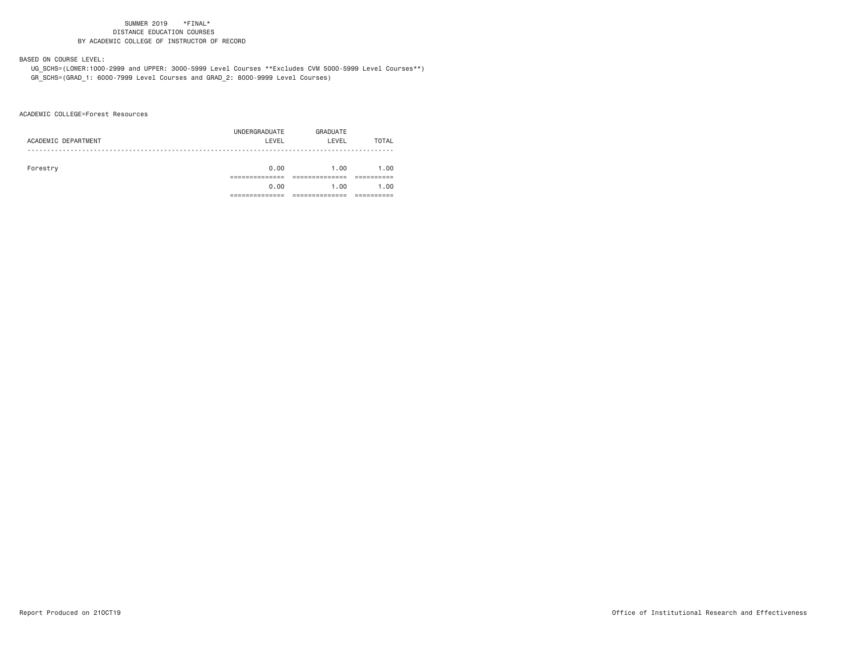BASED ON COURSE LEVEL:

 UG\_SCHS=(LOWER:1000-2999 and UPPER: 3000-5999 Level Courses \*\*Excludes CVM 5000-5999 Level Courses\*\*) GR\_SCHS=(GRAD\_1: 6000-7999 Level Courses and GRAD\_2: 8000-9999 Level Courses)

ACADEMIC COLLEGE=Forest Resources

| ACADEMIC DEPARTMENT | UNDERGRADUATE<br>LEVEL | GRADUATE<br>LEVEL | TOTAL |
|---------------------|------------------------|-------------------|-------|
| Forestry            | 0.00                   | 1.00              | 1.00  |
|                     | 0.00                   | 1.00              | 1.00  |
|                     |                        |                   |       |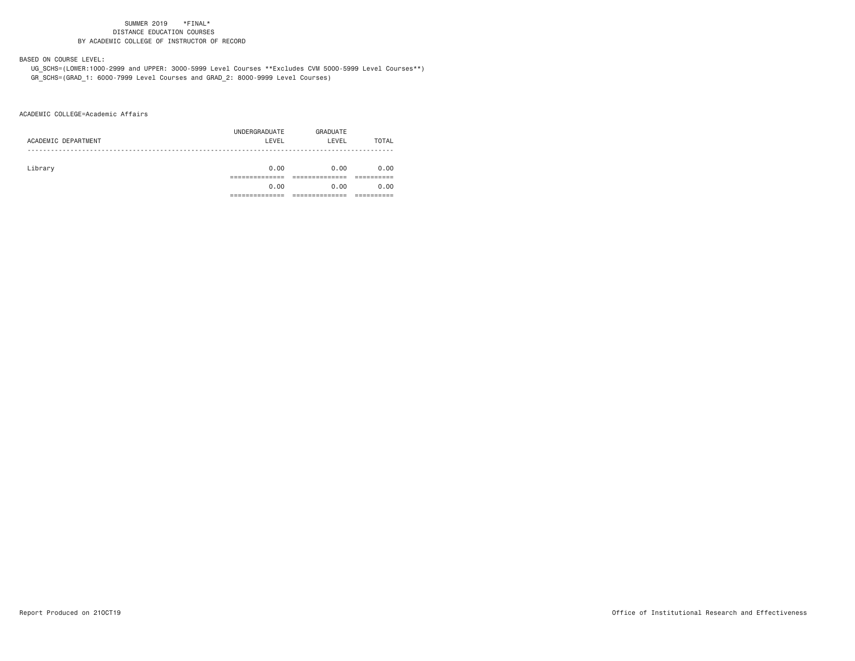BASED ON COURSE LEVEL:

 UG\_SCHS=(LOWER:1000-2999 and UPPER: 3000-5999 Level Courses \*\*Excludes CVM 5000-5999 Level Courses\*\*) GR\_SCHS=(GRAD\_1: 6000-7999 Level Courses and GRAD\_2: 8000-9999 Level Courses)

ACADEMIC COLLEGE=Academic Affairs

| ACADEMIC DEPARTMENT | UNDERGRADUATE<br>LEVEL | GRADUATE<br>LEVEL | TOTAL |
|---------------------|------------------------|-------------------|-------|
| Library             | 0.00                   | 0.00              | 0.00  |
|                     | 0.00                   | 0.00              | 0.00  |
|                     |                        |                   |       |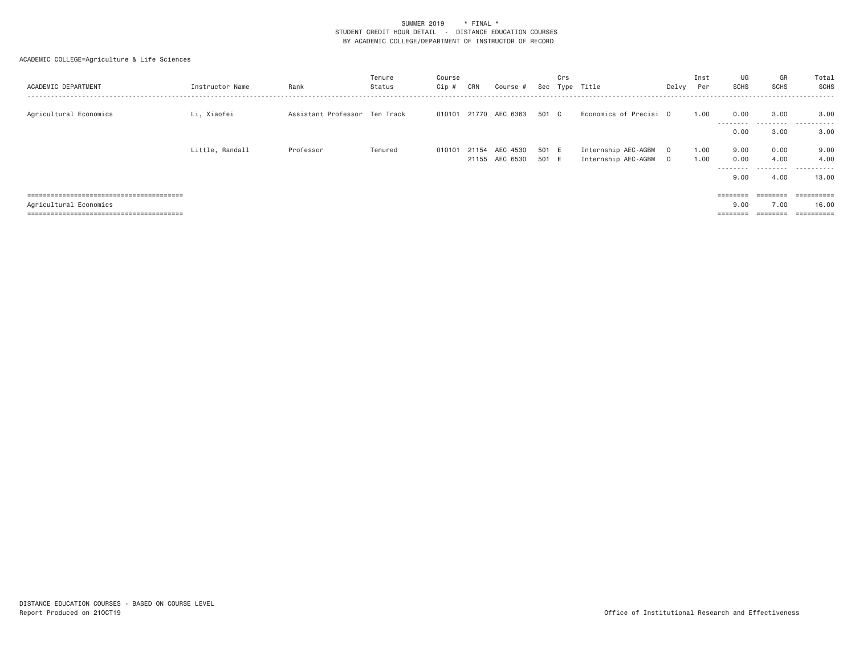| ACADEMIC DEPARTMENT    | Instructor Name | Rank                          | Tenure<br>Status | Course<br>Cip # | CRN | Course #                         | Sec            | Crs | Type Title                                 | Delvy                     | Inst<br>Per  | UG<br>SCHS                        | GR<br><b>SCHS</b>       | Total<br>SCHS<br>. <u>.</u> . |
|------------------------|-----------------|-------------------------------|------------------|-----------------|-----|----------------------------------|----------------|-----|--------------------------------------------|---------------------------|--------------|-----------------------------------|-------------------------|-------------------------------|
| Agricultural Economics | Li, Xiaofei     | Assistant Professor Ten Track |                  | 010101          |     | 21770 AEC 6363                   | 501 C          |     | Economics of Precisi O                     |                           | 1.00         | 0.00                              | 3,00                    | 3,00                          |
|                        |                 |                               |                  |                 |     |                                  |                |     |                                            |                           |              | ---------<br>0.00                 | .<br>3,00               | .<br>3,00                     |
|                        | Little, Randall | Professor                     | Tenured          | 010101          |     | 21154 AEC 4530<br>21155 AEC 6530 | 501 E<br>501 E |     | Internship AEC-AGBM<br>Internship AEC-AGBM | $\circ$<br>$\overline{0}$ | 1.00<br>1.00 | 9.00<br>0.00<br>---------<br>9,00 | 0.00<br>4,00<br>4,00    | 9.00<br>4.00<br>.<br>13,00    |
|                        |                 |                               |                  |                 |     |                                  |                |     |                                            |                           |              | ========                          | ========                | ==========                    |
| Agricultural Economics |                 |                               |                  |                 |     |                                  |                |     |                                            |                           |              | 9,00<br>========                  | 7.00<br><b>SEBERIES</b> | 16.00<br>==========           |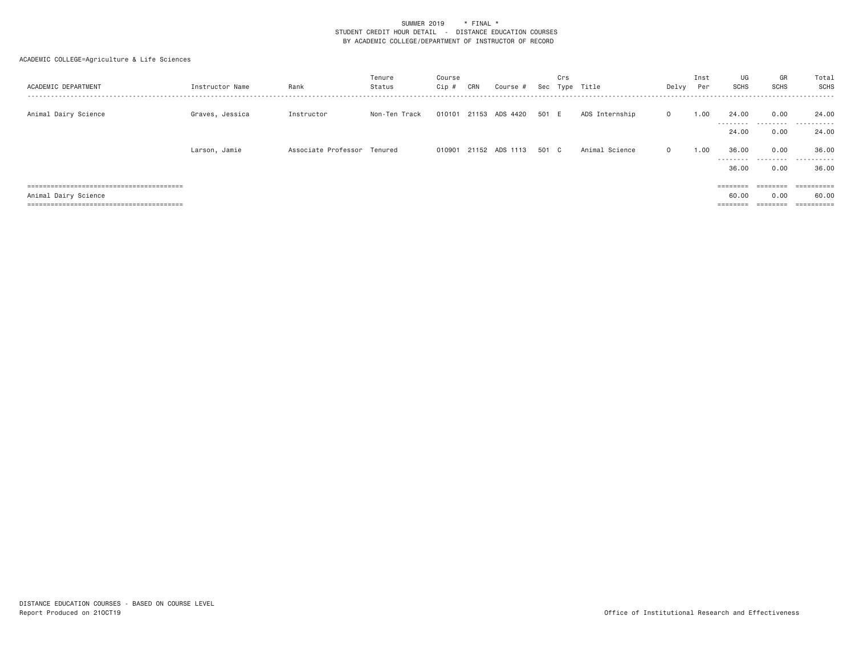| ACADEMIC DEPARTMENT  | Instructor Name | Rank                        | Tenure<br>Status | Course<br>Cip# | CRN | Course #              |       | Crs | Sec Type Title | Delvy        | Inst<br>Per | UG<br>SCHS                  | GR<br>SCHS   | Total<br>SCHS       |
|----------------------|-----------------|-----------------------------|------------------|----------------|-----|-----------------------|-------|-----|----------------|--------------|-------------|-----------------------------|--------------|---------------------|
| Animal Dairy Science | Graves, Jessica | Instructor                  | Non-Ten Track    |                |     | 010101 21153 ADS 4420 | 501 E |     | ADS Internship | $\mathbf{0}$ | 1.00        | 24.00<br>--------           | 0.00<br>.    | 24.00<br>.          |
|                      |                 |                             |                  |                |     |                       |       |     |                |              |             | 24,00                       | 0.00         | 24.00               |
|                      | Larson, Jamie   | Associate Professor Tenured |                  |                |     | 010901 21152 ADS 1113 | 501 C |     | Animal Science | $\mathbf{0}$ | 1.00        | 36.00<br>---------<br>36.00 | 0.00<br>0.00 | 36.00<br>.<br>36.00 |
|                      |                 |                             |                  |                |     |                       |       |     |                |              |             |                             |              |                     |
|                      |                 |                             |                  |                |     |                       |       |     |                |              |             | $=$ = = = = = = =           | ========     | ==========          |
| Animal Dairy Science |                 |                             |                  |                |     |                       |       |     |                |              |             | 60.00                       | 0.00         | 60.00               |
|                      |                 |                             |                  |                |     |                       |       |     |                |              |             | $=$ = = = = = = =           | ========     | ==========          |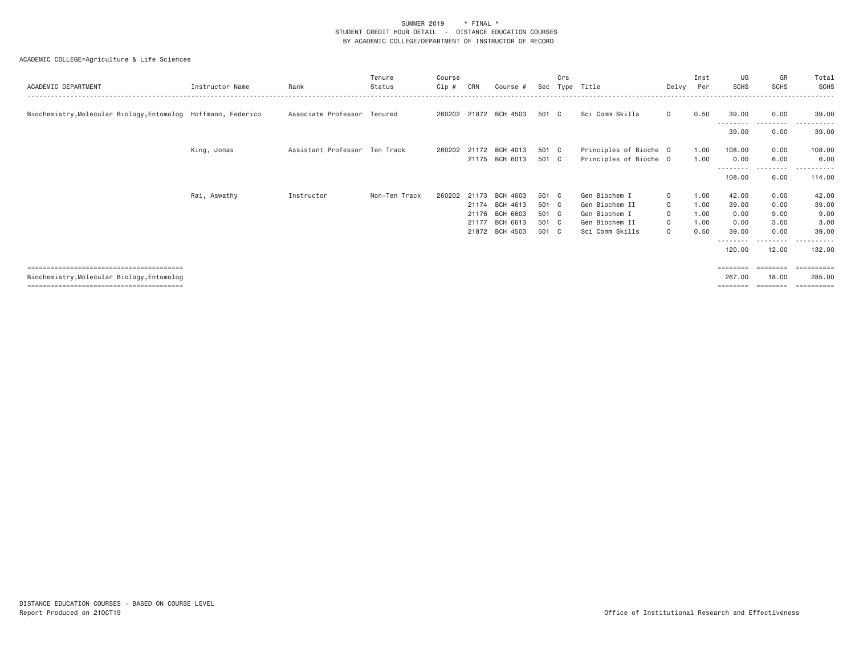| ACADEMIC DEPARTMENT                                           | Instructor Name | Rank                          | Tenure<br>Status | Course<br>Cip # | CRN            | Course #                                                                   | Sec                                       | Crs<br>Tvpe | Title                                                                                 |                                                                    | Inst<br>Delvy Per                    | UG<br><b>SCHS</b>                                             | GR<br><b>SCHS</b>                             | Total<br>SCHS                                     |
|---------------------------------------------------------------|-----------------|-------------------------------|------------------|-----------------|----------------|----------------------------------------------------------------------------|-------------------------------------------|-------------|---------------------------------------------------------------------------------------|--------------------------------------------------------------------|--------------------------------------|---------------------------------------------------------------|-----------------------------------------------|---------------------------------------------------|
| Biochemistry, Molecular Biology, Entomolog Hoffmann, Federico |                 | Associate Professor Tenured   |                  |                 |                | 260202 21872 BCH 4503                                                      | 501 C                                     |             | Sci Comm Skills                                                                       | $\circ$                                                            | 0.50                                 | 39.00                                                         | 0.00                                          | 39,00                                             |
|                                                               |                 |                               |                  |                 |                |                                                                            |                                           |             |                                                                                       |                                                                    |                                      | ---------<br>39.00                                            | ---------<br>0.00                             | 39.00                                             |
|                                                               | King, Jonas     | Assistant Professor Ten Track |                  | 260202          |                | 21172 BCH 4013<br>21175 BCH 6013                                           | 501 C<br>501 C                            |             | Principles of Bioche 0<br>Principles of Bioche 0                                      |                                                                    | 1.00<br>1.00                         | 108.00<br>0.00                                                | 0.00<br>6.00                                  | 108.00<br>6.00                                    |
|                                                               |                 |                               |                  |                 |                |                                                                            |                                           |             |                                                                                       |                                                                    |                                      | ---------<br>108.00                                           | ---------<br>6.00                             | 114.00                                            |
|                                                               | Rai, Aswathy    | Instructor                    | Non-Ten Track    | 260202          | 21173<br>21177 | BCH 4603<br>21174 BCH 4613<br>21176 BCH 6603<br>BCH 6613<br>21872 BCH 4503 | 501 C<br>501 C<br>501 C<br>501 C<br>501 C |             | Gen Biochem I<br>Gen Biochem II<br>Gen Biochem I<br>Gen Biochem II<br>Sci Comm Skills | $\mathbf{0}$<br>$\mathbf{O}$<br>$\circ$<br>$\mathbf{O}$<br>$\circ$ | 1.00<br>1.00<br>1.00<br>1.00<br>0.50 | 42.00<br>39.00<br>0.00<br>0.00<br>39.00<br>--------<br>120.00 | 0.00<br>0.00<br>9.00<br>3.00<br>0.00<br>12.00 | 42.00<br>39.00<br>9.00<br>3.00<br>39.00<br>132.00 |
| Biochemistry, Molecular Biology, Entomolog                    |                 |                               |                  |                 |                |                                                                            |                                           |             |                                                                                       |                                                                    |                                      | ========<br>267.00<br>========                                | ========<br>18,00<br>========                 | ==========<br>285,00<br>==========                |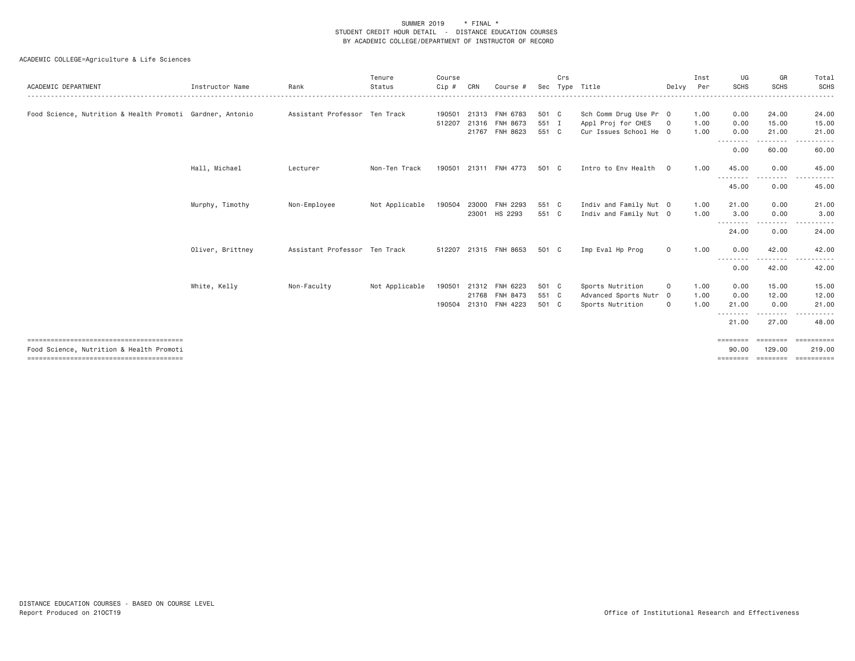| ACADEMIC DEPARTMENT                                       | Instructor Name  | Rank                          | Tenure<br>Status | Course<br>Cip # | CRN | Course #              | Sec   | Crs | Type Title             | Delvy          | Inst<br>Per | UG<br><b>SCHS</b>  | GR<br><b>SCHS</b>      | Total<br><b>SCHS</b>                          |
|-----------------------------------------------------------|------------------|-------------------------------|------------------|-----------------|-----|-----------------------|-------|-----|------------------------|----------------|-------------|--------------------|------------------------|-----------------------------------------------|
| Food Science, Nutrition & Health Promoti Gardner, Antonio |                  | Assistant Professor Ten Track |                  | 190501          |     | 21313 FNH 6783        | 501 C |     | Sch Comm Drug Use Pr 0 |                | 1.00        | 0.00               | 24.00                  | 24.00                                         |
|                                                           |                  |                               |                  | 512207          |     | 21316 FNH 8673        | 551 I |     | Appl Proj for CHES     | $\overline{0}$ | 1.00        | 0.00               | 15.00                  | 15.00                                         |
|                                                           |                  |                               |                  |                 |     | 21767 FNH 8623        | 551 C |     | Cur Issues School He 0 |                | 1.00        | 0.00               | 21.00                  | 21.00                                         |
|                                                           |                  |                               |                  |                 |     |                       |       |     |                        |                |             | ---------<br>0.00  | 60.00                  | 60.00                                         |
|                                                           | Hall, Michael    | Lecturer                      | Non-Ten Track    | 190501          |     | 21311 FNH 4773        | 501 C |     | Intro to Env Health 0  |                | 1.00        | 45.00<br>--------- | 0.00<br><u>.</u>       | 45.00<br>$\sim$ $\sim$ $\sim$<br>. <u>.</u> . |
|                                                           |                  |                               |                  |                 |     |                       |       |     |                        |                |             | 45.00              | 0.00                   | 45.00                                         |
|                                                           | Murphy, Timothy  | Non-Employee                  | Not Applicable   | 190504          |     | 23000 FNH 2293        | 551 C |     | Indiv and Family Nut 0 |                | 1.00        | 21.00              | 0.00                   | 21.00                                         |
|                                                           |                  |                               |                  |                 |     | 23001 HS 2293         | 551 C |     | Indiv and Family Nut 0 |                | 1.00        | 3.00               | 0.00                   | 3.00                                          |
|                                                           |                  |                               |                  |                 |     |                       |       |     |                        |                |             | --------<br>24.00  | 0.00                   | 24.00                                         |
|                                                           | Oliver, Brittney | Assistant Professor Ten Track |                  |                 |     | 512207 21315 FNH 8653 | 501 C |     | Imp Eval Hp Prog       | $\mathbf 0$    | 1.00        | 0.00<br>$\cdots$   | 42.00<br>$\frac{1}{2}$ | 42.00                                         |
|                                                           |                  |                               |                  |                 |     |                       |       |     |                        |                |             | 0.00               | 42.00                  | 42.00                                         |
|                                                           | White, Kelly     | Non-Faculty                   | Not Applicable   | 190501          |     | 21312 FNH 6223        | 501 C |     | Sports Nutrition       | $\mathbf 0$    | 1.00        | 0.00               | 15.00                  | 15.00                                         |
|                                                           |                  |                               |                  |                 |     | 21768 FNH 8473        | 551 C |     | Advanced Sports Nutr 0 |                | 1.00        | 0.00               | 12.00                  | 12.00                                         |
|                                                           |                  |                               |                  |                 |     | 190504 21310 FNH 4223 | 501 C |     | Sports Nutrition       | $\mathbf 0$    | 1.00        | 21.00<br>--------  | 0.00<br>.              | 21.00                                         |
|                                                           |                  |                               |                  |                 |     |                       |       |     |                        |                |             | 21.00              | 27.00                  | 48,00                                         |
| Food Science, Nutrition & Health Promoti                  |                  |                               |                  |                 |     |                       |       |     |                        |                |             | ========<br>90,00  | ========<br>129,00     | ==========<br>219,00                          |
|                                                           |                  |                               |                  |                 |     |                       |       |     |                        |                |             | ========           | ========= ==========   |                                               |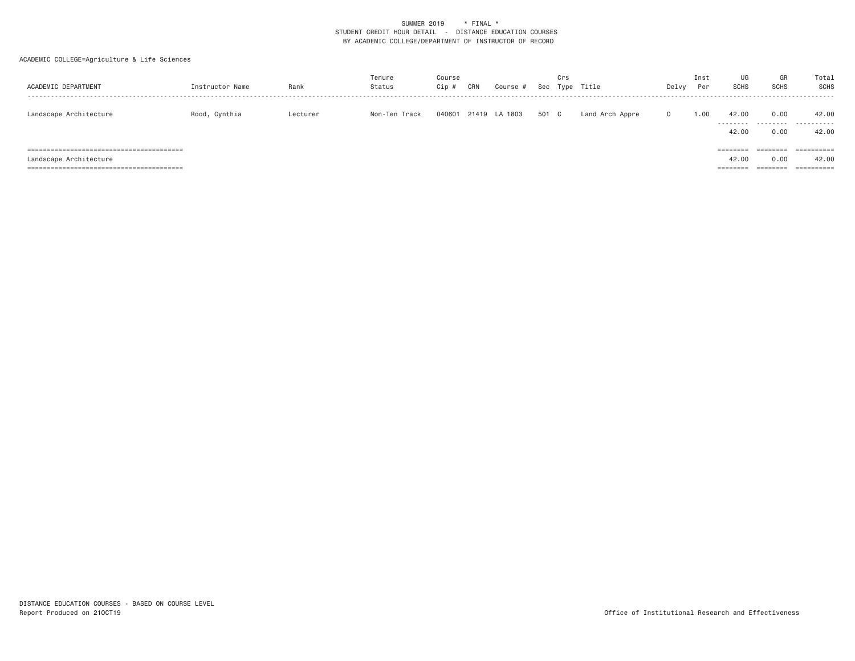| ACADEMIC DEPARTMENT    | Instructor Name | Rank     | Tenure<br>Status | Course<br>Cip # | CRN | Course #      |       | Crs | Sec Type Title  | Delvy    | Inst<br>Per | UG<br><b>SCHS</b> | GR<br><b>SCHS</b>                    | Total<br>SCHS                 |
|------------------------|-----------------|----------|------------------|-----------------|-----|---------------|-------|-----|-----------------|----------|-------------|-------------------|--------------------------------------|-------------------------------|
| Landscape Architecture | Rood, Cynthia   | Lecturer | Non-Ten Track    | 040601          |     | 21419 LA 1803 | 501 C |     | Land Arch Appre | $\Omega$ | 1.00        | 42.00<br>.        | 0.00                                 | 42.00<br>.                    |
| Landscape Architecture |                 |          |                  |                 |     |               |       |     |                 |          |             | 42.00<br>42.00    | 0.00<br>========<br>0.00<br>======== | 42.00<br>-----------<br>42.00 |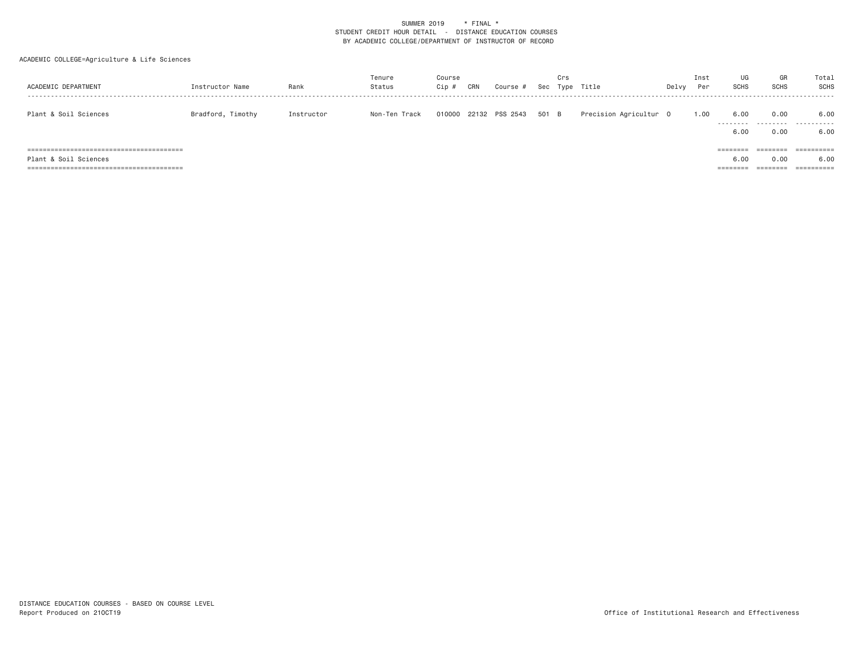| ACADEMIC DEPARTMENT   | Instructor Name   | Rank       | Tenure<br>Status | Course<br>Cip # | CRN | Course #              |       | Crs | Sec Type Title         | Delvy | Inst<br>Per | UG<br><b>SCHS</b> | GR<br><b>SCHS</b>            | Total<br>SCHS       |
|-----------------------|-------------------|------------|------------------|-----------------|-----|-----------------------|-------|-----|------------------------|-------|-------------|-------------------|------------------------------|---------------------|
| Plant & Soil Sciences | Bradford, Timothy | Instructor | Non-Ten Track    |                 |     | 010000 22132 PSS 2543 | 501 B |     | Precision Agricultur 0 |       | 1.00        | 6,00<br>.<br>6,00 | 0.00<br>0.00                 | 6.00<br>.<br>6.00   |
| Plant & Soil Sciences |                   |            |                  |                 |     |                       |       |     |                        |       |             | ========<br>6,00  | ========<br>0.00<br>======== | -----------<br>6.00 |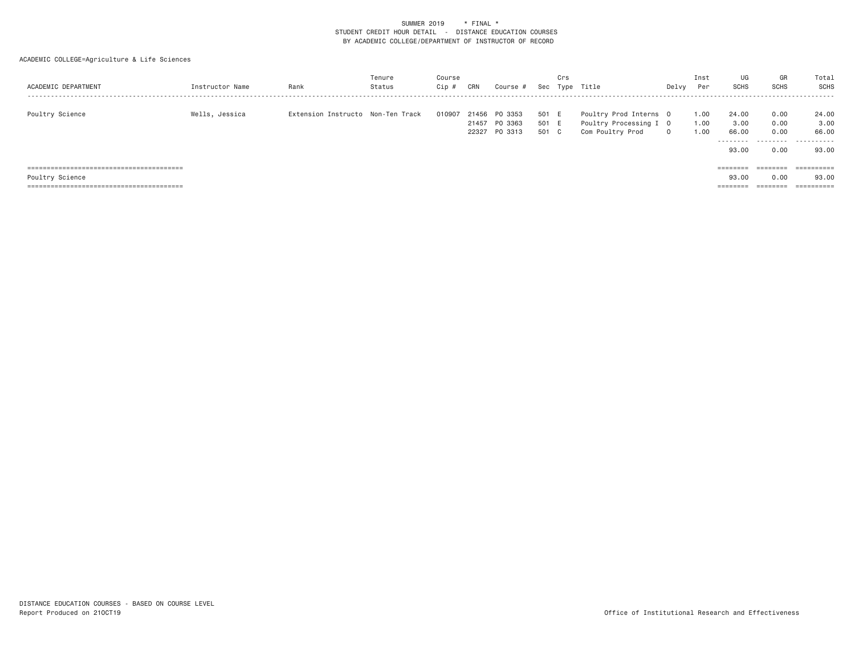| ACADEMIC DEPARTMENT | Instructor Name | Rank                              | Tenure<br>Status | Course<br>Cip # | CRN            | Course #                            |                         | Crs | Sec Type Title                                                       | Delvy        | Inst<br>Per          | UG<br><b>SCHS</b>                                                       | GR<br><b>SCHS</b>         | Total<br>SCHS               |
|---------------------|-----------------|-----------------------------------|------------------|-----------------|----------------|-------------------------------------|-------------------------|-----|----------------------------------------------------------------------|--------------|----------------------|-------------------------------------------------------------------------|---------------------------|-----------------------------|
| Poultry Science     | Wells, Jessica  | Extension Instructo Non-Ten Track |                  | 010907          | 21457<br>22327 | 21456 PO 3353<br>PO 3363<br>PO 3313 | 501 E<br>501 E<br>501 C |     | Poultry Prod Interns 0<br>Poultry Processing I 0<br>Com Poultry Prod | $\mathbf{O}$ | 1.00<br>1.00<br>1.00 | 24.00<br>3,00<br>66.00<br>---------                                     | 0.00<br>0.00<br>0.00<br>. | 24.00<br>3.00<br>66,00<br>. |
|                     |                 |                                   |                  |                 |                |                                     |                         |     |                                                                      |              |                      | 93.00                                                                   | 0.00                      | 93,00                       |
|                     |                 |                                   |                  |                 |                |                                     |                         |     |                                                                      |              |                      | $\qquad \qquad \equiv \equiv \equiv \equiv \equiv \equiv \equiv \equiv$ | ========                  | $=$ = = = = = = = = =       |
| Poultry Science     |                 |                                   |                  |                 |                |                                     |                         |     |                                                                      |              |                      | 93.00                                                                   | 0.00                      | 93,00                       |
|                     |                 |                                   |                  |                 |                |                                     |                         |     |                                                                      |              |                      | --------                                                                | --------<br>--------      | $=$ = = = = = = = = =       |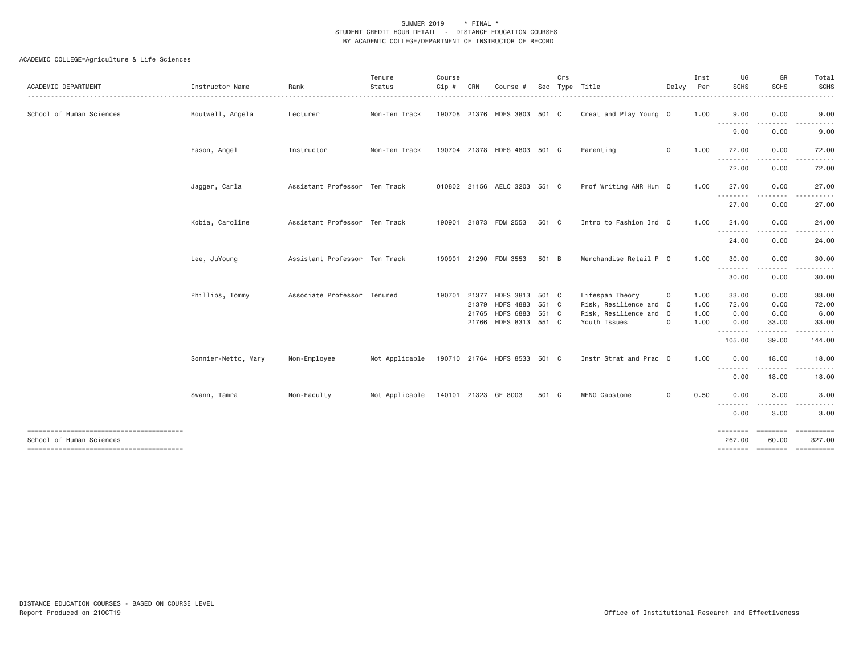| ACADEMIC DEPARTMENT                                                | Instructor Name     | Rank                          | Tenure<br>Status<br>. | Course<br>$Cip$ # | CRN   | Course #                     | Sec   | Crs | Type Title             | Delvy        | Inst<br>Per | UG<br><b>SCHS</b><br>. | GR<br><b>SCHS</b>                                                                                                                                            | Total<br><b>SCHS</b><br>. |
|--------------------------------------------------------------------|---------------------|-------------------------------|-----------------------|-------------------|-------|------------------------------|-------|-----|------------------------|--------------|-------------|------------------------|--------------------------------------------------------------------------------------------------------------------------------------------------------------|---------------------------|
| School of Human Sciences                                           | Boutwell, Angela    | Lecturer                      | Non-Ten Track         |                   |       | 190708 21376 HDFS 3803 501 C |       |     | Creat and Play Young 0 |              | 1.00        | 9.00<br>--------       | 0.00<br>.                                                                                                                                                    | 9.00                      |
|                                                                    |                     |                               |                       |                   |       |                              |       |     |                        |              |             | 9.00                   | 0.00                                                                                                                                                         | 9.00                      |
|                                                                    | Fason, Angel        | Instructor                    | Non-Ten Track         |                   |       | 190704 21378 HDFS 4803 501 C |       |     | Parenting              | $\circ$      | 1.00        | 72.00<br><u>.</u>      | 0.00                                                                                                                                                         | 72.00                     |
|                                                                    |                     |                               |                       |                   |       |                              |       |     |                        |              |             | 72.00                  | 0.00                                                                                                                                                         | 72.00                     |
|                                                                    | Jagger, Carla       | Assistant Professor Ten Track |                       |                   |       | 010802 21156 AELC 3203 551 C |       |     | Prof Writing ANR Hum 0 |              | 1.00        | 27.00<br>--------      | 0.00<br>$\frac{1}{2} \left( \frac{1}{2} \right) \left( \frac{1}{2} \right) \left( \frac{1}{2} \right) \left( \frac{1}{2} \right) \left( \frac{1}{2} \right)$ | 27.00                     |
|                                                                    |                     |                               |                       |                   |       |                              |       |     |                        |              |             | 27.00                  | 0.00                                                                                                                                                         | 27.00                     |
|                                                                    | Kobia, Caroline     | Assistant Professor Ten Track |                       |                   |       | 190901 21873 FDM 2553        | 501 C |     | Intro to Fashion Ind 0 |              | 1.00        | 24.00<br>.             | 0.00                                                                                                                                                         | 24.00                     |
|                                                                    |                     |                               |                       |                   |       |                              |       |     |                        |              |             | 24.00                  | 0.00                                                                                                                                                         | 24.00                     |
|                                                                    | Lee, JuYoung        | Assistant Professor Ten Track |                       |                   |       | 190901 21290 FDM 3553        | 501 B |     | Merchandise Retail P 0 |              | 1.00        | 30.00<br>.             | 0.00<br>.                                                                                                                                                    | 30.00                     |
|                                                                    |                     |                               |                       |                   |       |                              |       |     |                        |              |             | 30.00                  | 0.00                                                                                                                                                         | 30.00                     |
|                                                                    | Phillips, Tommy     | Associate Professor Tenured   |                       |                   |       | 190701 21377 HDFS 3813 501 C |       |     | Lifespan Theory        | $\mathbf 0$  | 1.00        | 33.00                  | 0.00                                                                                                                                                         | 33.00                     |
|                                                                    |                     |                               |                       |                   |       | 21379 HDFS 4883 551 C        |       |     | Risk, Resilience and 0 |              | 1.00        | 72.00                  | 0.00                                                                                                                                                         | 72.00                     |
|                                                                    |                     |                               |                       |                   | 21765 | HDFS 6883 551 C              |       |     | Risk, Resilience and 0 |              | 1.00        | 0.00                   | 6.00                                                                                                                                                         | 6.00                      |
|                                                                    |                     |                               |                       |                   |       | 21766 HDFS 8313 551 C        |       |     | Youth Issues           | $\mathsf{O}$ | 1.00        | 0.00<br>.              | 33.00<br>.                                                                                                                                                   | 33.00<br>.                |
|                                                                    |                     |                               |                       |                   |       |                              |       |     |                        |              |             | 105.00                 | 39.00                                                                                                                                                        | 144.00                    |
|                                                                    | Sonnier-Netto, Mary | Non-Employee                  | Not Applicable        |                   |       | 190710 21764 HDFS 8533 501 C |       |     | Instr Strat and Prac 0 |              | 1.00        | 0.00                   | 18.00                                                                                                                                                        | 18.00                     |
|                                                                    |                     |                               |                       |                   |       |                              |       |     |                        |              |             | 0.00                   | 18.00                                                                                                                                                        | 18.00                     |
|                                                                    | Swann, Tamra        | Non-Faculty                   | Not Applicable        |                   |       | 140101 21323 GE 8003         | 501 C |     | MENG Capstone          | $\circ$      | 0.50        | 0.00<br>--------       | 3.00                                                                                                                                                         | 3.00                      |
|                                                                    |                     |                               |                       |                   |       |                              |       |     |                        |              |             | 0.00                   | 3.00                                                                                                                                                         | 3.00                      |
| --------------------------------------<br>School of Human Sciences |                     |                               |                       |                   |       |                              |       |     |                        |              |             | ========<br>267.00     | ========<br>60.00                                                                                                                                            | ==========<br>327.00      |
|                                                                    |                     |                               |                       |                   |       |                              |       |     |                        |              |             |                        | ========= ========= ==========                                                                                                                               |                           |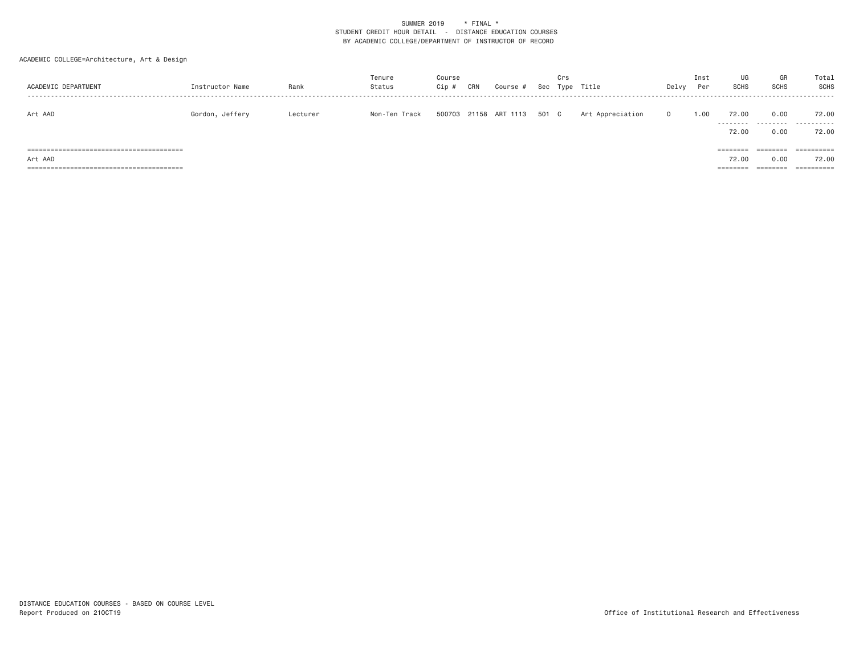ACADEMIC COLLEGE=Architecture, Art & Design

| ACADEMIC DEPARTMENT                    | Instructor Name | Rank     | Tenure<br>Status | Course<br>Cip # | CRN | Course #                    | Crs | Sec Type Title   | Delvy    | Inst<br>Per | UG<br><b>SCHS</b> | GR<br><b>SCHS</b> | Total<br>SCHS        |
|----------------------------------------|-----------------|----------|------------------|-----------------|-----|-----------------------------|-----|------------------|----------|-------------|-------------------|-------------------|----------------------|
| Art AAD                                | Gordon, Jeffery | Lecturer | Non-Ten Track    |                 |     | 500703 21158 ART 1113 501 C |     | Art Appreciation | $\Omega$ | 1.00        | 72.00             | 0.00              | 72.00<br>            |
| .===================================== |                 |          |                  |                 |     |                             |     |                  |          |             | 72.00<br>======== | 0.00<br>========  | 72.00<br>----------- |
| Art AAD                                |                 |          |                  |                 |     |                             |     |                  |          |             | 72.00             | 0.00<br>========  | 72.00                |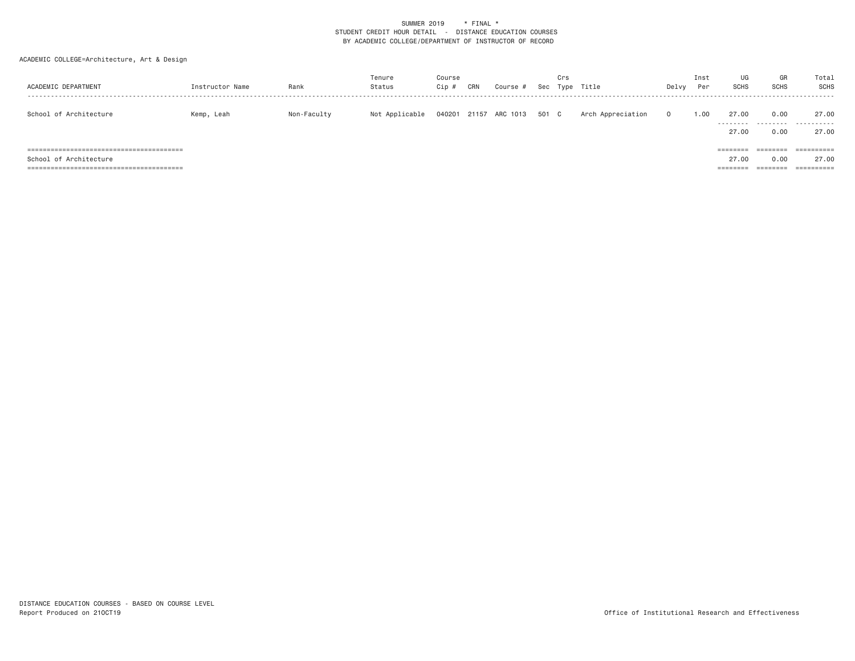ACADEMIC COLLEGE=Architecture, Art & Design

| ACADEMIC DEPARTMENT    | Instructor Name | Rank        | Tenure<br>Status | Course<br>Cip # | CRN | Course #             | Crs | Sec Type Title    | Delvy    | Inst<br>Per | UG<br><b>SCHS</b> | GR<br><b>SCHS</b>            | Total<br><b>SCHS</b> |
|------------------------|-----------------|-------------|------------------|-----------------|-----|----------------------|-----|-------------------|----------|-------------|-------------------|------------------------------|----------------------|
| School of Architecture | Kemp, Leah      | Non-Faculty | Not Applicable   | 040201          |     | 21157 ARC 1013 501 C |     | Arch Appreciation | $\Omega$ | 1.00        | 27.00<br>27.00    | 0.00<br>0.00                 | 27.00<br><br>27.00   |
| School of Architecture |                 |             |                  |                 |     |                      |     |                   |          |             | ========<br>27.00 | ========<br>0.00<br>======== | -----------<br>27,00 |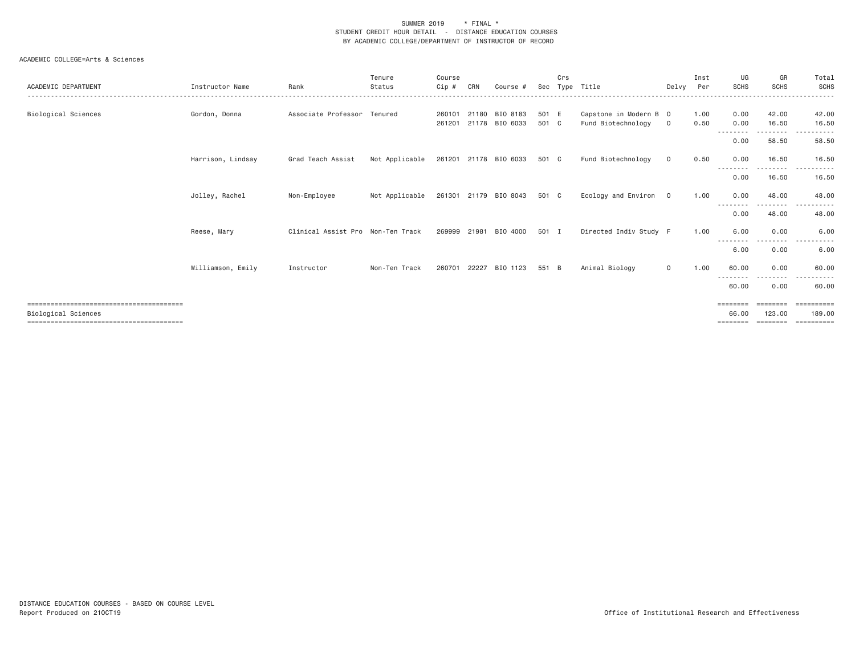| ACADEMIC DEPARTMENT        | Instructor Name   | Rank                              | Tenure<br>Status | Course<br>Cip#   | CRN   | Course #                   | Sec            | Crs | Type Title                                   | Delvy        | Inst<br>Per  | UG<br><b>SCHS</b>  | GR<br><b>SCHS</b>  | Total<br>SCHS<br>.   |
|----------------------------|-------------------|-----------------------------------|------------------|------------------|-------|----------------------------|----------------|-----|----------------------------------------------|--------------|--------------|--------------------|--------------------|----------------------|
| Biological Sciences        | Gordon, Donna     | Associate Professor Tenured       |                  | 260101<br>261201 | 21180 | BIO 8183<br>21178 BIO 6033 | 501 E<br>501 C |     | Capstone in Modern B 0<br>Fund Biotechnology | $\circ$      | 1.00<br>0.50 | 0.00<br>0.00       | 42.00<br>16.50     | 42.00<br>16.50       |
|                            |                   |                                   |                  |                  |       |                            |                |     |                                              |              |              | --------<br>0.00   | ---------<br>58.50 | .<br>58.50           |
|                            | Harrison, Lindsay | Grad Teach Assist                 | Not Applicable   |                  |       | 261201 21178 BIO 6033      | 501 C          |     | Fund Biotechnology                           | $\circ$      | 0.50         | 0.00<br>--------   | 16.50<br>.         | 16.50                |
|                            |                   |                                   |                  |                  |       |                            |                |     |                                              |              |              | 0.00               | 16.50              | 16.50                |
|                            | Jolley, Rachel    | Non-Employee                      | Not Applicable   |                  |       | 261301 21179 BIO 8043      | 501 C          |     | Ecology and Environ 0                        |              | 1.00         | 0.00               | 48.00              | 48.00                |
|                            |                   |                                   |                  |                  |       |                            |                |     |                                              |              |              | 0.00               | .<br>48.00         | 48.00                |
|                            | Reese, Mary       | Clinical Assist Pro Non-Ten Track |                  |                  |       | 269999 21981 BIO 4000      | 501 I          |     | Directed Indiv Study F                       |              | 1.00         | 6,00               | 0.00               | 6.00                 |
|                            |                   |                                   |                  |                  |       |                            |                |     |                                              |              |              | --------<br>6.00   | .<br>0.00          | 6.00                 |
|                            | Williamson, Emily | Instructor                        | Non-Ten Track    | 260701           | 22227 | BIO 1123                   | 551 B          |     | Animal Biology                               | $\mathbf{0}$ | 1,00         | 60,00              | 0.00               | 60.00                |
|                            |                   |                                   |                  |                  |       |                            |                |     |                                              |              |              | ---------<br>60.00 | .<br>0.00          | 60.00                |
|                            |                   |                                   |                  |                  |       |                            |                |     |                                              |              |              | ========           |                    | sessesse essessesse  |
| <b>Biological Sciences</b> |                   |                                   |                  |                  |       |                            |                |     |                                              |              |              | 66,00<br>========  | 123.00<br>======== | 189,00<br>========== |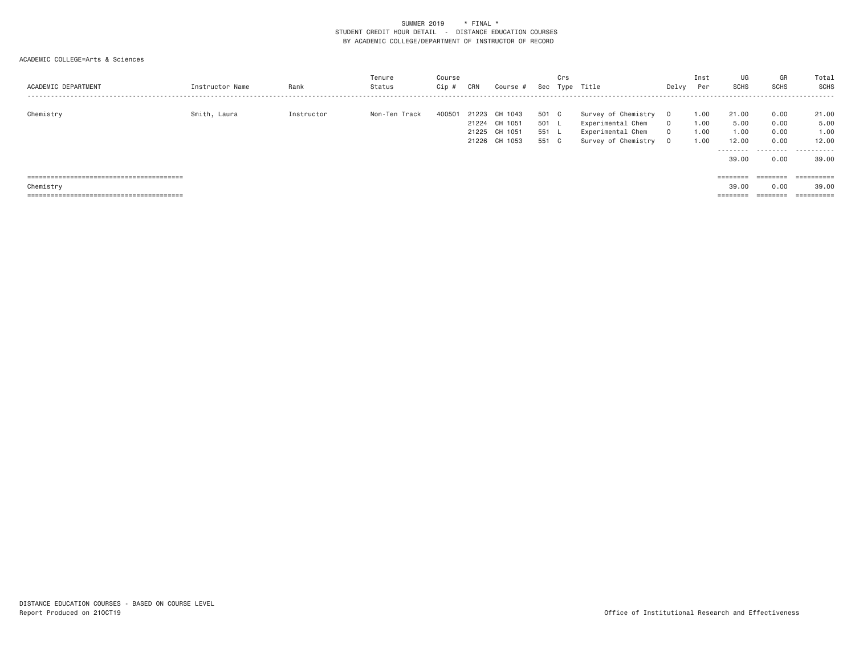| ACADEMIC DEPARTMENT | Instructor Name | Rank       | Tenure<br>Status | Course<br>Cip # | CRN   | Course #      |       | Crs<br>Sec Type | Title               | Delvy    | Inst<br>Per | UG<br><b>SCHS</b> | GR<br><b>SCHS</b> | Total<br><b>SCHS</b><br>. |
|---------------------|-----------------|------------|------------------|-----------------|-------|---------------|-------|-----------------|---------------------|----------|-------------|-------------------|-------------------|---------------------------|
| Chemistry           | Smith, Laura    | Instructor | Non-Ten Track    | 400501          | 21223 | 1043<br>CН    | 501   | C.              | Survey of Chemistry |          | 1.00        | 21.00             | 0.00              | 21.00                     |
|                     |                 |            |                  |                 | 21224 | CH 1051       | 501 L |                 | Experimental Chem   | $\Omega$ | 1.00        | 5.00              | 0.00              | 5.00                      |
|                     |                 |            |                  |                 |       | 21225 CH 1051 | 551 L |                 | Experimental Chem   | $\Omega$ | 1,00        | 1.00              | 0.00              | 1.00                      |
|                     |                 |            |                  |                 |       | 21226 CH 1053 | 551   | $\mathbf{C}$    | Survey of Chemistry | $\Omega$ | 1.00        | 12.00             | 0.00              | 12.00                     |
|                     |                 |            |                  |                 |       |               |       |                 |                     |          |             |                   |                   |                           |
|                     |                 |            |                  |                 |       |               |       |                 |                     |          |             | 39,00             | 0.00              | 39,00                     |
|                     |                 |            |                  |                 |       |               |       |                 |                     |          |             |                   |                   |                           |
|                     |                 |            |                  |                 |       |               |       |                 |                     |          |             | ========          | $=$ = = = = = = = |                           |
| Chemistry           |                 |            |                  |                 |       |               |       |                 |                     |          |             | 39.00             | 0.00              | 39,00                     |
|                     |                 |            |                  |                 |       |               |       |                 |                     |          |             | ========          | ========          | ==========                |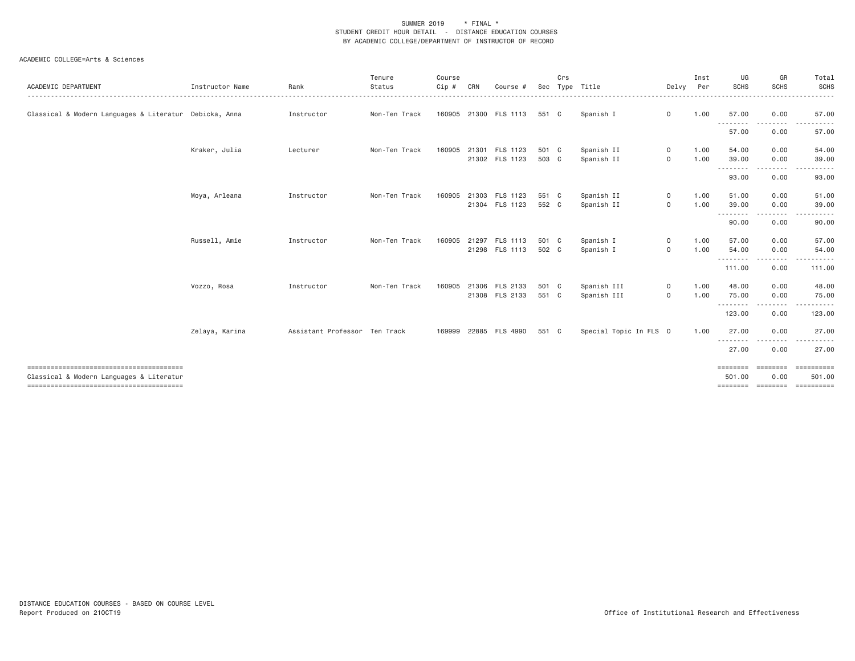| ACADEMIC DEPARTMENT                                                                | Instructor Name | Rank                          | Tenure<br>Status | Course<br>$Cip$ # | CRN | Course #                         | Sec            | Crs | Type Title                 | Delvy                        | Inst<br>Per  | UG<br><b>SCHS</b>  | GR<br><b>SCHS</b>                      | Total<br><b>SCHS</b>                |
|------------------------------------------------------------------------------------|-----------------|-------------------------------|------------------|-------------------|-----|----------------------------------|----------------|-----|----------------------------|------------------------------|--------------|--------------------|----------------------------------------|-------------------------------------|
| Classical & Modern Languages & Literatur Debicka, Anna                             |                 | Instructor                    | Non-Ten Track    |                   |     | 160905 21300 FLS 1113            | 551 C          |     | Spanish I                  | 0                            | 1.00         | 57.00              | 0.00                                   | 57.00                               |
|                                                                                    |                 |                               |                  |                   |     |                                  |                |     |                            |                              |              | --------<br>57.00  | 0.00                                   | 57.00                               |
|                                                                                    | Kraker, Julia   | Lecturer                      | Non-Ten Track    | 160905            |     | 21301 FLS 1123<br>21302 FLS 1123 | 501 C<br>503 C |     | Spanish II<br>Spanish II   | $\circ$<br>$\mathbf{O}$      | 1.00<br>1.00 | 54.00<br>39.00     | 0.00<br>0.00                           | 54.00<br>39.00                      |
|                                                                                    |                 |                               |                  |                   |     |                                  |                |     |                            |                              |              | ---------<br>93.00 | --------<br>0.00                       | .<br>93.00                          |
|                                                                                    | Moya, Arleana   | Instructor                    | Non-Ten Track    | 160905            |     | 21303 FLS 1123<br>21304 FLS 1123 | 551 C<br>552 C |     | Spanish II<br>Spanish II   | $\mathbf{0}$<br>$\mathbf{O}$ | 1.00<br>1.00 | 51.00<br>39.00     | 0.00<br>0.00                           | 51.00<br>39.00                      |
|                                                                                    |                 |                               |                  |                   |     |                                  |                |     |                            |                              |              | .<br>90.00         | .<br>0.00                              | 90.00                               |
|                                                                                    | Russell, Amie   | Instructor                    | Non-Ten Track    | 160905            |     | 21297 FLS 1113<br>21298 FLS 1113 | 501 C<br>502 C |     | Spanish I<br>Spanish I     | $\circ$<br>$\mathsf{O}$      | 1.00<br>1.00 | 57.00<br>54.00     | 0.00<br>0.00                           | 57.00<br>54.00                      |
|                                                                                    |                 |                               |                  |                   |     |                                  |                |     |                            |                              |              | .<br>111.00        | . <b>.</b><br>0.00                     | 111.00                              |
|                                                                                    | Vozzo, Rosa     | Instructor                    | Non-Ten Track    | 160905            |     | 21306 FLS 2133<br>21308 FLS 2133 | 501 C<br>551 C |     | Spanish III<br>Spanish III | $\circ$<br>$\circ$           | 1.00<br>1.00 | 48.00<br>75.00     | 0.00<br>0.00                           | 48.00<br>75.00                      |
|                                                                                    |                 |                               |                  |                   |     |                                  |                |     |                            |                              |              | --------<br>123.00 | --------<br>0.00                       | ------<br>123.00                    |
|                                                                                    | Zelaya, Karina  | Assistant Professor Ten Track |                  |                   |     | 169999 22885 FLS 4990            | 551 C          |     | Special Topic In FLS 0     |                              | 1.00         | 27.00<br>--------- | 0.00                                   | 27.00                               |
|                                                                                    |                 |                               |                  |                   |     |                                  |                |     |                            |                              |              | 27.00              | 0.00                                   | 27.00                               |
| Classical & Modern Languages & Literatur<br>-------------------------------------- |                 |                               |                  |                   |     |                                  |                |     |                            |                              |              | ========<br>501.00 | ========<br>0.00<br>========= ======== | -----------<br>501.00<br>========== |
|                                                                                    |                 |                               |                  |                   |     |                                  |                |     |                            |                              |              |                    |                                        |                                     |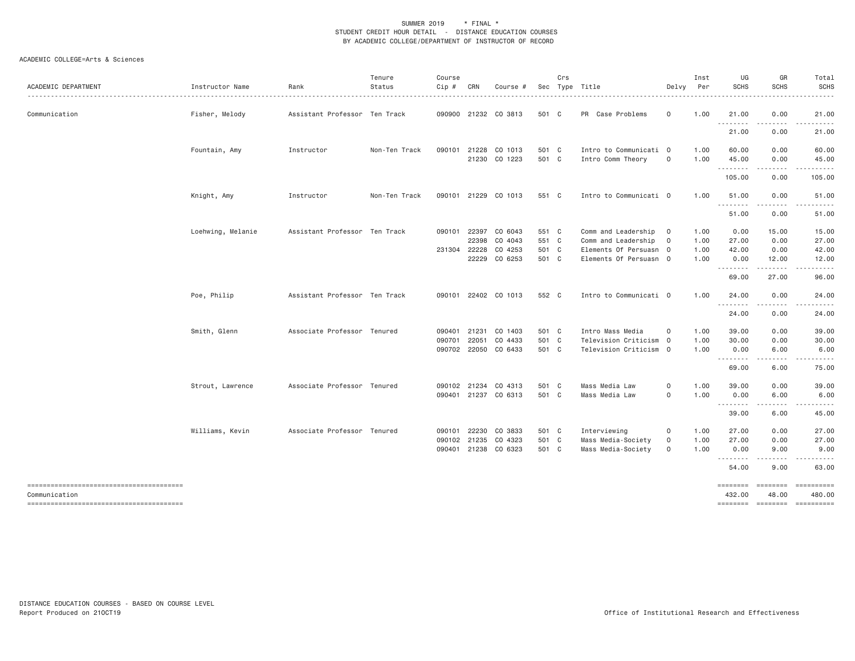| ACADEMIC DEPARTMENT | Instructor Name   | Rank                          | Tenure<br>Status | Course<br>Cip # | CRN   | Course #             |       | Crs | Sec Type Title         | Delvy          | Inst<br>Per | UG<br><b>SCHS</b> | GR<br><b>SCHS</b>                                                                                                                                            | Total<br><b>SCHS</b> |
|---------------------|-------------------|-------------------------------|------------------|-----------------|-------|----------------------|-------|-----|------------------------|----------------|-------------|-------------------|--------------------------------------------------------------------------------------------------------------------------------------------------------------|----------------------|
| Communication       | Fisher, Melody    | Assistant Professor Ten Track |                  |                 |       | 090900 21232 CO 3813 | 501 C |     | PR Case Problems       | 0              | 1.00        | 21.00<br><u>.</u> | 0.00<br>.                                                                                                                                                    | 21.00<br>.           |
|                     |                   |                               |                  |                 |       |                      |       |     |                        |                |             | 21.00             | 0.00                                                                                                                                                         | 21.00                |
|                     | Fountain, Amy     | Instructor                    | Non-Ten Track    | 090101          | 21228 | CO 1013              | 501 C |     | Intro to Communicati 0 |                | 1.00        | 60.00             | 0.00                                                                                                                                                         | 60.00                |
|                     |                   |                               |                  |                 |       | 21230 CO 1223        | 501 C |     | Intro Comm Theory      | 0              | 1.00        | 45.00<br>.        | 0.00<br>$\frac{1}{2} \left( \frac{1}{2} \right) \left( \frac{1}{2} \right) \left( \frac{1}{2} \right) \left( \frac{1}{2} \right) \left( \frac{1}{2} \right)$ | 45.00<br>.           |
|                     |                   |                               |                  |                 |       |                      |       |     |                        |                |             | 105.00            | 0.00                                                                                                                                                         | 105.00               |
|                     | Knight, Amy       | Instructor                    | Non-Ten Track    |                 |       | 090101 21229 CO 1013 | 551 C |     | Intro to Communicati 0 |                | 1.00        | 51.00<br>.        | 0.00<br><u>.</u>                                                                                                                                             | 51.00<br>.           |
|                     |                   |                               |                  |                 |       |                      |       |     |                        |                |             | 51.00             | 0.00                                                                                                                                                         | 51.00                |
|                     | Loehwing, Melanie | Assistant Professor Ten Track |                  | 090101          | 22397 | CO 6043              | 551 C |     | Comm and Leadership    | $\overline{0}$ | 1.00        | 0.00              | 15.00                                                                                                                                                        | 15.00                |
|                     |                   |                               |                  |                 | 22398 | CO 4043              | 551 C |     | Comm and Leadership    | $\overline{0}$ | 1.00        | 27.00             | 0.00                                                                                                                                                         | 27.00                |
|                     |                   |                               |                  | 231304 22228    |       | CO 4253              | 501 C |     | Elements Of Persuasn 0 |                | 1.00        | 42.00             | 0.00                                                                                                                                                         | 42.00                |
|                     |                   |                               |                  |                 |       | 22229 CO 6253        | 501 C |     | Elements Of Persuasn 0 |                | 1.00        | 0.00<br>.         | 12.00<br>.                                                                                                                                                   | 12.00<br>.           |
|                     |                   |                               |                  |                 |       |                      |       |     |                        |                |             | 69.00             | 27.00                                                                                                                                                        | 96.00                |
|                     | Poe, Philip       | Assistant Professor Ten Track |                  | 090101          |       | 22402 CO 1013        | 552 C |     | Intro to Communicati 0 |                | 1.00        | 24.00<br>.        | 0.00<br>- - - - -                                                                                                                                            | 24.00                |
|                     |                   |                               |                  |                 |       |                      |       |     |                        |                |             | 24.00             | 0.00                                                                                                                                                         | 24.00                |
|                     | Smith, Glenn      | Associate Professor Tenured   |                  | 090401          | 21231 | CO 1403              | 501 C |     | Intro Mass Media       | 0              | 1.00        | 39.00             | 0.00                                                                                                                                                         | 39.00                |
|                     |                   |                               |                  | 090701          | 22051 | CO 4433              | 501 C |     | Television Criticism   | $\overline{0}$ | 1.00        | 30.00             | 0.00                                                                                                                                                         | 30.00                |
|                     |                   |                               |                  |                 |       | 090702 22050 CO 6433 | 501 C |     | Television Criticism 0 |                | 1.00        | 0.00<br>.         | 6.00<br>$\frac{1}{2}$                                                                                                                                        | 6.00                 |
|                     |                   |                               |                  |                 |       |                      |       |     |                        |                |             | 69.00             | 6.00                                                                                                                                                         | 75.00                |
|                     | Strout, Lawrence  | Associate Professor Tenured   |                  | 090102          | 21234 | CO 4313              | 501 C |     | Mass Media Law         | 0              | 1.00        | 39.00             | 0.00                                                                                                                                                         | 39.00                |
|                     |                   |                               |                  |                 |       | 090401 21237 CO 6313 | 501 C |     | Mass Media Law         | 0              | 1.00        | 0.00<br>.         | 6.00                                                                                                                                                         | 6.00                 |
|                     |                   |                               |                  |                 |       |                      |       |     |                        |                |             | 39.00             | 6.00                                                                                                                                                         | 45.00                |
|                     | Williams, Kevin   | Associate Professor Tenured   |                  | 090101          | 22230 | CO 3833              | 501 C |     | Interviewing           | 0              | 1.00        | 27.00             | 0.00                                                                                                                                                         | 27.00                |
|                     |                   |                               |                  | 090102          | 21235 | CO 4323              | 501 C |     | Mass Media-Society     | $\mathsf{O}$   | 1.00        | 27.00             | 0.00                                                                                                                                                         | 27.00                |
|                     |                   |                               |                  |                 |       | 090401 21238 CO 6323 | 501 C |     | Mass Media-Society     | 0              | 1.00        | 0.00              | 9.00                                                                                                                                                         | 9.00                 |
|                     |                   |                               |                  |                 |       |                      |       |     |                        |                |             | .<br>54.00        | -----<br>9.00                                                                                                                                                | 63.00                |
| Communication       |                   |                               |                  |                 |       |                      |       |     |                        |                |             | 432.00            | ========= ======== ==========<br>48.00                                                                                                                       | 480.00               |
|                     |                   |                               |                  |                 |       |                      |       |     |                        |                |             |                   | ======== ======== =========                                                                                                                                  |                      |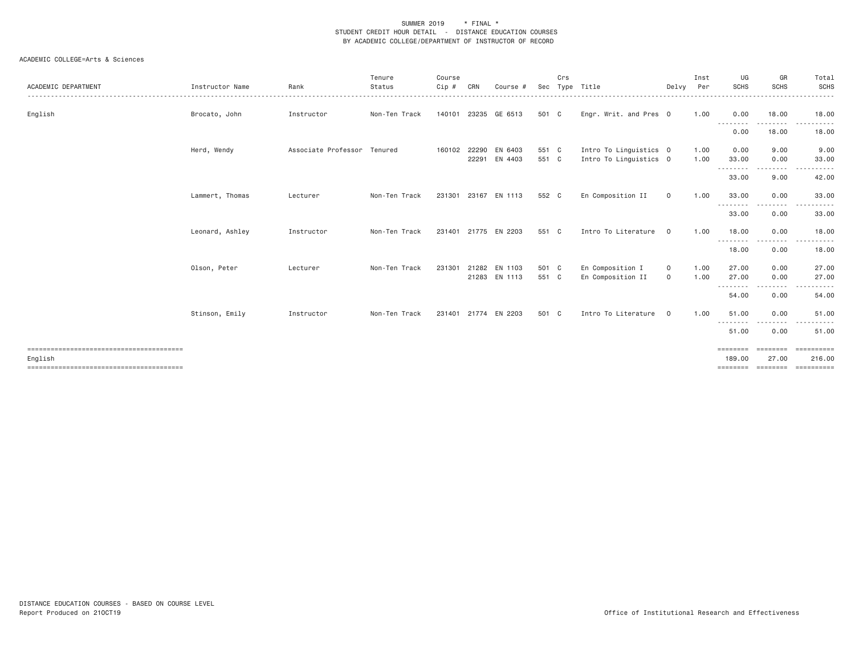| ACADEMIC DEPARTMENT | Instructor Name | Rank                        | Tenure<br>Status | Course<br>Cip # | CRN            | Course #                       | Sec            | Crs | Type Title                                       | Delvy          | Inst<br>Per  | UG<br><b>SCHS</b>        | GR<br><b>SCHS</b>              | Total<br><b>SCHS</b><br>------ |
|---------------------|-----------------|-----------------------------|------------------|-----------------|----------------|--------------------------------|----------------|-----|--------------------------------------------------|----------------|--------------|--------------------------|--------------------------------|--------------------------------|
| English             | Brocato, John   | Instructor                  | Non-Ten Track    |                 |                | 140101 23235 GE 6513           | 501 C          |     | Engr. Writ. and Pres 0                           |                | 1.00         | 0.00                     | 18.00                          | 18.00                          |
|                     |                 |                             |                  |                 |                |                                |                |     |                                                  |                |              | --------<br>0.00         | $\cdots$<br>18.00              | .<br>18.00                     |
|                     | Herd, Wendy     | Associate Professor Tenured |                  | 160102          | 22290<br>22291 | EN 6403<br>EN 4403             | 551 C<br>551 C |     | Intro To Linguistics 0<br>Intro To Linguistics 0 |                | 1.00<br>1.00 | 0.00<br>33.00            | 9.00<br>0.00                   | 9.00<br>33.00                  |
|                     |                 |                             |                  |                 |                |                                |                |     |                                                  |                |              | --------<br>33.00        | . <b>.</b><br>9.00             | 42.00                          |
|                     | Lammert, Thomas | Lecturer                    | Non-Ten Track    |                 |                | 231301 23167 EN 1113           | 552 C          |     | En Composition II                                | $\circ$        | 1.00         | 33.00                    | 0.00                           | 33.00                          |
|                     |                 |                             |                  |                 |                |                                |                |     |                                                  |                |              | ---------<br>33.00       | 0.00                           | 33.00                          |
|                     | Leonard, Ashley | Instructor                  | Non-Ten Track    |                 |                | 231401 21775 EN 2203           | 551 C          |     | Intro To Literature                              | $\overline{0}$ | 1.00         | 18.00<br>---------       | 0.00<br>.                      | 18.00<br>.                     |
|                     |                 |                             |                  |                 |                |                                |                |     |                                                  |                |              | 18.00                    | 0.00                           | 18.00                          |
|                     | Olson, Peter    | Lecturer                    | Non-Ten Track    | 231301          |                | 21282 EN 1103<br>21283 EN 1113 | 501 C<br>551 C |     | En Composition I<br>En Composition II            | 0<br>$\circ$   | 1.00<br>1.00 | 27.00<br>27.00           | 0.00<br>0.00                   | 27.00<br>27.00                 |
|                     |                 |                             |                  |                 |                |                                |                |     |                                                  |                |              | ---------<br>54.00       | .<br>0.00                      | 54.00                          |
|                     | Stinson, Emily  | Instructor                  | Non-Ten Track    |                 |                | 231401 21774 EN 2203           | 501 C          |     | Intro To Literature 0                            |                | 1.00         | 51.00                    | 0.00                           | 51.00                          |
|                     |                 |                             |                  |                 |                |                                |                |     |                                                  |                |              | ---------<br>51.00       | $\cdots \cdots \cdots$<br>0.00 | ----------<br>51.00            |
|                     |                 |                             |                  |                 |                |                                |                |     |                                                  |                |              | ========                 |                                |                                |
| English             |                 |                             |                  |                 |                |                                |                |     |                                                  |                |              | 189.00<br><b>EEEEEEE</b> | 27,00<br>========              | 216.00<br>==========           |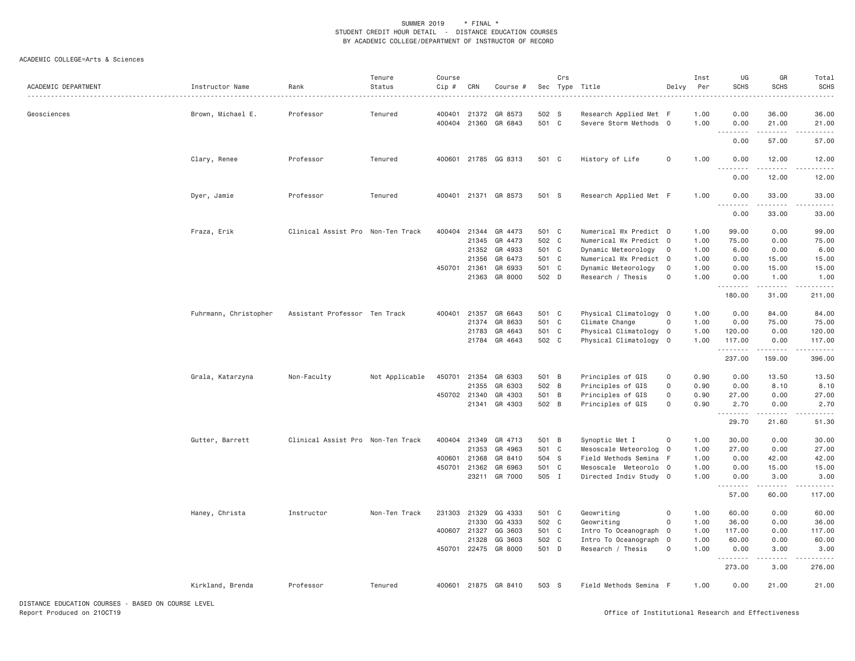| ACADEMIC DEPARTMENT        | Instructor Name       | Rank                              | Tenure<br>Status | Course<br>Cip # | CRN          | Course #             |       | Crs | Sec Type Title<br>.    | Delvy                   | Inst<br>Per | UG<br><b>SCHS</b>                 | GR<br><b>SCHS</b>   | Total<br><b>SCHS</b> |
|----------------------------|-----------------------|-----------------------------------|------------------|-----------------|--------------|----------------------|-------|-----|------------------------|-------------------------|-------------|-----------------------------------|---------------------|----------------------|
| Geosciences                | Brown, Michael E.     | Professor                         | Tenured          |                 | 400401 21372 | GR 8573              | 502 S |     | Research Applied Met F |                         | 1.00        | 0.00                              | 36.00               | 36.00                |
|                            |                       |                                   |                  |                 |              | 400404 21360 GR 6843 | 501 C |     | Severe Storm Methods 0 |                         | 1.00        | 0.00<br>.                         | 21.00<br>.          | 21.00                |
|                            |                       |                                   |                  |                 |              |                      |       |     |                        |                         |             | 0.00                              | 57.00               | 57.00                |
|                            | Clary, Renee          | Professor                         | Tenured          |                 |              | 400601 21785 GG 8313 | 501 C |     | History of Life        | $\mathsf{O}$            | 1.00        | 0.00<br>$\sim$ $\sim$ $\sim$<br>. | 12.00               | 12.00                |
|                            |                       |                                   |                  |                 |              |                      |       |     |                        |                         |             | 0.00                              | 12.00               | 12.00                |
|                            | Dyer, Jamie           | Professor                         | Tenured          |                 |              | 400401 21371 GR 8573 | 501 S |     | Research Applied Met F |                         | 1.00        | 0.00<br>$\sim$ $\sim$ .<br>.      | 33.00<br>.          | 33.00                |
|                            |                       |                                   |                  |                 |              |                      |       |     |                        |                         |             | 0.00                              | 33.00               | 33.00                |
|                            | Fraza, Erik           | Clinical Assist Pro Non-Ten Track |                  | 400404 21344    |              | GR 4473              | 501 C |     | Numerical Wx Predict 0 |                         | 1.00        | 99.00                             | 0.00                | 99.00                |
|                            |                       |                                   |                  |                 | 21345        | GR 4473              | 502 C |     | Numerical Wx Predict 0 |                         | 1.00        | 75.00                             | 0.00                | 75.00                |
|                            |                       |                                   |                  |                 | 21352        | GR 4933              | 501 C |     | Dynamic Meteorology    | $\overline{\mathbf{0}}$ | 1.00        | 6.00                              | 0.00                | 6.00                 |
|                            |                       |                                   |                  |                 | 21356        | GR 6473              | 501 C |     | Numerical Wx Predict 0 |                         | 1.00        | 0.00                              | 15.00               | 15.00                |
|                            |                       |                                   |                  | 450701 21361    |              | GR 6933              | 501 C |     | Dynamic Meteorology    | $\overline{\mathbf{0}}$ | 1.00        | 0.00                              | 15.00               | 15.00                |
|                            |                       |                                   |                  |                 | 21363        | GR 8000              | 502 D |     | Research / Thesis      | $\mathbf 0$             | 1.00        | 0.00<br>.                         | 1.00<br>$- - - - -$ | 1.00                 |
|                            |                       |                                   |                  |                 |              |                      |       |     |                        |                         |             | 180.00                            | 31.00               | 211.00               |
|                            | Fuhrmann, Christopher | Assistant Professor Ten Track     |                  | 400401          | 21357        | GR 6643              | 501 C |     | Physical Climatology 0 |                         | 1.00        | 0.00                              | 84.00               | 84.00                |
|                            |                       |                                   |                  |                 | 21374        | GR 8633              | 501 C |     | Climate Change         | $\mathbf 0$             | 1.00        | 0.00                              | 75.00               | 75.00                |
|                            |                       |                                   |                  |                 | 21783        | GR 4643              | 501 C |     | Physical Climatology 0 |                         | 1.00        | 120.00                            | 0.00                | 120.00               |
|                            |                       |                                   |                  |                 | 21784        | GR 4643              | 502 C |     | Physical Climatology 0 |                         | 1.00        | 117.00<br>.                       | 0.00                | 117.00               |
|                            |                       |                                   |                  |                 |              |                      |       |     |                        |                         |             | 237.00                            | 159.00              | 396.00               |
|                            | Grala, Katarzyna      | Non-Faculty                       | Not Applicable   | 450701          | 21354        | GR 6303              | 501 B |     | Principles of GIS      | 0                       | 0.90        | 0.00                              | 13.50               | 13.50                |
|                            |                       |                                   |                  |                 | 21355        | GR 6303              | 502 B |     | Principles of GIS      | $\mathsf{O}$            | 0.90        | 0.00                              | 8.10                | 8.10                 |
|                            |                       |                                   |                  |                 | 450702 21340 | GR 4303              | 501 B |     | Principles of GIS      | $\mathsf 0$             | 0.90        | 27.00                             | 0.00                | 27.00                |
|                            |                       |                                   |                  |                 | 21341        | GR 4303              | 502 B |     | Principles of GIS      | $\mathbf 0$             | 0.90        | 2.70<br>.                         | 0.00                | 2.70                 |
|                            |                       |                                   |                  |                 |              |                      |       |     |                        |                         |             | 29.70                             | 21.60               | 51.30                |
|                            | Gutter, Barrett       | Clinical Assist Pro Non-Ten Track |                  |                 | 400404 21349 | GR 4713              | 501 B |     | Synoptic Met I         | $\mathbf 0$             | 1.00        | 30.00                             | 0.00                | 30.00                |
|                            |                       |                                   |                  |                 | 21353        | GR 4963              | 501 C |     | Mesoscale Meteorolog 0 |                         | 1.00        | 27.00                             | 0.00                | 27.00                |
|                            |                       |                                   |                  |                 | 400601 21368 | GR 8410              | 504 S |     | Field Methods Semina F |                         | 1.00        | 0.00                              | 42.00               | 42.00                |
|                            |                       |                                   |                  | 450701          | 21362        | GR 6963              | 501 C |     | Mesoscale Meteorolo O  |                         | 1.00        | 0.00                              | 15.00               | 15.00                |
|                            |                       |                                   |                  |                 |              | 23211 GR 7000        | 505 I |     | Directed Indiv Study 0 |                         | 1.00        | 0.00<br>.                         | 3.00<br>.           | 3.00                 |
|                            |                       |                                   |                  |                 |              |                      |       |     |                        |                         |             | 57.00                             | 60.00               | 117.00               |
|                            | Haney, Christa        | Instructor                        | Non-Ten Track    |                 | 231303 21329 | GG 4333              | 501 C |     | Geowriting             | 0                       | 1.00        | 60.00                             | 0.00                | 60.00                |
|                            |                       |                                   |                  |                 | 21330        | GG 4333              | 502 C |     | Geowriting             | 0                       | 1.00        | 36.00                             | 0.00                | 36.00                |
|                            |                       |                                   |                  | 400607 21327    |              | GG 3603              | 501 C |     | Intro To Oceanograph   | $\overline{0}$          | 1.00        | 117.00                            | 0.00                | 117.00               |
|                            |                       |                                   |                  |                 | 21328        | GG 3603              | 502 C |     | Intro To Oceanograph 0 |                         | 1.00        | 60.00                             | 0.00                | 60.00                |
|                            |                       |                                   |                  |                 |              | 450701 22475 GR 8000 | 501 D |     | Research / Thesis      | $\Omega$                | 1.00        | 0.00                              | 3.00<br>.           | 3.00                 |
|                            |                       |                                   |                  |                 |              |                      |       |     |                        |                         |             | .<br>273.00                       | 3.00                | 276.00               |
|                            | Kirkland, Brenda      | Professor                         | Tenured          |                 |              | 400601 21875 GR 8410 | 503 S |     | Field Methods Semina F |                         | 1.00        | 0.00                              | 21.00               | 21.00                |
| 57071107 701017701 0015070 | BLOCK OU COURSE LEVEL |                                   |                  |                 |              |                      |       |     |                        |                         |             |                                   |                     |                      |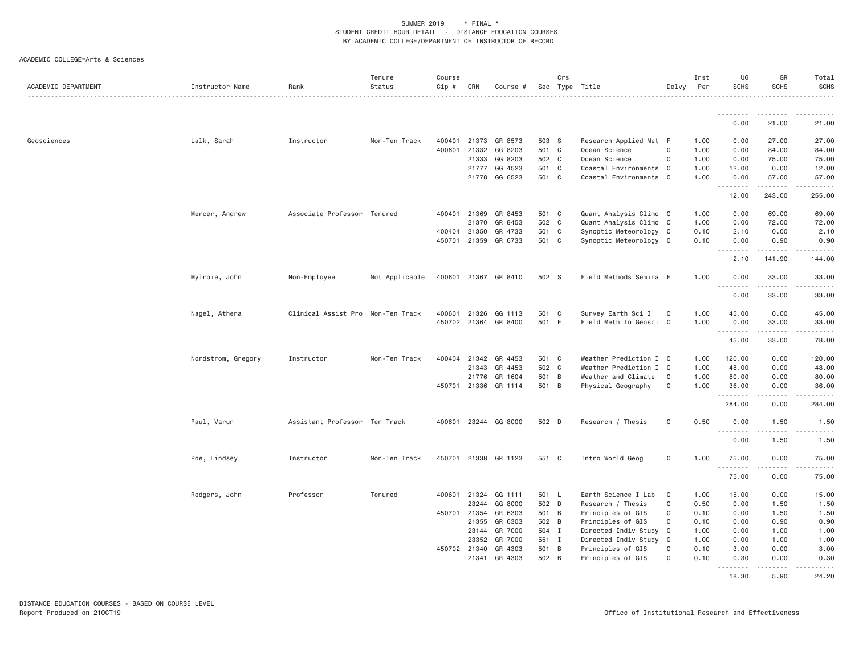| ACADEMIC DEPARTMENT | Instructor Name    | Rank                              | Tenure<br>Status | Course<br>Cip # | CRN          | Course #             |       | Crs | Sec Type Title         | Delvy                   | Inst<br>Per | UG<br><b>SCHS</b> | GR<br><b>SCHS</b>        | Total<br><b>SCHS</b><br>. |
|---------------------|--------------------|-----------------------------------|------------------|-----------------|--------------|----------------------|-------|-----|------------------------|-------------------------|-------------|-------------------|--------------------------|---------------------------|
|                     |                    |                                   |                  |                 |              |                      |       |     |                        |                         |             |                   |                          |                           |
|                     |                    |                                   |                  |                 |              |                      |       |     |                        |                         |             | 0.00              | 21.00                    | 21.00                     |
| Geosciences         | Lalk, Sarah        | Instructor                        | Non-Ten Track    | 400401          |              | 21373 GR 8573        | 503 S |     | Research Applied Met F |                         | 1.00        | 0.00              | 27.00                    | 27.00                     |
|                     |                    |                                   |                  | 400601          |              | 21332 GG 8203        | 501 C |     | Ocean Science          | $\mathbf 0$             | 1.00        | 0.00              | 84.00                    | 84.00                     |
|                     |                    |                                   |                  |                 | 21333        | GG 8203              | 502 C |     | Ocean Science          | $\circ$                 | 1.00        | 0.00              | 75.00                    | 75.00                     |
|                     |                    |                                   |                  |                 |              | 21777 GG 4523        | 501 C |     | Coastal Environments   | $\overline{\mathbf{0}}$ | 1.00        | 12.00             | 0.00                     | 12.00                     |
|                     |                    |                                   |                  |                 |              | 21778 GG 6523        | 501 C |     | Coastal Environments 0 |                         | 1.00        | 0.00<br>.         | 57.00<br>.               | 57.00<br>.                |
|                     |                    |                                   |                  |                 |              |                      |       |     |                        |                         |             | 12.00             | 243.00                   | 255.00                    |
|                     | Mercer, Andrew     | Associate Professor Tenured       |                  | 400401          | 21369        | GR 8453              | 501 C |     | Quant Analysis Climo 0 |                         | 1.00        | 0.00              | 69,00                    | 69.00                     |
|                     |                    |                                   |                  |                 | 21370        | GR 8453              | 502 C |     | Quant Analysis Climo 0 |                         | 1.00        | 0.00              | 72.00                    | 72.00                     |
|                     |                    |                                   |                  |                 | 400404 21350 | GR 4733              | 501 C |     | Synoptic Meteorology 0 |                         | 0.10        | 2.10              | 0.00                     | 2.10                      |
|                     |                    |                                   |                  |                 |              | 450701 21359 GR 6733 | 501 C |     | Synoptic Meteorology 0 |                         | 0.10        | 0.00<br><u>.</u>  | 0.90                     | 0.90                      |
|                     |                    |                                   |                  |                 |              |                      |       |     |                        |                         |             | 2.10              | 141.90                   | 144.00                    |
|                     | Mylroie, John      | Non-Employee                      | Not Applicable   |                 |              | 400601 21367 GR 8410 | 502 S |     | Field Methods Semina F |                         | 1.00        | 0.00<br>.         | 33.00<br>$- - - - - - -$ | 33.00                     |
|                     |                    |                                   |                  |                 |              |                      |       |     |                        |                         |             | 0.00              | 33.00                    | 33.00                     |
|                     | Nagel, Athena      | Clinical Assist Pro Non-Ten Track |                  | 400601          |              | 21326 GG 1113        | 501 C |     | Survey Earth Sci I     | $\mathbf 0$             | 1.00        | 45.00             | 0.00                     | 45.00                     |
|                     |                    |                                   |                  |                 |              | 450702 21364 GR 8400 | 501 E |     | Field Meth In Geosci 0 |                         | 1.00        | 0.00<br>.         | 33.00                    | 33.00                     |
|                     |                    |                                   |                  |                 |              |                      |       |     |                        |                         |             | 45.00             | 33.00                    | 78.00                     |
|                     | Nordstrom, Gregory | Instructor                        | Non-Ten Track    | 400404          | 21342        | GR 4453              | 501 C |     | Weather Prediction I 0 |                         | 1.00        | 120.00            | 0.00                     | 120.00                    |
|                     |                    |                                   |                  |                 |              | 21343 GR 4453        | 502 C |     | Weather Prediction I 0 |                         | 1.00        | 48,00             | 0.00                     | 48.00                     |
|                     |                    |                                   |                  |                 |              | 21776 GR 1604        | 501 B |     | Weather and Climate    | $\overline{0}$          | 1.00        | 80.00             | 0.00                     | 80.00                     |
|                     |                    |                                   |                  | 450701          |              | 21336 GR 1114        | 501 B |     | Physical Geography     | 0                       | 1.00        | 36.00<br>.        | 0.00                     | 36.00                     |
|                     |                    |                                   |                  |                 |              |                      |       |     |                        |                         |             | 284.00            | 0.00                     | 284.00                    |
|                     | Paul, Varun        | Assistant Professor Ten Track     |                  | 400601          |              | 23244 GG 8000        | 502 D |     | Research / Thesis      | $\mathsf{O}$            | 0.50        | 0.00<br>.         | 1.50<br>.                | 1.50<br>.                 |
|                     |                    |                                   |                  |                 |              |                      |       |     |                        |                         |             | 0.00              | 1.50                     | 1.50                      |
|                     | Poe, Lindsey       | Instructor                        | Non-Ten Track    |                 |              | 450701 21338 GR 1123 | 551 C |     | Intro World Geog       | $\mathbf 0$             | 1.00        | 75.00<br><u>.</u> | 0.00                     | 75.00                     |
|                     |                    |                                   |                  |                 |              |                      |       |     |                        |                         |             | 75.00             | 0.00                     | 75.00                     |
|                     | Rodgers, John      | Professor                         | Tenured          | 400601          | 21324        | GG 1111              | 501 L |     | Earth Science I Lab    | $\circ$                 | 1.00        | 15.00             | 0.00                     | 15.00                     |
|                     |                    |                                   |                  |                 | 23244        | GG 8000              | 502 D |     | Research / Thesis      | $\mathbf 0$             | 0.50        | 0.00              | 1.50                     | 1.50                      |
|                     |                    |                                   |                  |                 | 450701 21354 | GR 6303              | 501 B |     | Principles of GIS      | 0                       | 0.10        | 0.00              | 1.50                     | 1.50                      |
|                     |                    |                                   |                  |                 | 21355        | GR 6303              | 502 B |     | Principles of GIS      | $\mathsf{O}\xspace$     | 0.10        | 0.00              | 0.90                     | 0.90                      |
|                     |                    |                                   |                  |                 | 23144        | GR 7000              | 504 I |     | Directed Indiv Study 0 |                         | 1.00        | 0.00              | 1.00                     | 1.00                      |
|                     |                    |                                   |                  |                 | 23352        | GR 7000              | 551 I |     | Directed Indiv Study   | $\overline{0}$          | 1.00        | 0.00              | 1.00                     | 1.00                      |
|                     |                    |                                   |                  |                 | 450702 21340 | GR 4303              | 501 B |     | Principles of GIS      | $\Omega$                | 0.10        | 3.00              | 0.00                     | 3.00                      |
|                     |                    |                                   |                  |                 | 21341        | GR 4303              | 502 B |     | Principles of GIS      | $\circ$                 | 0.10        | 0.30<br>.         | 0.00<br>.                | 0.30<br>.                 |
|                     |                    |                                   |                  |                 |              |                      |       |     |                        |                         |             | 18,30             | 5.90                     | 24.20                     |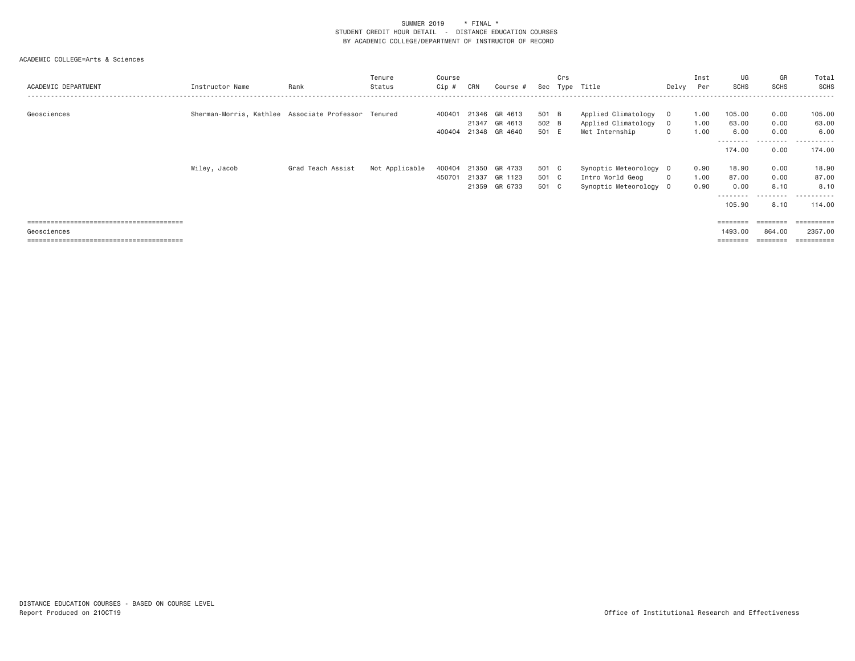| ACADEMIC DEPARTMENT | Instructor Name                                     | Rank              | Tenure<br>Status | Course<br>Cip #  | CRN            | Course #                                        | Sec                     | Crs<br>Tvpe | Title                                                                | Delvy Per                               | Inst                 | UG<br><b>SCHS</b>                             | GR<br><b>SCHS</b>                 | Total<br>SCHS                                  |
|---------------------|-----------------------------------------------------|-------------------|------------------|------------------|----------------|-------------------------------------------------|-------------------------|-------------|----------------------------------------------------------------------|-----------------------------------------|----------------------|-----------------------------------------------|-----------------------------------|------------------------------------------------|
| Geosciences         | Sherman-Morris, Kathlee Associate Professor Tenured |                   |                  | 400401<br>400404 |                | 21346 GR 4613<br>21347 GR 4613<br>21348 GR 4640 | 501 B<br>502 B<br>501 E |             | Applied Climatology 0<br>Applied Climatology<br>Met Internship       | $\overline{\mathbf{0}}$<br>$\mathbf{0}$ | 1.00<br>1.00<br>1.00 | 105.00<br>63.00<br>6.00                       | 0.00<br>0.00<br>0.00              | 105.00<br>63.00<br>6,00                        |
|                     |                                                     |                   |                  |                  |                |                                                 |                         |             |                                                                      |                                         |                      | ---------<br>174.00                           | .<br>0.00                         | ----------<br>174.00                           |
|                     | Wiley, Jacob                                        | Grad Teach Assist | Not Applicable   | 400404<br>450701 | 21350<br>21337 | GR 4733<br>GR 1123<br>21359 GR 6733             | 501 C<br>501 C<br>501 C |             | Synoptic Meteorology 0<br>Intro World Geog<br>Synoptic Meteorology 0 | $\overline{0}$                          | 0.90<br>1.00<br>0.90 | 18.90<br>87.00<br>0.00<br>---------<br>105.90 | 0.00<br>0.00<br>8.10<br>.<br>8.10 | 18.90<br>87.00<br>8.10<br>----------<br>114.00 |
| Geosciences         |                                                     |                   |                  |                  |                |                                                 |                         |             |                                                                      |                                         |                      | ========<br>1493.00                           | ========<br>864.00                | 2357,00<br>=========                           |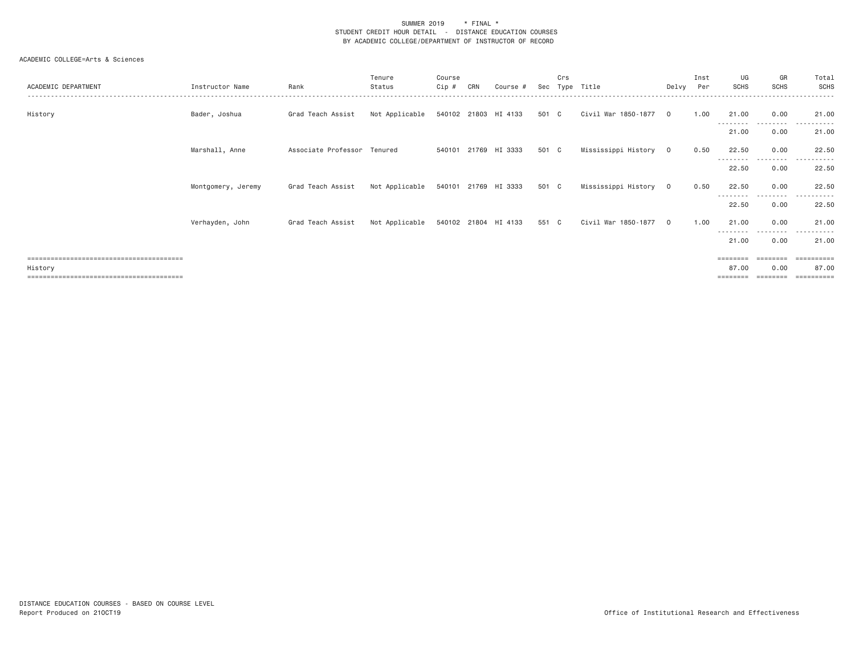| ACADEMIC DEPARTMENT | Instructor Name    | Rank                        | Tenure<br>Status | Course<br>Cip # | CRN | Course #             | Sec   | Crs | Type Title          | Delvy Per | Inst | UG<br><b>SCHS</b>  | GR<br><b>SCHS</b> | Total<br><b>SCHS</b>           |
|---------------------|--------------------|-----------------------------|------------------|-----------------|-----|----------------------|-------|-----|---------------------|-----------|------|--------------------|-------------------|--------------------------------|
| History             | Bader, Joshua      | Grad Teach Assist           | Not Applicable   |                 |     | 540102 21803 HI 4133 | 501 C |     | Civil War 1850-1877 | $\Omega$  | 1.00 | 21.00              | 0.00              | 21,00                          |
|                     |                    |                             |                  |                 |     |                      |       |     |                     |           |      | ---------<br>21.00 | .<br>0.00         | .<br>21.00                     |
|                     | Marshall, Anne     | Associate Professor Tenured |                  | 540101          |     | 21769 HI 3333        | 501 C |     | Mississippi History | - 0       | 0.50 | 22.50              | 0.00              | 22.50                          |
|                     |                    |                             |                  |                 |     |                      |       |     |                     |           |      | --------<br>22.50  | .<br>0.00         | .<br>22.50                     |
|                     | Montgomery, Jeremy | Grad Teach Assist           | Not Applicable   |                 |     | 540101 21769 HI 3333 | 501 C |     | Mississippi History | $\circ$   | 0.50 | 22.50              | 0.00              | 22.50                          |
|                     |                    |                             |                  |                 |     |                      |       |     |                     |           |      | --------<br>22.50  | .<br>0.00         | 22.50                          |
|                     | Verhayden, John    | Grad Teach Assist           | Not Applicable   |                 |     | 540102 21804 HI 4133 | 551 C |     | Civil War 1850-1877 | $\Omega$  | 1.00 | 21.00              | 0.00              | 21.00                          |
|                     |                    |                             |                  |                 |     |                      |       |     |                     |           |      | ---------<br>21.00 | .<br>0.00         | ----------<br>21.00            |
| History             |                    |                             |                  |                 |     |                      |       |     |                     |           |      | 87.00              | 0.00              | =========<br>87.00<br>======== |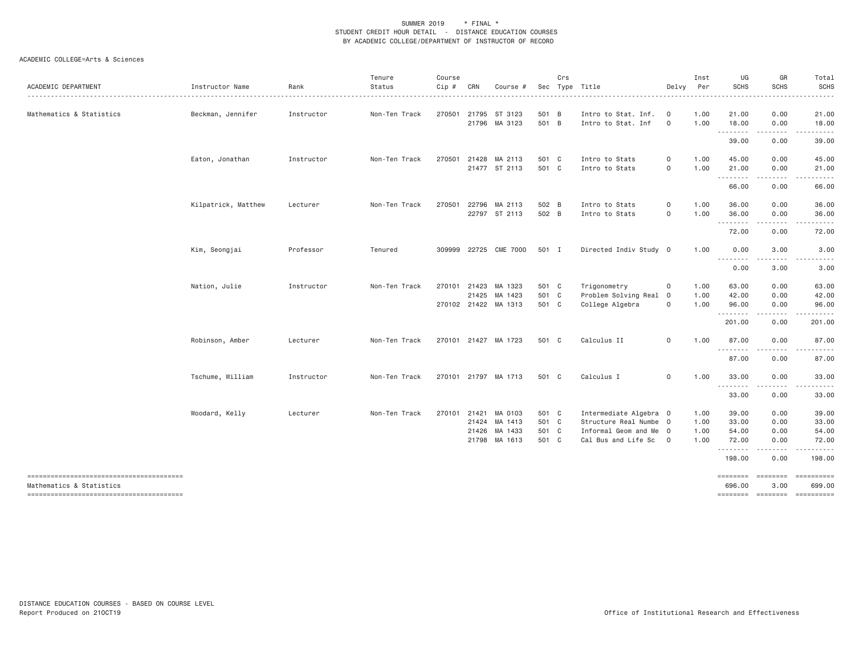| ACADEMIC DEPARTMENT      | Instructor Name     | Rank       | Tenure<br>Status | Course<br>Cip # | CRN            | Course #                                         | Sec                     | Crs | Type Title                                                                 | Delvy                                       | Inst<br>Per          | UG<br><b>SCHS</b>       | GR<br><b>SCHS</b>    | Total<br><b>SCHS</b>    |
|--------------------------|---------------------|------------|------------------|-----------------|----------------|--------------------------------------------------|-------------------------|-----|----------------------------------------------------------------------------|---------------------------------------------|----------------------|-------------------------|----------------------|-------------------------|
| Mathematics & Statistics | Beckman, Jennifer   | Instructor | Non-Ten Track    | 270501          |                | 21795 ST 3123<br>21796 MA 3123                   | 501 B<br>501 B          |     | Intro to Stat. Inf.<br>Intro to Stat. Inf                                  | $\overline{0}$<br>$\mathbf 0$               | 1.00<br>1.00         | 21.00<br>18.00          | 0.00<br>0.00         | 21.00<br>18.00          |
|                          |                     |            |                  |                 |                |                                                  |                         |     |                                                                            |                                             |                      | .<br>39.00              | 0.00                 | 39.00                   |
|                          | Eaton, Jonathan     | Instructor | Non-Ten Track    | 270501          |                | 21428 MA 2113<br>21477 ST 2113                   | 501 C<br>501 C          |     | Intro to Stats<br>Intro to Stats                                           | $\mathbf 0$<br>$\mathbf 0$                  | 1.00<br>1.00         | 45.00<br>21.00          | 0.00<br>0.00         | 45.00<br>21.00          |
|                          |                     |            |                  |                 |                |                                                  |                         |     |                                                                            |                                             |                      | 66.00                   | $- - - - -$<br>0.00  | .<br>66.00              |
|                          | Kilpatrick, Matthew | Lecturer   | Non-Ten Track    | 270501          |                | 22796 MA 2113<br>22797 ST 2113                   | 502 B<br>502 B          |     | Intro to Stats<br>Intro to Stats                                           | $\mathsf{O}$<br>$\mathbf 0$                 | 1.00<br>1.00         | 36.00<br>36.00<br>.     | 0.00<br>0.00         | 36.00<br>36.00          |
|                          |                     |            |                  |                 |                |                                                  |                         |     |                                                                            |                                             |                      | 72.00                   | 0.00                 | 72.00                   |
|                          | Kim, Seongjai       | Professor  | Tenured          |                 |                | 309999 22725 CME 7000                            | 501 I                   |     | Directed Indiv Study 0                                                     |                                             | 1.00                 | 0.00                    | 3.00<br>. <b>.</b>   | 3.00<br>$- - - -$       |
|                          |                     |            |                  |                 |                |                                                  |                         |     |                                                                            |                                             |                      | 0.00                    | 3.00                 | 3.00                    |
|                          | Nation, Julie       | Instructor | Non-Ten Track    | 270101          | 21425          | 21423 MA 1323<br>MA 1423<br>270102 21422 MA 1313 | 501 C<br>501 C<br>501 C |     | Trigonometry<br>Problem Solving Real<br>College Algebra                    | 0<br>$\overline{\mathbf{0}}$<br>$\mathbf 0$ | 1.00<br>1.00<br>1.00 | 63.00<br>42.00<br>96.00 | 0.00<br>0.00<br>0.00 | 63.00<br>42.00<br>96.00 |
|                          |                     |            |                  |                 |                |                                                  |                         |     |                                                                            |                                             |                      | .<br>201.00             | .<br>0.00            | .<br>201.00             |
|                          | Robinson, Amber     | Lecturer   | Non-Ten Track    |                 |                | 270101 21427 MA 1723                             | 501 C                   |     | Calculus II                                                                | $\circ$                                     | 1.00                 | 87.00                   | 0.00                 | 87.00                   |
|                          |                     |            |                  |                 |                |                                                  |                         |     |                                                                            |                                             |                      | .<br>87.00              | .<br>0.00            | .<br>87.00              |
|                          | Tschume, William    | Instructor | Non-Ten Track    |                 |                | 270101 21797 MA 1713                             | 501 C                   |     | Calculus I                                                                 | $\mathbf 0$                                 | 1.00                 | 33.00<br>.              | 0.00<br>.            | 33.00<br>.              |
|                          |                     |            |                  |                 |                |                                                  |                         |     |                                                                            |                                             |                      | 33.00                   | 0.00                 | 33.00                   |
|                          | Woodard, Kelly      | Lecturer   | Non-Ten Track    | 270101          | 21421<br>21424 | MA 0103<br>MA 1413<br>21426 MA 1433              | 501 C<br>501 C<br>501 C |     | Intermediate Algebra 0<br>Structure Real Numbe 0<br>Informal Geom and Me 0 |                                             | 1.00<br>1.00<br>1.00 | 39.00<br>33.00<br>54.00 | 0.00<br>0.00<br>0.00 | 39.00<br>33.00<br>54.00 |
|                          |                     |            |                  |                 |                | 21798 MA 1613                                    | 501 C                   |     | Cal Bus and Life Sc                                                        | $\overline{\mathbf{0}}$                     | 1.00                 | 72.00<br>.              | 0.00                 | 72.00                   |
|                          |                     |            |                  |                 |                |                                                  |                         |     |                                                                            |                                             |                      | 198.00                  | 0.00                 | 198.00                  |
| Mathematics & Statistics |                     |            |                  |                 |                |                                                  |                         |     |                                                                            |                                             |                      | ========<br>696.00      | 3.00                 | 699.00                  |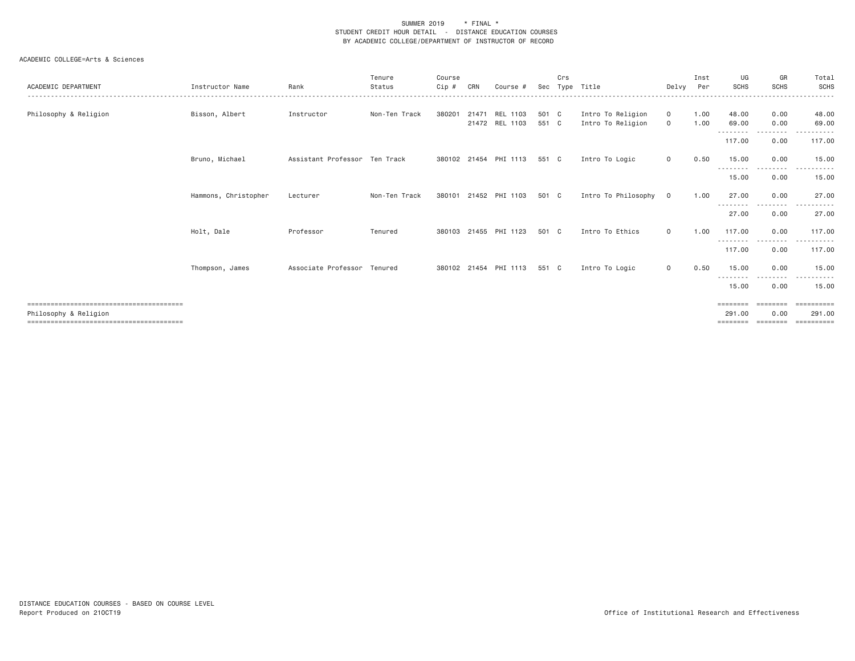| ACADEMIC DEPARTMENT   | Instructor Name      | Rank                          | Tenure<br>Status | Course<br>Cip# | CRN | Course #                         | Sec            | Crs | Type Title                             | Delvy                        | Inst<br>Per  | UG<br><b>SCHS</b>           | GR<br><b>SCHS</b> | Total<br>SCHS     |
|-----------------------|----------------------|-------------------------------|------------------|----------------|-----|----------------------------------|----------------|-----|----------------------------------------|------------------------------|--------------|-----------------------------|-------------------|-------------------|
| Philosophy & Religion | Bisson, Albert       | Instructor                    | Non-Ten Track    | 380201         |     | 21471 REL 1103<br>21472 REL 1103 | 501 C<br>551 C |     | Intro To Religion<br>Intro To Religion | $\mathbf{0}$<br>$\mathbf{0}$ | 1.00<br>1.00 | 48.00<br>69,00              | 0.00<br>0.00      | 48.00<br>69.00    |
|                       |                      |                               |                  |                |     |                                  |                |     |                                        |                              |              | - - - - - - - - -<br>117.00 | - - - -<br>0.00   | 117.00            |
|                       | Bruno, Michael       | Assistant Professor Ten Track |                  |                |     | 380102 21454 PHI 1113            | 551 C          |     | Intro To Logic                         | $\mathbf{0}$                 | 0.50         | 15.00<br>--------           | 0.00<br>.         | 15.00<br>.        |
|                       |                      |                               |                  |                |     |                                  |                |     |                                        |                              |              | 15.00                       | 0.00              | 15.00             |
|                       | Hammons, Christopher | Lecturer                      | Non-Ten Track    |                |     | 380101 21452 PHI 1103            | 501 C          |     | Intro To Philosophy                    | $\overline{0}$               | 1.00         | 27,00                       | 0.00<br>.         | 27.00             |
|                       |                      |                               |                  |                |     |                                  |                |     |                                        |                              |              | 27.00                       | 0.00              | 27.00             |
|                       | Holt, Dale           | Professor                     | Tenured          | 380103         |     | 21455 PHI 1123                   | 501 C          |     | Intro To Ethics                        | $\mathbf{0}$                 | 1.00         | 117,00                      | 0.00              | 117.00<br>------- |
|                       |                      |                               |                  |                |     |                                  |                |     |                                        |                              |              | --------<br>117.00          | ---------<br>0.00 | 117.00            |
|                       | Thompson, James      | Associate Professor Tenured   |                  |                |     | 380102 21454 PHI 1113            | 551 C          |     | Intro To Logic                         | $\mathbf{0}$                 | 0.50         | 15.00                       | 0.00              | 15.00             |
|                       |                      |                               |                  |                |     |                                  |                |     |                                        |                              |              | - - - - - - - -<br>15.00    | 0.00              | 15.00             |
| Philosophy & Religion |                      |                               |                  |                |     |                                  |                |     |                                        |                              |              | ========<br>291,00          | 0.00              | 291.00            |
|                       |                      |                               |                  |                |     |                                  |                |     |                                        |                              |              | ========                    | ========          | ==========        |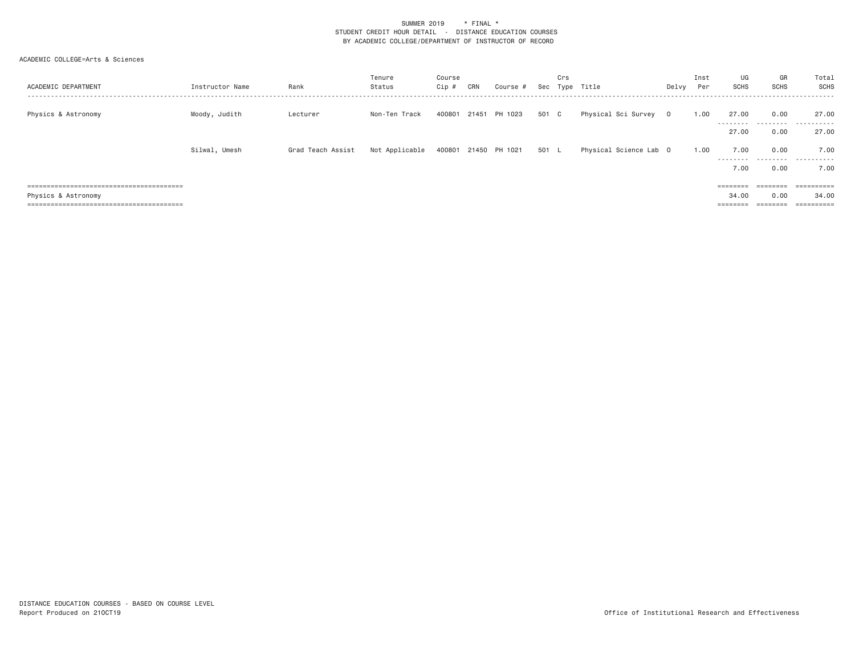| ACADEMIC DEPARTMENT | Instructor Name | Rank              | Tenure<br>Status | Course<br>Cip # | CRN | Course #             | Sec   | Crs<br>Type | Title                  | Delvy | Inst<br>Per | UG<br><b>SCHS</b>     | GR<br><b>SCHS</b>                                                           | Total<br>SCHS             |
|---------------------|-----------------|-------------------|------------------|-----------------|-----|----------------------|-------|-------------|------------------------|-------|-------------|-----------------------|-----------------------------------------------------------------------------|---------------------------|
| Physics & Astronomy | Moody, Judith   | Lecturer          | Non-Ten Track    |                 |     | 400801 21451 PH 1023 | 501 C |             | Physical Sci Survey 0  |       | 1.00        | 27.00<br>---------    | 0.00<br>.                                                                   | 27.00<br>.                |
|                     |                 |                   |                  |                 |     |                      |       |             |                        |       |             | 27,00                 | 0.00                                                                        | 27.00                     |
|                     | Silwal, Umesh   | Grad Teach Assist | Not Applicable   |                 |     | 400801 21450 PH 1021 | 501 L |             | Physical Science Lab 0 |       | 1.00        | 7.00<br>---------     | 0.00                                                                        | 7.00<br>.                 |
|                     |                 |                   |                  |                 |     |                      |       |             |                        |       |             | 7.00                  | 0.00                                                                        | 7.00                      |
|                     |                 |                   |                  |                 |     |                      |       |             |                        |       |             | $=$ = = = = = = =     | $\begin{array}{cccccccccc} = & = & = & = & = & = & = & = & = & \end{array}$ | ==========                |
| Physics & Astronomy |                 |                   |                  |                 |     |                      |       |             |                        |       |             | 34.00                 | 0.00                                                                        | 34,00                     |
|                     |                 |                   |                  |                 |     |                      |       |             |                        |       |             | ---------<br>======== |                                                                             | -----------<br>---------- |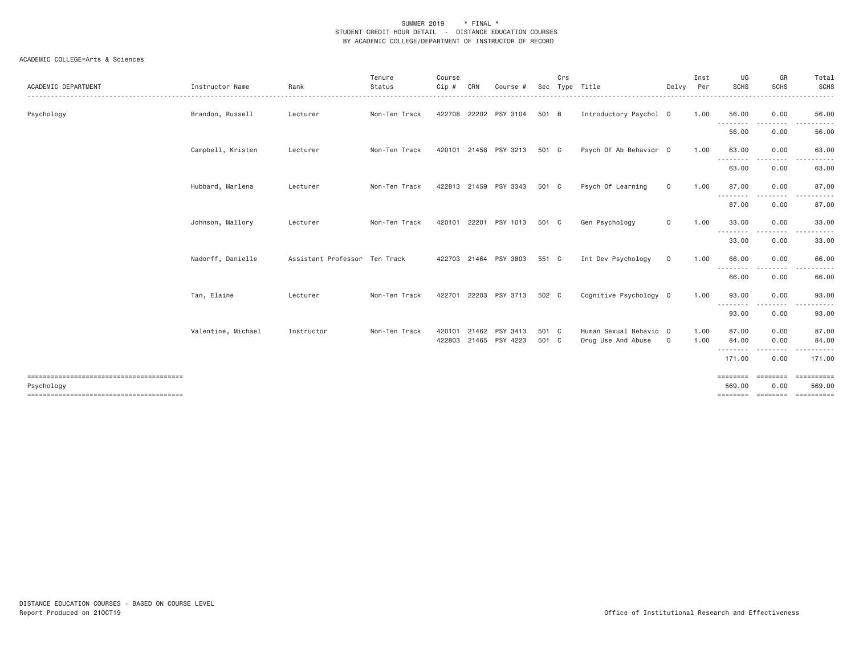| ACADEMIC DEPARTMENT | Instructor Name    | Rank                          | Tenure<br>Status | Course<br>Cip# | CRN | Course                                  | Sec            | Crs | Type Title                                   | Delvy       | Inst<br>Per  | UG<br>SCHS                     | GR<br><b>SCHS</b>                  | Total<br><b>SCHS</b>               |
|---------------------|--------------------|-------------------------------|------------------|----------------|-----|-----------------------------------------|----------------|-----|----------------------------------------------|-------------|--------------|--------------------------------|------------------------------------|------------------------------------|
| Psychology          | Brandon, Russell   | Lecturer                      | Non-Ten Track    |                |     | 422708 22202 PSY 3104                   | 501 B          |     | Introductory Psychol 0                       |             | 1.00         | 56.00                          | 0.00                               | 56.00                              |
|                     |                    |                               |                  |                |     |                                         |                |     |                                              |             |              | --------<br>56.00              | 0.00                               | 56.00                              |
|                     | Campbell, Kristen  | Lecturer                      | Non-Ten Track    |                |     | 420101 21458 PSY 3213                   | 501 C          |     | Psych Of Ab Behavior 0                       |             | 1.00         | 63.00<br>--------              | 0.00                               | 63.00                              |
|                     |                    |                               |                  |                |     |                                         |                |     |                                              |             |              | 63.00                          | 0.00                               | 63.00                              |
|                     | Hubbard, Marlena   | Lecturer                      | Non-Ten Track    |                |     | 422813 21459 PSY 3343                   | 501 C          |     | Psych Of Learning                            | 0           | 1.00         | 87.00<br>--------              | 0.00<br>- - - - -                  | 87.00                              |
|                     |                    |                               |                  |                |     |                                         |                |     |                                              |             |              | 87.00                          | 0.00                               | 87.00                              |
|                     | Johnson, Mallory   | Lecturer                      | Non-Ten Track    |                |     | 420101 22201 PSY 1013                   | 501 C          |     | Gen Psychology                               | $\mathbf 0$ | 1.00         | 33.00<br>.                     | 0.00                               | 33.00                              |
|                     |                    |                               |                  |                |     |                                         |                |     |                                              |             |              | 33.00                          | 0.00                               | 33.00                              |
|                     | Nadorff, Danielle  | Assistant Professor Ten Track |                  |                |     | 422703 21464 PSY 3803                   | 551 C          |     | Int Dev Psychology                           | $\mathbf 0$ | 1.00         | 66.00<br>.                     | 0.00                               | 66.00                              |
|                     |                    |                               |                  |                |     |                                         |                |     |                                              |             |              | 66.00                          | 0.00                               | 66.00                              |
|                     | Tan, Elaine        | Lecturer                      | Non-Ten Track    |                |     | 422701 22203 PSY 3713                   | 502 C          |     | Cognitive Psychology 0                       |             | 1.00         | 93.00<br>.                     | 0.00                               | 93.00                              |
|                     |                    |                               |                  |                |     |                                         |                |     |                                              |             |              | 93.00                          | 0.00                               | 93.00                              |
|                     | Valentine, Michael | Instructor                    | Non-Ten Track    | 420101         |     | 21462 PSY 3413<br>422803 21465 PSY 4223 | 501 C<br>501 C |     | Human Sexual Behavio 0<br>Drug Use And Abuse | $\circ$     | 1.00<br>1.00 | 87.00<br>84.00                 | 0.00<br>0.00                       | 87.00<br>84.00                     |
|                     |                    |                               |                  |                |     |                                         |                |     |                                              |             |              | .<br>171.00                    | 0.00                               | 171.00                             |
| Psychology          |                    |                               |                  |                |     |                                         |                |     |                                              |             |              | ========<br>569.00<br>======== | <b>EEEEEEE</b><br>0.00<br>======== | ==========<br>569.00<br>========== |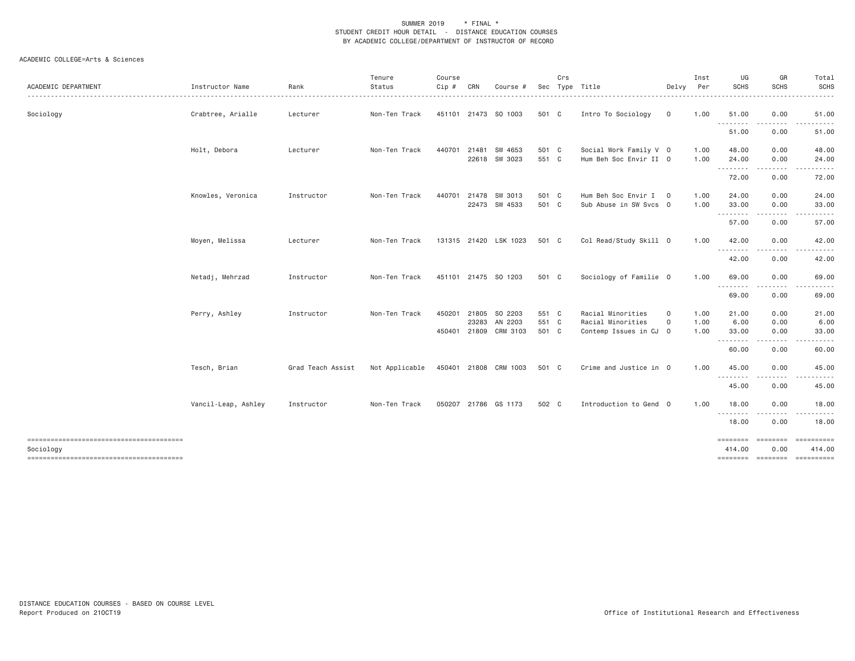| ACADEMIC DEPARTMENT                                 | Instructor Name     | Rank              | Tenure<br>Status | Course<br>Cip # | CRN   | Course                                |                | Crs | Sec Type Title                                   | Delvy   | Inst<br>Per  | UG<br>SCHS         | GR<br><b>SCHS</b> | Total<br>SCHS  |
|-----------------------------------------------------|---------------------|-------------------|------------------|-----------------|-------|---------------------------------------|----------------|-----|--------------------------------------------------|---------|--------------|--------------------|-------------------|----------------|
| Sociology                                           | Crabtree, Arialle   | Lecturer          | Non-Ten Track    |                 |       | 451101 21473 SO 1003                  | 501 C          |     | Intro To Sociology                               | 0       | 1.00         | 51.00              | 0.00              | 51.00          |
|                                                     |                     |                   |                  |                 |       |                                       |                |     |                                                  |         |              | .<br>51.00         | 0.00              | 51.00          |
|                                                     | Holt, Debora        | Lecturer          | Non-Ten Track    | 440701          | 21481 | SW 4653<br>22618 SW 3023              | 501 C<br>551 C |     | Social Work Family V 0<br>Hum Beh Soc Envir II 0 |         | 1.00<br>1.00 | 48.00<br>24.00     | 0.00<br>0.00      | 48.00<br>24.00 |
|                                                     |                     |                   |                  |                 |       |                                       |                |     |                                                  |         |              | .<br>72.00         | <u>.</u><br>0.00  | 72.00          |
|                                                     | Knowles, Veronica   | Instructor        | Non-Ten Track    |                 |       | 440701 21478 SW 3013<br>22473 SW 4533 | 501 C<br>501 C |     | Hum Beh Soc Envir I 0<br>Sub Abuse in SW Svcs 0  |         | 1.00<br>1.00 | 24.00<br>33.00     | 0.00<br>0.00      | 24.00<br>33.00 |
|                                                     |                     |                   |                  |                 |       |                                       |                |     |                                                  |         |              | .<br>57.00         | -----<br>0.00     | 57.00          |
|                                                     | Moyen, Melissa      | Lecturer          | Non-Ten Track    |                 |       | 131315 21420 LSK 1023                 | 501 C          |     | Col Read/Study Skill 0                           |         | 1.00         | 42.00              | 0.00              | 42.00          |
|                                                     |                     |                   |                  |                 |       |                                       |                |     |                                                  |         |              | 42.00              | 0.00              | 42.00          |
|                                                     | Netadj, Mehrzad     | Instructor        | Non-Ten Track    |                 |       | 451101 21475 SO 1203                  | 501 C          |     | Sociology of Familie 0                           |         | 1.00         | 69.00<br>--------  | 0.00              | 69.00          |
|                                                     |                     |                   |                  |                 |       |                                       |                |     |                                                  |         |              | 69.00              | 0.00              | 69.00          |
|                                                     | Perry, Ashley       | Instructor        | Non-Ten Track    | 450201          |       | 21805 SO 2203                         | 551 C          |     | Racial Minorities                                | $\circ$ | 1.00         | 21.00              | 0.00              | 21.00          |
|                                                     |                     |                   |                  |                 | 23283 | AN 2203                               | 551 C          |     | Racial Minorities                                | $\circ$ | 1.00         | 6.00               | 0.00              | 6.00           |
|                                                     |                     |                   |                  |                 |       | 450401 21809 CRM 3103                 | 501 C          |     | Contemp Issues in CJ 0                           |         | 1.00         | 33.00<br>.         | 0.00              | 33.00          |
|                                                     |                     |                   |                  |                 |       |                                       |                |     |                                                  |         |              | 60.00              | 0.00              | 60.00          |
|                                                     | Tesch, Brian        | Grad Teach Assist | Not Applicable   |                 |       | 450401 21808 CRM 1003                 | 501 C          |     | Crime and Justice in 0                           |         | 1.00         | 45.00<br>.         | 0.00              | 45.00          |
|                                                     |                     |                   |                  |                 |       |                                       |                |     |                                                  |         |              | 45.00              | 0.00              | 45.00          |
|                                                     | Vancil-Leap, Ashley | Instructor        | Non-Ten Track    |                 |       | 050207 21786 GS 1173                  | 502 C          |     | Introduction to Gend 0                           |         | 1.00         | 18.00              | 0.00              | 18.00          |
|                                                     |                     |                   |                  |                 |       |                                       |                |     |                                                  |         |              | .<br>18.00         | 0.00              | 18.00          |
| --------------------------------------<br>Sociology |                     |                   |                  |                 |       |                                       |                |     |                                                  |         |              | ========<br>414.00 | ========<br>0.00  | 414.00         |
| --------------------------------------              |                     |                   |                  |                 |       |                                       |                |     |                                                  |         |              | ========           | ========          | ==========     |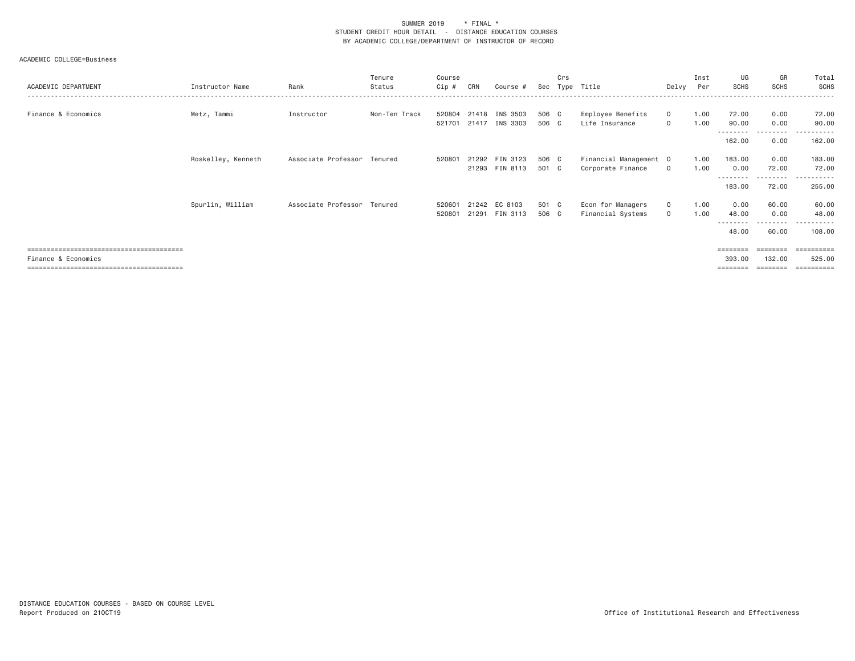## ACADEMIC COLLEGE=Business

| ACADEMIC DEPARTMENT | Instructor Name    | Rank                        | Tenure<br>Status | Course<br>Cip # | CRN   | Course #              | Sec   | Crs | Type Title             | Delvy        | Inst<br>Per | UG<br><b>SCHS</b> | GR<br><b>SCHS</b> | Total<br>SCHS |
|---------------------|--------------------|-----------------------------|------------------|-----------------|-------|-----------------------|-------|-----|------------------------|--------------|-------------|-------------------|-------------------|---------------|
| Finance & Economics | Metz, Tammi        | Instructor                  | Non-Ten Track    | 520804          | 21418 | INS 3503              | 506 C |     | Employee Benefits      | $\mathbf{0}$ | 1.00        | 72.00             | 0.00              | 72.00         |
|                     |                    |                             |                  |                 |       | 521701 21417 INS 3303 | 506 C |     | Life Insurance         | $\Omega$     | 1.00        | 90.00<br>-------- | 0.00<br>.         | 90.00<br>.    |
|                     |                    |                             |                  |                 |       |                       |       |     |                        |              |             | 162.00            | 0.00              | 162.00        |
|                     | Roskelley, Kenneth | Associate Professor Tenured |                  | 520801          |       | 21292 FIN 3123        | 506 C |     | Financial Management 0 |              | 1.00        | 183.00            | 0.00              | 183.00        |
|                     |                    |                             |                  |                 |       | 21293 FIN 8113        | 501 C |     | Corporate Finance      | $\circ$      | 1.00        | 0.00<br>--------  | 72.00<br>-------- | 72.00<br>.    |
|                     |                    |                             |                  |                 |       |                       |       |     |                        |              |             | 183.00            | 72.00             | 255.00        |
|                     | Spurlin, William   | Associate Professor Tenured |                  | 520601          |       | 21242 EC 8103         | 501 C |     | Econ for Managers      | $\mathbf{0}$ | 1.00        | 0.00              | 60.00             | 60.00         |
|                     |                    |                             |                  | 520801          |       | 21291 FIN 3113        | 506 C |     | Financial Systems      | $\mathbf{0}$ | 1.00        | 48,00             | 0.00              | 48.00         |
|                     |                    |                             |                  |                 |       |                       |       |     |                        |              |             |                   | ---------         | .             |
|                     |                    |                             |                  |                 |       |                       |       |     |                        |              |             | 48,00             | 60.00             | 108.00        |
|                     |                    |                             |                  |                 |       |                       |       |     |                        |              |             | --------          | ========          |               |
| Finance & Economics |                    |                             |                  |                 |       |                       |       |     |                        |              |             | 393.00            | 132.00            | 525.00        |

======================================== ======== ======== ==========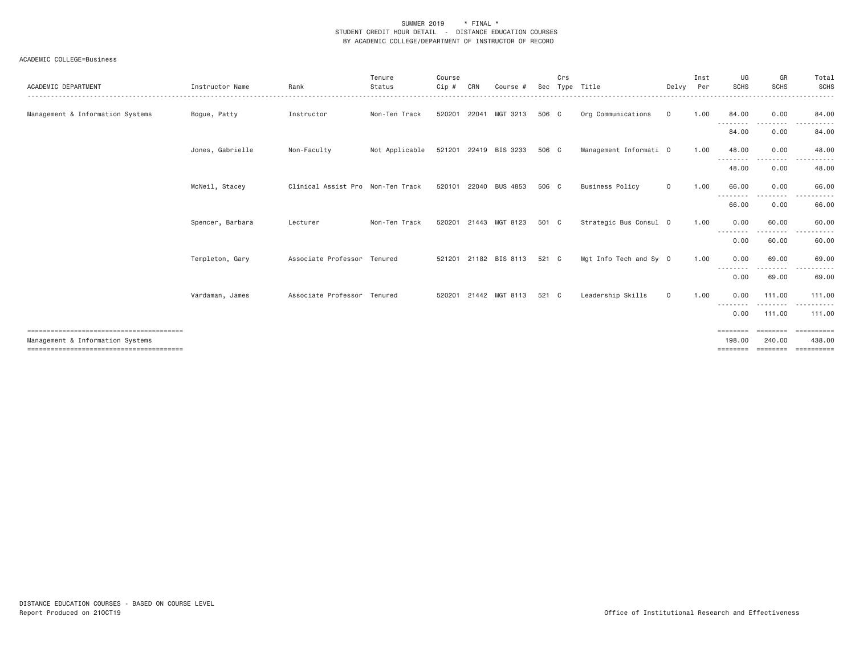| ACADEMIC DEPARTMENT                  | Instructor Name  | Rank                              | Tenure<br>Status | Course<br>$Cip$ # | CRN   | Course #              | Sec   | Crs | Type Title             | Delvy       | Inst<br>Per | UG<br><b>SCHS</b>  | GR<br><b>SCHS</b>           | Total<br>SCHS<br>------    |
|--------------------------------------|------------------|-----------------------------------|------------------|-------------------|-------|-----------------------|-------|-----|------------------------|-------------|-------------|--------------------|-----------------------------|----------------------------|
| Management & Information Systems     | Bogue, Patty     | Instructor                        | Non-Ten Track    | 520201            | 22041 | MGT 3213              | 506 C |     | Org Communications     | $\mathbf 0$ | 1.00        | 84.00<br>--------- | 0.00                        | 84.00                      |
|                                      |                  |                                   |                  |                   |       |                       |       |     |                        |             |             | 84.00              | 0.00                        | 84.00                      |
|                                      | Jones, Gabrielle | Non-Faculty                       | Not Applicable   |                   |       | 521201 22419 BIS 3233 | 506 C |     | Management Informati 0 |             | 1.00        | 48.00<br>.         | 0.00<br>-----               | 48.00                      |
|                                      |                  |                                   |                  |                   |       |                       |       |     |                        |             |             | 48.00              | 0.00                        | 48.00                      |
|                                      | McNeil, Stacey   | Clinical Assist Pro Non-Ten Track |                  | 520101            |       | 22040 BUS 4853        | 506 C |     | <b>Business Policy</b> | $\mathbf 0$ | 1.00        | 66.00<br>--------- | 0.00<br>.                   | 66.00<br>$- - -$<br>------ |
|                                      |                  |                                   |                  |                   |       |                       |       |     |                        |             |             | 66.00              | 0.00                        | 66.00                      |
|                                      | Spencer, Barbara | Lecturer                          | Non-Ten Track    | 520201            |       | 21443 MGT 8123        | 501 C |     | Strategic Bus Consul 0 |             | 1.00        | 0.00<br>---------  | 60.00<br>.                  | 60.00                      |
|                                      |                  |                                   |                  |                   |       |                       |       |     |                        |             |             | 0.00               | 60.00                       | 60.00                      |
|                                      | Templeton, Gary  | Associate Professor Tenured       |                  |                   |       | 521201 21182 BIS 8113 | 521 C |     | Mgt Info Tech and Sy 0 |             | 1.00        | 0.00<br>----       | 69,00                       | 69,00                      |
|                                      |                  |                                   |                  |                   |       |                       |       |     |                        |             |             | 0.00               | 69.00                       | 69.00                      |
|                                      | Vardaman, James  | Associate Professor Tenured       |                  |                   |       | 520201 21442 MGT 8113 | 521 C |     | Leadership Skills      | $\circ$     | 1.00        | 0.00               | 111.00                      | 111.00                     |
|                                      |                  |                                   |                  |                   |       |                       |       |     |                        |             |             | ---------<br>0.00  | - - - - - - - - -<br>111.00 | ----------<br>111.00       |
| ------------------------------------ |                  |                                   |                  |                   |       |                       |       |     |                        |             |             | ========           | ========                    | ==========                 |
| Management & Information Systems     |                  |                                   |                  |                   |       |                       |       |     |                        |             |             | 198,00<br>======== | 240,00<br>========          | 438,00<br>==========       |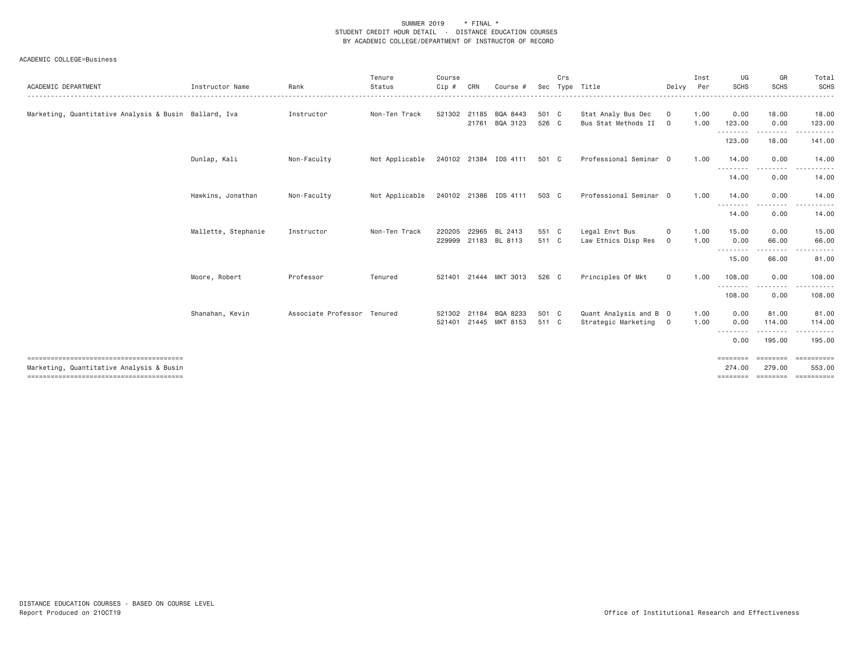| ACADEMIC DEPARTMENT                                   | Instructor Name     | Rank                        | Tenure<br>Status | Course<br>$Cip$ # | CRN            | Course                     | Sec            | Crs | Type Title                                    | Delvv                          | Inst<br>Per  | UG<br><b>SCHS</b>              | GR<br><b>SCHS</b>              | Total<br><b>SCHS</b>                         |
|-------------------------------------------------------|---------------------|-----------------------------|------------------|-------------------|----------------|----------------------------|----------------|-----|-----------------------------------------------|--------------------------------|--------------|--------------------------------|--------------------------------|----------------------------------------------|
|                                                       |                     |                             |                  |                   |                |                            |                |     |                                               |                                |              |                                |                                |                                              |
| Marketing, Quantitative Analysis & Busin Ballard, Iva |                     | Instructor                  | Non-Ten Track    | 521302            | 21185<br>21761 | BQA 8443<br>BQA 3123       | 501 C<br>526 C |     | Stat Analy Bus Dec<br>Bus Stat Methods II     | $\mathbf{0}$<br>$\overline{0}$ | 1.00<br>1.00 | 0.00<br>123.00                 | 18,00<br>0.00                  | 18.00<br>123.00                              |
|                                                       |                     |                             |                  |                   |                |                            |                |     |                                               |                                |              | .<br>123.00                    | .<br>18.00                     | -------<br>141.00                            |
|                                                       | Dunlap, Kali        | Non-Faculty                 | Not Applicable   |                   |                | 240102 21384 IDS 4111      | 501 C          |     | Professional Seminar 0                        |                                | 1.00         | 14.00<br><u>.</u>              | 0.00<br>.                      | 14.00                                        |
|                                                       |                     |                             |                  |                   |                |                            |                |     |                                               |                                |              | 14.00                          | 0.00                           | 14.00                                        |
|                                                       | Hawkins, Jonathan   | Non-Faculty                 | Not Applicable   |                   |                | 240102 21386 IDS 4111      | 503 C          |     | Professional Seminar 0                        |                                | 1.00         | 14,00<br><u>.</u>              | 0.00                           | 14.00                                        |
|                                                       |                     |                             |                  |                   |                |                            |                |     |                                               |                                |              | 14.00                          | 0.00                           | 14.00                                        |
|                                                       | Mallette, Stephanie | Instructor                  | Non-Ten Track    | 220205<br>229999  | 22965          | BL 2413<br>21183 BL 8113   | 551 C<br>511 C |     | Legal Envt Bus<br>Law Ethics Disp Res         | $\mathbf{0}$<br>$\mathbf 0$    | 1.00<br>1.00 | 15.00<br>0.00                  | 0.00<br>66.00                  | 15.00<br>66.00                               |
|                                                       |                     |                             |                  |                   |                |                            |                |     |                                               |                                |              | ---------<br>15.00             | . <b>.</b><br>66.00            | . <u>.</u> .<br>81.00                        |
|                                                       | Moore, Robert       | Professor                   | Tenured          |                   |                | 521401 21444 MKT 3013      | 526 C          |     | Principles Of Mkt                             | $\circ$                        | 1.00         | 108.00<br>.                    | 0.00<br>.                      | 108.00<br>------                             |
|                                                       |                     |                             |                  |                   |                |                            |                |     |                                               |                                |              | 108.00                         | 0.00                           | 108.00                                       |
|                                                       | Shanahan, Kevin     | Associate Professor Tenured |                  | 521302<br>521401  | 21184          | BQA 8233<br>21445 MKT 8153 | 501 C<br>511 C |     | Quant Analysis and B 0<br>Strategic Marketing | $\overline{0}$                 | 1.00<br>1.00 | 0.00<br>0.00<br>0.00           | 81.00<br>114.00<br>.<br>195.00 | 81.00<br>114.00<br>195.00                    |
|                                                       |                     |                             |                  |                   |                |                            |                |     |                                               |                                |              |                                |                                |                                              |
| Marketing, Quantitative Analysis & Busin              |                     |                             |                  |                   |                |                            |                |     |                                               |                                |              | ========<br>274,00<br>======== | ========<br>279,00<br>======== | - = = = = = = = = =<br>553.00<br>----------- |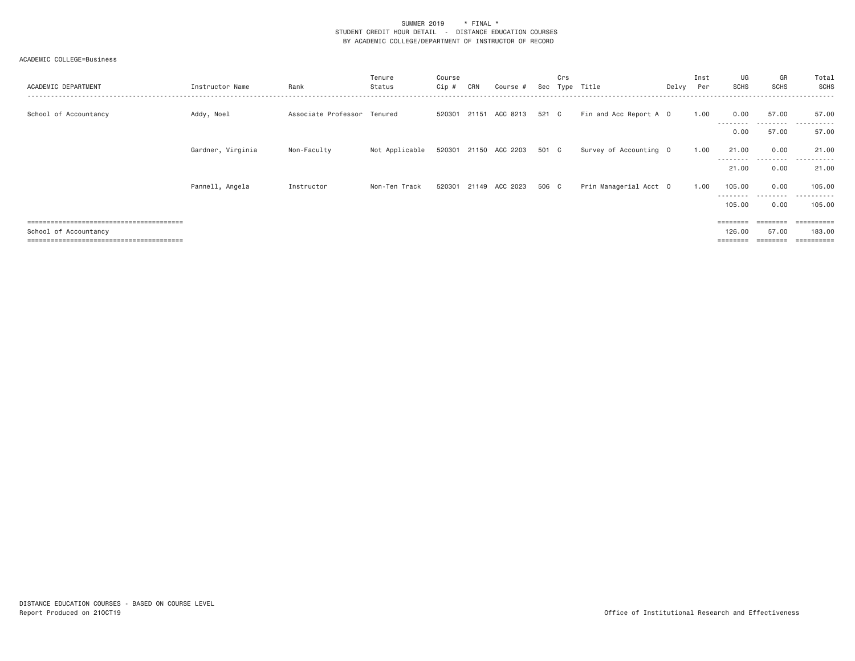| ACADEMIC DEPARTMENT   | Instructor Name   | Rank                        | Tenure<br>Status | Course<br>Cip # | CRN | Course #                    | Sec   | Crs<br>Type | Title                  | Delvy | Inst<br>Per | UG<br>SCHS          | GR<br><b>SCHS</b> | Total<br>SCHS         |
|-----------------------|-------------------|-----------------------------|------------------|-----------------|-----|-----------------------------|-------|-------------|------------------------|-------|-------------|---------------------|-------------------|-----------------------|
| School of Accountancy | Addy, Noel        | Associate Professor Tenured |                  | 520301          |     | 21151 ACC 8213              | 521 C |             | Fin and Acc Report A 0 |       | 1.00        | 0.00<br>---------   | 57.00<br>.        | 57.00<br>----------   |
|                       |                   |                             |                  |                 |     |                             |       |             |                        |       |             | 0.00                | 57.00             | 57.00                 |
|                       | Gardner, Virginia | Non-Faculty                 | Not Applicable   |                 |     | 520301 21150 ACC 2203 501 C |       |             | Survey of Accounting O |       | 1.00        | 21.00               | 0.00              | 21.00                 |
|                       |                   |                             |                  |                 |     |                             |       |             |                        |       |             | ---------<br>21.00  | ---------<br>0.00 | ----------<br>21.00   |
|                       | Pannell, Angela   | Instructor                  | Non-Ten Track    | 520301          |     | 21149 ACC 2023              | 506 C |             | Prin Managerial Acct 0 |       | 1,00        | 105.00              | 0.00              | 105,00                |
|                       |                   |                             |                  |                 |     |                             |       |             |                        |       |             | ---------<br>105.00 | .<br>0.00         | ----------<br>105,00  |
|                       |                   |                             |                  |                 |     |                             |       |             |                        |       |             |                     | ========          | $=$ = = = = = = = = = |
| School of Accountancy |                   |                             |                  |                 |     |                             |       |             |                        |       |             | 126.00              | 57.00             | 183,00                |
|                       |                   |                             |                  |                 |     |                             |       |             |                        |       |             |                     |                   | =======               |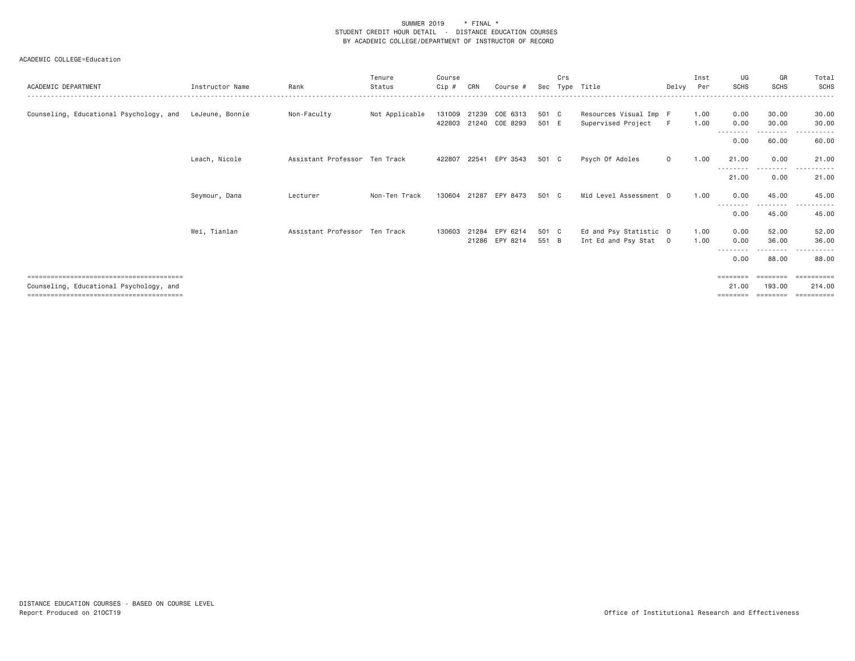| ACADEMIC DEPARTMENT                     | Instructor Name | Rank                          | Tenure<br>Status | Course<br>$Cip$ # | CRN   | Course #                   | Sec            | Crs | Type Title                                      | Delvy Per | Inst         | UG<br>SCHS                 | GR<br><b>SCHS</b>              | Total<br>SCHS                                 |
|-----------------------------------------|-----------------|-------------------------------|------------------|-------------------|-------|----------------------------|----------------|-----|-------------------------------------------------|-----------|--------------|----------------------------|--------------------------------|-----------------------------------------------|
| Counseling, Educational Psychology, and | LeJeune, Bonnie | Non-Faculty                   | Not Applicable   | 131009<br>422803  | 21239 | COE 6313<br>21240 COE 8293 | 501 C<br>501 E |     | Resources Visual Imp F<br>Supervised Project    | E         | 1.00<br>1.00 | 0.00<br>0.00               | 30.00<br>30.00                 | 30.00<br>30.00                                |
|                                         |                 |                               |                  |                   |       |                            |                |     |                                                 |           |              | --------<br>0.00           | .<br>60.00                     | 60.00                                         |
|                                         | Leach, Nicole   | Assistant Professor Ten Track |                  | 422807            | 22541 | EPY 3543                   | 501 C          |     | Psych Of Adoles                                 | $\circ$   | 1.00         | 21.00                      | 0.00                           | 21.00                                         |
|                                         |                 |                               |                  |                   |       |                            |                |     |                                                 |           |              | 21.00                      | 0.00                           | 21.00                                         |
|                                         | Seymour, Dana   | Lecturer                      | Non-Ten Track    | 130604            | 21287 | EPY 8473                   | 501 C          |     | Mid Level Assessment 0                          |           | 1.00         | 0.00                       | 45.00                          | 45.00                                         |
|                                         |                 |                               |                  |                   |       |                            |                |     |                                                 |           |              | 0.00                       | 45.00                          | 45.00                                         |
|                                         | Wei, Tianlan    | Assistant Professor Ten Track |                  | 130603            | 21284 | EPY 6214<br>21286 EPY 8214 | 501 C<br>551 B |     | Ed and Psy Statistic 0<br>Int Ed and Psy Stat 0 |           | 1.00<br>1.00 | 0.00<br>0.00<br>---------  | 52.00<br>36.00<br>. <b>.</b> . | 52.00<br>36,00                                |
|                                         |                 |                               |                  |                   |       |                            |                |     |                                                 |           |              | 0.00                       | 88.00                          | 88.00                                         |
| Counseling, Educational Psychology, and |                 |                               |                  |                   |       |                            |                |     |                                                 |           |              | $=$ = = = = = = =<br>21,00 | 193,00                         | $=$ = = = = = = = = =<br>214,00<br>========== |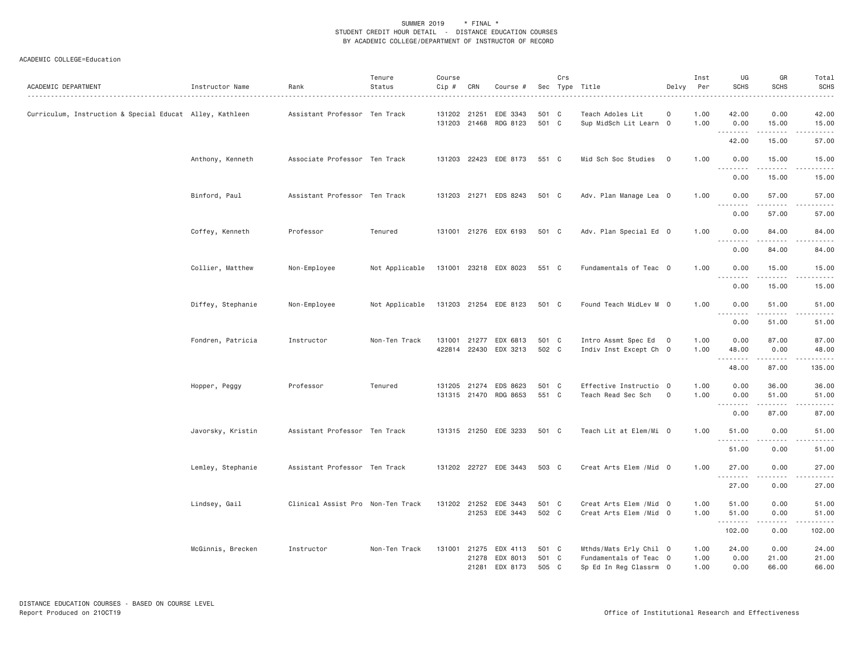| ACADEMIC DEPARTMENT                                      | Instructor Name   | Rank<br>.                         | Tenure<br>Status | Course<br>Cip #  | CRN            | Course #                               |                         | Crs | Sec Type Title<br><u>.</u>                                                 | Delvy          | Inst<br>Per          | UG<br><b>SCHS</b>     | GR<br><b>SCHS</b>                                                                                                                                                                        | Total<br><b>SCHS</b>                                                                                                                                          |
|----------------------------------------------------------|-------------------|-----------------------------------|------------------|------------------|----------------|----------------------------------------|-------------------------|-----|----------------------------------------------------------------------------|----------------|----------------------|-----------------------|------------------------------------------------------------------------------------------------------------------------------------------------------------------------------------------|---------------------------------------------------------------------------------------------------------------------------------------------------------------|
| Curriculum, Instruction & Special Educat Alley, Kathleen |                   | Assistant Professor Ten Track     |                  | 131202<br>131203 | 21251<br>21468 | EDE 3343<br>RDG 8123                   | 501 C<br>501 C          |     | Teach Adoles Lit<br>Sup MidSch Lit Learn 0                                 | 0              | 1.00<br>1.00         | 42.00<br>0.00<br>.    | 0.00<br>15.00<br>.                                                                                                                                                                       | 42.00<br>15.00<br>د د د د د                                                                                                                                   |
|                                                          |                   |                                   |                  |                  |                |                                        |                         |     |                                                                            |                |                      | 42.00                 | 15.00                                                                                                                                                                                    | 57.00                                                                                                                                                         |
|                                                          | Anthony, Kenneth  | Associate Professor Ten Track     |                  |                  |                | 131203 22423 EDE 8173                  | 551 C                   |     | Mid Sch Soc Studies                                                        | $\overline{0}$ | 1.00                 | 0.00                  | 15.00                                                                                                                                                                                    | 15.00                                                                                                                                                         |
|                                                          |                   |                                   |                  |                  |                |                                        |                         |     |                                                                            |                |                      | .<br>0.00             | 1.1.1.1.1<br>15.00                                                                                                                                                                       | .<br>15.00                                                                                                                                                    |
|                                                          | Binford, Paul     | Assistant Professor Ten Track     |                  |                  |                | 131203 21271 EDS 8243                  | 501 C                   |     | Adv. Plan Manage Lea 0                                                     |                | 1.00                 | 0.00                  | 57.00<br>$\begin{array}{cccccccccccccc} \bullet & \bullet & \bullet & \bullet & \bullet & \bullet & \bullet & \bullet \end{array}$                                                       | 57.00<br>.                                                                                                                                                    |
|                                                          |                   |                                   |                  |                  |                |                                        |                         |     |                                                                            |                |                      | .<br>0.00             | 57.00                                                                                                                                                                                    | 57.00                                                                                                                                                         |
|                                                          | Coffey, Kenneth   | Professor                         | Tenured          |                  |                | 131001 21276 EDX 6193                  | 501 C                   |     | Adv. Plan Special Ed 0                                                     |                | 1.00                 | 0.00<br>.             | 84.00<br>.                                                                                                                                                                               | 84.00<br>.                                                                                                                                                    |
|                                                          |                   |                                   |                  |                  |                |                                        |                         |     |                                                                            |                |                      | 0.00                  | 84.00                                                                                                                                                                                    | 84.00                                                                                                                                                         |
|                                                          | Collier, Matthew  | Non-Employee                      | Not Applicable   |                  |                | 131001 23218 EDX 8023                  | 551 C                   |     | Fundamentals of Teac 0                                                     |                | 1.00                 | 0.00                  | 15.00                                                                                                                                                                                    | 15.00<br>.                                                                                                                                                    |
|                                                          |                   |                                   |                  |                  |                |                                        |                         |     |                                                                            |                |                      | 0.00                  | <u>.</u><br>15.00                                                                                                                                                                        | 15.00                                                                                                                                                         |
|                                                          | Diffey, Stephanie | Non-Employee                      | Not Applicable   |                  |                | 131203 21254 EDE 8123                  | 501 C                   |     | Found Teach MidLev M 0                                                     |                | 1.00                 | 0.00                  | 51.00                                                                                                                                                                                    | 51.00                                                                                                                                                         |
|                                                          |                   |                                   |                  |                  |                |                                        |                         |     |                                                                            |                |                      | .<br>0.00             | .<br>51.00                                                                                                                                                                               | .<br>51.00                                                                                                                                                    |
|                                                          | Fondren, Patricia | Instructor                        | Non-Ten Track    | 131001           | 21277          | EDX 6813                               | 501 C                   |     | Intro Assmt Spec Ed                                                        | $\circ$        | 1.00                 | 0.00                  | 87.00                                                                                                                                                                                    | 87.00                                                                                                                                                         |
|                                                          |                   |                                   |                  | 422814           |                | 22430 EDX 3213                         | 502 C                   |     | Indiv Inst Except Ch 0                                                     |                | 1.00                 | 48.00<br>.            | 0.00<br>$\frac{1}{2} \left( \frac{1}{2} \right) \left( \frac{1}{2} \right) \left( \frac{1}{2} \right) \left( \frac{1}{2} \right) \left( \frac{1}{2} \right)$                             | 48.00<br>.                                                                                                                                                    |
|                                                          |                   |                                   |                  |                  |                |                                        |                         |     |                                                                            |                |                      | 48.00                 | 87.00                                                                                                                                                                                    | 135.00                                                                                                                                                        |
|                                                          | Hopper, Peggy     | Professor                         | Tenured          | 131205           | 21274          | EDS 8623<br>131315 21470 RDG 8653      | 501 C<br>551 C          |     | Effective Instructio 0<br>Teach Read Sec Sch                               | $\mathbf 0$    | 1.00<br>1.00         | 0.00<br>0.00          | 36.00<br>51.00                                                                                                                                                                           | 36.00<br>51.00                                                                                                                                                |
|                                                          |                   |                                   |                  |                  |                |                                        |                         |     |                                                                            |                |                      | .<br>0.00             | $\frac{1}{2} \left( \frac{1}{2} \right) \left( \frac{1}{2} \right) \left( \frac{1}{2} \right) \left( \frac{1}{2} \right) \left( \frac{1}{2} \right) \left( \frac{1}{2} \right)$<br>87.00 | $\frac{1}{2} \left( \frac{1}{2} \right) \left( \frac{1}{2} \right) \left( \frac{1}{2} \right) \left( \frac{1}{2} \right) \left( \frac{1}{2} \right)$<br>87.00 |
|                                                          | Javorsky, Kristin | Assistant Professor Ten Track     |                  |                  |                | 131315 21250 EDE 3233                  | 501 C                   |     | Teach Lit at Elem/Mi 0                                                     |                | 1.00                 | 51.00                 | 0.00                                                                                                                                                                                     | 51.00                                                                                                                                                         |
|                                                          |                   |                                   |                  |                  |                |                                        |                         |     |                                                                            |                |                      | .<br>51.00            | .<br>0.00                                                                                                                                                                                | .<br>51.00                                                                                                                                                    |
|                                                          | Lemley, Stephanie | Assistant Professor Ten Track     |                  |                  |                | 131202 22727 EDE 3443                  | 503 C                   |     | Creat Arts Elem / Mid 0                                                    |                | 1.00                 | 27.00                 | 0.00                                                                                                                                                                                     | 27.00                                                                                                                                                         |
|                                                          |                   |                                   |                  |                  |                |                                        |                         |     |                                                                            |                |                      | .<br>27.00            | د د د د<br>0.00                                                                                                                                                                          | .<br>27.00                                                                                                                                                    |
|                                                          | Lindsey, Gail     | Clinical Assist Pro Non-Ten Track |                  |                  |                | 131202 21252 EDE 3443                  | 501 C                   |     | Creat Arts Elem / Mid 0                                                    |                | 1.00                 | 51.00                 | 0.00                                                                                                                                                                                     | 51.00                                                                                                                                                         |
|                                                          |                   |                                   |                  |                  |                | 21253 EDE 3443                         | 502 C                   |     | Creat Arts Elem / Mid 0                                                    |                | 1.00                 | 51.00<br>.            | 0.00<br>.                                                                                                                                                                                | 51.00<br>.                                                                                                                                                    |
|                                                          |                   |                                   |                  |                  |                |                                        |                         |     |                                                                            |                |                      | 102.00                | 0.00                                                                                                                                                                                     | 102.00                                                                                                                                                        |
|                                                          | McGinnis, Brecken | Instructor                        | Non-Ten Track    | 131001           | 21275<br>21278 | EDX 4113<br>EDX 8013<br>21281 EDX 8173 | 501 C<br>501 C<br>505 C |     | Mthds/Mats Erly Chil 0<br>Fundamentals of Teac 0<br>Sp Ed In Reg Classrm 0 |                | 1.00<br>1.00<br>1.00 | 24.00<br>0.00<br>0.00 | 0.00<br>21.00<br>66,00                                                                                                                                                                   | 24.00<br>21.00<br>66.00                                                                                                                                       |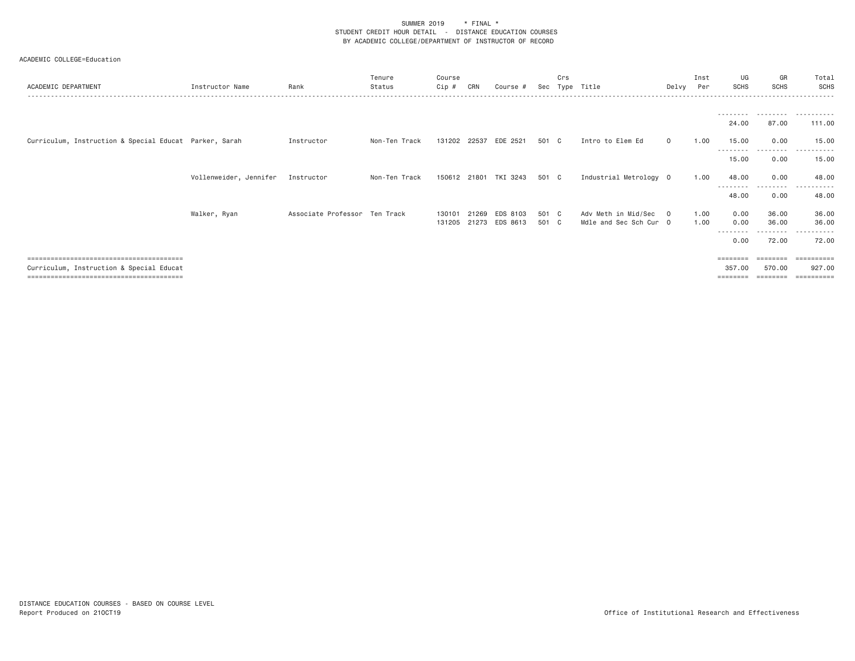| ACADEMIC DEPARTMENT                                    | Instructor Name        | Rank                          | Tenure<br>Status | Course<br>Cip # | CRN   | Course #              | Sec   | Crs<br>Type  | Title                  | Delvv          | Inst<br>Per | UG<br><b>SCHS</b>  | GR<br><b>SCHS</b> | Total<br><b>SCHS</b>           |
|--------------------------------------------------------|------------------------|-------------------------------|------------------|-----------------|-------|-----------------------|-------|--------------|------------------------|----------------|-------------|--------------------|-------------------|--------------------------------|
|                                                        |                        |                               |                  |                 |       |                       |       |              |                        |                |             | --------           |                   |                                |
| Curriculum, Instruction & Special Educat Parker, Sarah |                        | Instructor                    | Non-Ten Track    | 131202 22537    |       | EDE 2521              | 501   | $\mathbf{C}$ | Intro to Elem Ed       | $\Omega$       | 1.00        | 24.00<br>15.00     | 87.00<br>0.00     | 111.00<br>15.00                |
|                                                        |                        |                               |                  |                 |       |                       |       |              |                        |                |             | ---------<br>15.00 | ---------<br>0.00 | .<br>15.00                     |
|                                                        | Vollenweider, Jennifer | Instructor                    | Non-Ten Track    |                 |       | 150612 21801 TKI 3243 | 501 C |              | Industrial Metrology 0 |                | 1.00        | 48.00              | 0.00<br>.         | 48.00                          |
|                                                        | Walker, Ryan           | Associate Professor Ten Track |                  | 130101          | 21269 | EDS 8103              | 501 C |              | Adv Meth in Mid/Sec    | $\overline{0}$ | 1.00        | 48.00<br>0.00      | 0.00<br>36.00     | 48.00<br>36.00                 |
|                                                        |                        |                               |                  | 131205          |       | 21273 EDS 8613        | 501 C |              | Mdle and Sec Sch Cur 0 |                | 1.00        | 0.00<br>--------   | 36.00<br><u>.</u> | 36.00<br>.                     |
|                                                        |                        |                               |                  |                 |       |                       |       |              |                        |                |             | 0.00               | 72.00             | 72.00                          |
| Curriculum, Instruction & Special Educat               |                        |                               |                  |                 |       |                       |       |              |                        |                |             | =======<br>357,00  | 570.00            | =========<br>927.00<br>:====== |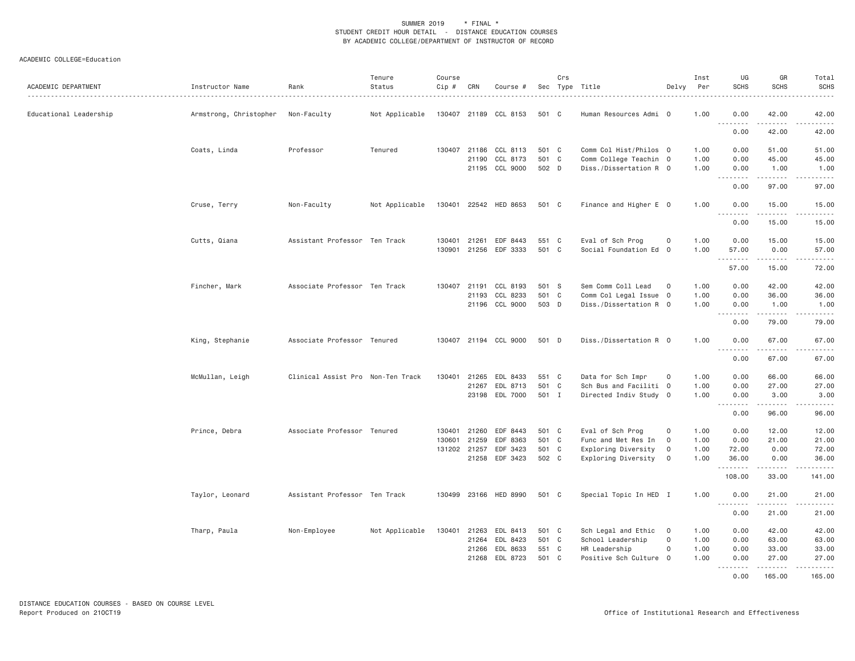| ACADEMIC DEPARTMENT    | Instructor Name        | Rank                              | Tenure<br>Status<br>. | Course<br>Cip #  | CRN            | Course #                   |                | Crs | Sec Type Title                                   | Delvy                   | Inst<br>Per  | UG<br><b>SCHS</b> | GR<br><b>SCHS</b>                                                                                                                                             | Total<br><b>SCHS</b><br>$   -$ |
|------------------------|------------------------|-----------------------------------|-----------------------|------------------|----------------|----------------------------|----------------|-----|--------------------------------------------------|-------------------------|--------------|-------------------|---------------------------------------------------------------------------------------------------------------------------------------------------------------|--------------------------------|
| Educational Leadership | Armstrong, Christopher | Non-Faculty                       | Not Applicable        |                  |                | 130407 21189 CCL 8153      | 501 C          |     | Human Resources Admi 0                           |                         | 1.00         | 0.00<br>.         | 42.00<br>.                                                                                                                                                    | 42.00<br>.                     |
|                        |                        |                                   |                       |                  |                |                            |                |     |                                                  |                         |              | 0.00              | 42.00                                                                                                                                                         | 42.00                          |
|                        | Coats, Linda           | Professor                         | Tenured               |                  |                | 130407 21186 CCL 8113      | 501 C          |     | Comm Col Hist/Philos 0                           |                         | 1.00         | 0.00              | 51.00                                                                                                                                                         | 51.00                          |
|                        |                        |                                   |                       |                  | 21190          | CCL 8173                   | 501 C          |     | Comm College Teachin 0                           |                         | 1.00         | 0.00              | 45.00                                                                                                                                                         | 45.00                          |
|                        |                        |                                   |                       |                  |                | 21195 CCL 9000             | 502 D          |     | Diss./Dissertation R 0                           |                         | 1.00         | 0.00<br>.         | 1.00<br>.                                                                                                                                                     | 1.00<br>.                      |
|                        |                        |                                   |                       |                  |                |                            |                |     |                                                  |                         |              | 0.00              | 97.00                                                                                                                                                         | 97.00                          |
|                        | Cruse, Terry           | Non-Faculty                       | Not Applicable        |                  |                | 130401 22542 HED 8653      | 501 C          |     | Finance and Higher E 0                           |                         | 1.00         | 0.00<br>.         | 15.00<br>.                                                                                                                                                    | 15.00<br>.                     |
|                        |                        |                                   |                       |                  |                |                            |                |     |                                                  |                         |              | 0.00              | 15.00                                                                                                                                                         | 15.00                          |
|                        | Cutts, Qiana           | Assistant Professor Ten Track     |                       | 130401           | 21261          | EDF 8443                   | 551 C          |     | Eval of Sch Prog                                 | $\mathbf 0$             | 1.00         | 0.00              | 15.00                                                                                                                                                         | 15.00                          |
|                        |                        |                                   |                       | 130901           |                | 21256 EDF 3333             | 501 C          |     | Social Foundation Ed 0                           |                         | 1.00         | 57.00             | 0.00                                                                                                                                                          | 57.00                          |
|                        |                        |                                   |                       |                  |                |                            |                |     |                                                  |                         |              | .<br>57.00        | .<br>15.00                                                                                                                                                    | .<br>72.00                     |
|                        |                        |                                   |                       |                  |                |                            |                |     |                                                  |                         |              |                   |                                                                                                                                                               |                                |
|                        | Fincher, Mark          | Associate Professor Ten Track     |                       |                  |                | 130407 21191 CCL 8193      | 501 S          |     | Sem Comm Coll Lead                               | $\overline{\mathbf{0}}$ | 1.00         | 0.00              | 42.00                                                                                                                                                         | 42.00                          |
|                        |                        |                                   |                       |                  | 21193          | CCL 8233<br>21196 CCL 9000 | 501 C<br>503 D |     | Comm Col Legal Issue 0<br>Diss./Dissertation R 0 |                         | 1.00<br>1.00 | 0.00<br>0.00      | 36.00<br>1.00                                                                                                                                                 | 36.00<br>1.00                  |
|                        |                        |                                   |                       |                  |                |                            |                |     |                                                  |                         |              | <u>.</u>          | .                                                                                                                                                             | .                              |
|                        |                        |                                   |                       |                  |                |                            |                |     |                                                  |                         |              | 0.00              | 79.00                                                                                                                                                         | 79.00                          |
|                        | King, Stephanie        | Associate Professor Tenured       |                       |                  |                | 130407 21194 CCL 9000      | 501 D          |     | Diss./Dissertation R 0                           |                         | 1.00         | 0.00              | 67.00                                                                                                                                                         | 67.00                          |
|                        |                        |                                   |                       |                  |                |                            |                |     |                                                  |                         |              | .<br>0.00         | $\frac{1}{2} \left( \frac{1}{2} \right) \left( \frac{1}{2} \right) \left( \frac{1}{2} \right) \left( \frac{1}{2} \right) \left( \frac{1}{2} \right)$<br>67.00 | .<br>67.00                     |
|                        | McMullan, Leigh        | Clinical Assist Pro Non-Ten Track |                       | 130401           | 21265          | EDL 8433                   | 551 C          |     | Data for Sch Impr                                | $\mathbf 0$             | 1.00         | 0.00              | 66.00                                                                                                                                                         | 66.00                          |
|                        |                        |                                   |                       |                  | 21267          | EDL 8713                   | 501 C          |     | Sch Bus and Faciliti 0                           |                         | 1.00         | 0.00              | 27.00                                                                                                                                                         | 27.00                          |
|                        |                        |                                   |                       |                  | 23198          | EDL 7000                   | 501 I          |     | Directed Indiv Study 0                           |                         | 1.00         | 0.00              | 3.00                                                                                                                                                          | 3.00                           |
|                        |                        |                                   |                       |                  |                |                            |                |     |                                                  |                         |              | .<br>0.00         | $\frac{1}{2} \left( \frac{1}{2} \right) \left( \frac{1}{2} \right) \left( \frac{1}{2} \right) \left( \frac{1}{2} \right) \left( \frac{1}{2} \right)$<br>96.00 | .<br>96.00                     |
|                        |                        |                                   |                       |                  |                |                            |                |     |                                                  |                         |              |                   |                                                                                                                                                               |                                |
|                        | Prince, Debra          | Associate Professor Tenured       |                       | 130401           | 21260          | EDF 8443                   | 501 C          |     | Eval of Sch Prog                                 | $\mathbf 0$             | 1.00         | 0.00              | 12.00                                                                                                                                                         | 12.00                          |
|                        |                        |                                   |                       | 130601<br>131202 | 21259<br>21257 | EDF 8363<br>EDF 3423       | 501 C<br>501 C |     | Func and Met Res In<br>Exploring Diversity       | $\overline{0}$<br>0     | 1.00<br>1.00 | 0.00<br>72.00     | 21.00<br>0.00                                                                                                                                                 | 21.00<br>72.00                 |
|                        |                        |                                   |                       |                  |                | 21258 EDF 3423             | 502 C          |     | Exploring Diversity                              | $\overline{0}$          | 1.00         | 36.00             | 0.00                                                                                                                                                          | 36.00                          |
|                        |                        |                                   |                       |                  |                |                            |                |     |                                                  |                         |              | .                 | .                                                                                                                                                             | .                              |
|                        |                        |                                   |                       |                  |                |                            |                |     |                                                  |                         |              | 108.00            | 33.00                                                                                                                                                         | 141.00                         |
|                        | Taylor, Leonard        | Assistant Professor Ten Track     |                       | 130499           |                | 23166 HED 8990             | 501 C          |     | Special Topic In HED I                           |                         | 1.00         | 0.00<br>.         | 21.00<br>.                                                                                                                                                    | 21.00<br>.                     |
|                        |                        |                                   |                       |                  |                |                            |                |     |                                                  |                         |              | 0.00              | 21.00                                                                                                                                                         | 21.00                          |
|                        | Tharp, Paula           | Non-Employee                      | Not Applicable        | 130401           | 21263          | EDL 8413                   | 501 C          |     | Sch Legal and Ethic                              | $\overline{0}$          | 1.00         | 0.00              | 42.00                                                                                                                                                         | 42.00                          |
|                        |                        |                                   |                       |                  |                | 21264 EDL 8423             | 501 C          |     | School Leadership                                | $\mathbf 0$             | 1.00         | 0.00              | 63.00                                                                                                                                                         | 63.00                          |
|                        |                        |                                   |                       |                  | 21266          | EDL 8633                   | 551 C          |     | HR Leadership                                    | $\mathbf 0$             | 1.00         | 0.00              | 33.00                                                                                                                                                         | 33.00                          |
|                        |                        |                                   |                       |                  | 21268          | EDL 8723                   | 501 C          |     | Positive Sch Culture 0                           |                         | 1.00         | 0.00<br>.         | 27.00<br>.                                                                                                                                                    | 27.00<br>.                     |
|                        |                        |                                   |                       |                  |                |                            |                |     |                                                  |                         |              | 0.00              | 165.00                                                                                                                                                        | 165.00                         |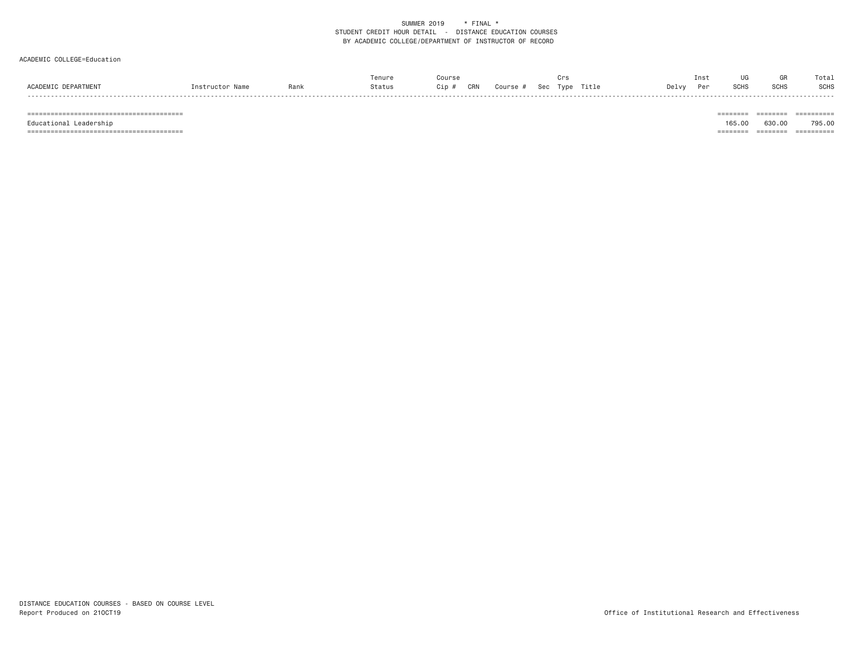#### ACADEMIC COLLEGE=Education

|                     |                 |      | Tenure | Course |                             | Crs |       | Inst |      |             | Total |
|---------------------|-----------------|------|--------|--------|-----------------------------|-----|-------|------|------|-------------|-------|
| ACADEMIC DEPARTMENT | Instructor Name | Rank | Status | Cip #  | CRN Course # Sec Type Title |     | Delvy | Per  | SCHS | <b>SCHS</b> | SCHS  |
|                     |                 |      |        |        |                             |     |       |      |      |             |       |

======================================== ======== ======== ==========

======================================== ======== ======== ==========

 $\begin{tabular}{lllllllllllll} \multicolumn{2}{l}{{\color{red}{{\color{red}{{\color{blue}{{\color{blue}{{\color{blue}{{\color{blue}{{\color{blue}{{\color{blue}{{\color{blue}{{\color{blue}{{\color{blue}{{\color{blue}{{\color{blue}{{\color{blue}{{\color{blue}{{\color{blue}{{\color{blue}{{\color{blue}{{\color{blue}{{\color{blue}{{\color{blue}{{\color{blue}{{\color{blue}{{\color{blue}{{\color{blue}{{\color{blue}{{\color{blue}{{\color{blue}{{\color{blue}{{\color{blue}{{\color{blue}{{\color{blue}{{\color{blue$ Educational Leadership 165.00 630.00 795.00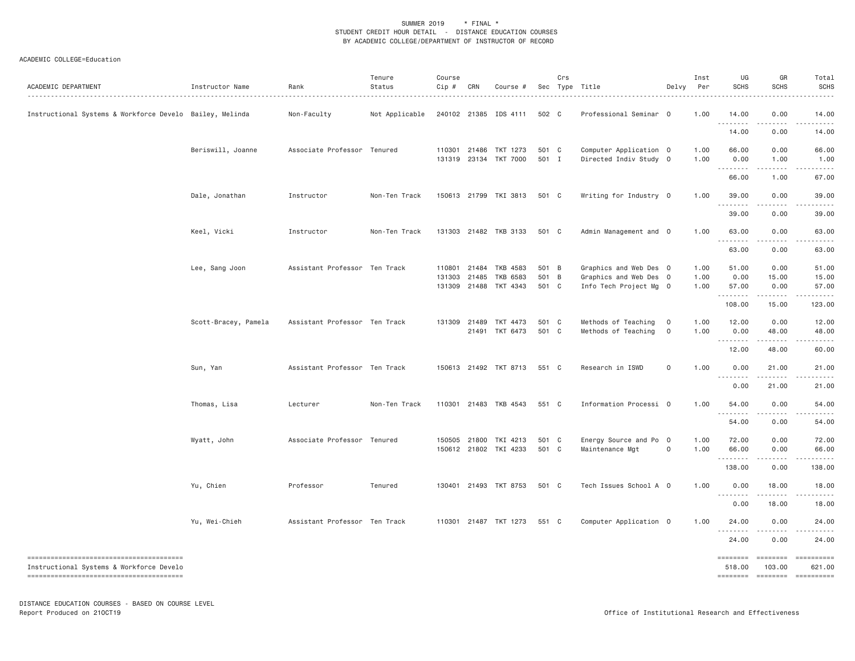## ACADEMIC COLLEGE=Education

| ACADEMIC DEPARTMENT                                                                | Instructor Name      | Rank                          | Tenure<br>Status<br>. | Course<br>Cip # | CRN                   | Course #                                       |                         | Crs | Sec Type Title                                                             | Delvy       | Inst<br>Per          | UG<br><b>SCHS</b>                         | GR<br><b>SCHS</b>                                                                                                                            | Total<br><b>SCHS</b>    |
|------------------------------------------------------------------------------------|----------------------|-------------------------------|-----------------------|-----------------|-----------------------|------------------------------------------------|-------------------------|-----|----------------------------------------------------------------------------|-------------|----------------------|-------------------------------------------|----------------------------------------------------------------------------------------------------------------------------------------------|-------------------------|
| Instructional Systems & Workforce Develo Bailey, Melinda                           |                      | Non-Faculty                   | Not Applicable        |                 |                       | 240102 21385 IDS 4111                          | 502 C                   |     | Professional Seminar 0                                                     |             | 1.00                 | 14.00<br>.                                | 0.00<br>.                                                                                                                                    | 14.00                   |
|                                                                                    |                      |                               |                       |                 |                       |                                                |                         |     |                                                                            |             |                      | 14.00                                     | 0.00                                                                                                                                         | 14.00                   |
|                                                                                    | Beriswill, Joanne    | Associate Professor Tenured   |                       |                 |                       | 110301 21486 TKT 1273<br>131319 23134 TKT 7000 | 501 C<br>501 I          |     | Computer Application 0<br>Directed Indiv Study 0                           |             | 1.00<br>1.00         | 66.00<br>0.00                             | 0.00<br>1.00                                                                                                                                 | 66.00<br>1.00           |
|                                                                                    |                      |                               |                       |                 |                       |                                                |                         |     |                                                                            |             |                      | 1.1.1.1.1.1.1<br>66.00                    | $\mathcal{L}^{\mathcal{L}}\left( \mathcal{L}^{\mathcal{L}}\right) =\mathcal{L}^{\mathcal{L}}\left( \mathcal{L}^{\mathcal{L}}\right)$<br>1.00 | .<br>67.00              |
|                                                                                    | Dale, Jonathan       | Instructor                    | Non-Ten Track         |                 |                       | 150613 21799 TKI 3813                          | 501 C                   |     | Writing for Industry 0                                                     |             | 1.00                 | 39.00                                     | 0.00                                                                                                                                         | 39.00                   |
|                                                                                    |                      |                               |                       |                 |                       |                                                |                         |     |                                                                            |             |                      | .<br>39.00                                | 0.00                                                                                                                                         | 39.00                   |
|                                                                                    | Keel, Vicki          | Instructor                    | Non-Ten Track         |                 |                       | 131303 21482 TKB 3133                          | 501 C                   |     | Admin Management and 0                                                     |             | 1.00                 | 63.00                                     | 0.00                                                                                                                                         | 63.00                   |
|                                                                                    |                      |                               |                       |                 |                       |                                                |                         |     |                                                                            |             |                      | <u>.</u><br>63.00                         | 0.00                                                                                                                                         | 63.00                   |
|                                                                                    | Lee, Sang Joon       | Assistant Professor Ten Track |                       | 131303          | 110801 21484<br>21485 | TKB 4583<br>TKB 6583<br>131309 21488 TKT 4343  | 501 B<br>501 B<br>501 C |     | Graphics and Web Des 0<br>Graphics and Web Des 0<br>Info Tech Project Mg 0 |             | 1.00<br>1.00<br>1.00 | 51.00<br>0.00<br>57.00                    | 0.00<br>15.00<br>0.00                                                                                                                        | 51.00<br>15.00<br>57.00 |
|                                                                                    |                      |                               |                       |                 |                       |                                                |                         |     |                                                                            |             |                      | .<br>108.00                               | 15.00                                                                                                                                        | 123.00                  |
|                                                                                    | Scott-Bracey, Pamela | Assistant Professor Ten Track |                       |                 | 131309 21489          | TKT 4473                                       | 501 C                   |     | Methods of Teaching                                                        | $\mathbf 0$ | 1.00                 | 12.00                                     | 0.00                                                                                                                                         | 12.00                   |
|                                                                                    |                      |                               |                       |                 |                       | 21491 TKT 6473                                 | 501 C                   |     | Methods of Teaching                                                        | $\mathbf 0$ | 1.00                 | 0.00                                      | 48.00<br>.                                                                                                                                   | 48.00<br>.              |
|                                                                                    |                      |                               |                       |                 |                       |                                                |                         |     |                                                                            |             |                      | 12.00                                     | 48.00                                                                                                                                        | 60.00                   |
|                                                                                    | Sun, Yan             | Assistant Professor Ten Track |                       |                 |                       | 150613 21492 TKT 8713                          | 551 C                   |     | Research in ISWD                                                           | $\mathbf 0$ | 1.00                 | 0.00                                      | 21.00                                                                                                                                        | 21.00                   |
|                                                                                    |                      |                               |                       |                 |                       |                                                |                         |     |                                                                            |             |                      | $\sim$ $\sim$ $\sim$<br>0.00              | 21.00                                                                                                                                        | 21.00                   |
|                                                                                    | Thomas, Lisa         | Lecturer                      | Non-Ten Track         |                 |                       | 110301 21483 TKB 4543                          | 551 C                   |     | Information Processi 0                                                     |             | 1.00                 | 54.00                                     | 0.00                                                                                                                                         | 54.00                   |
|                                                                                    |                      |                               |                       |                 |                       |                                                |                         |     |                                                                            |             |                      | .<br>54.00                                | 0.00                                                                                                                                         | 54.00                   |
|                                                                                    | Wyatt, John          | Associate Professor Tenured   |                       |                 |                       | 150505 21800 TKI 4213                          | 501 C                   |     | Energy Source and Po 0                                                     |             | 1.00                 | 72.00                                     | 0.00                                                                                                                                         | 72.00                   |
|                                                                                    |                      |                               |                       |                 |                       | 150612 21802 TKI 4233                          | 501 C                   |     | Maintenance Mgt                                                            | $\mathbf 0$ | 1.00                 | 66.00                                     | 0.00<br>.                                                                                                                                    | 66.00<br>.              |
|                                                                                    |                      |                               |                       |                 |                       |                                                |                         |     |                                                                            |             |                      | 138.00                                    | 0.00                                                                                                                                         | 138.00                  |
|                                                                                    | Yu, Chien            | Professor                     | Tenured               |                 |                       | 130401 21493 TKT 8753                          | 501 C                   |     | Tech Issues School A 0                                                     |             | 1.00                 | 0.00                                      | 18.00                                                                                                                                        | 18.00                   |
|                                                                                    |                      |                               |                       |                 |                       |                                                |                         |     |                                                                            |             |                      | 0.00                                      | 18.00                                                                                                                                        | 18.00                   |
|                                                                                    | Yu, Wei-Chieh        | Assistant Professor Ten Track |                       |                 |                       | 110301 21487 TKT 1273                          | 551 C                   |     | Computer Application 0                                                     |             | 1.00                 | 24.00<br>.                                | 0.00                                                                                                                                         | 24.00                   |
|                                                                                    |                      |                               |                       |                 |                       |                                                |                         |     |                                                                            |             |                      | 24.00                                     | 0.00                                                                                                                                         | 24.00                   |
| --------------------------------------<br>Instructional Systems & Workforce Develo |                      |                               |                       |                 |                       |                                                |                         |     |                                                                            |             |                      | $=$ $=$ $=$ $=$ $=$ $=$ $=$ $=$<br>518.00 | 103,00                                                                                                                                       | ==========<br>621.00    |
|                                                                                    |                      |                               |                       |                 |                       |                                                |                         |     |                                                                            |             |                      | -------- -------                          |                                                                                                                                              |                         |

DISTANCE EDUCATION COURSES - BASED ON COURSE LEVELReport Produced on 21OCT19 Office of Institutional Research and Effectiveness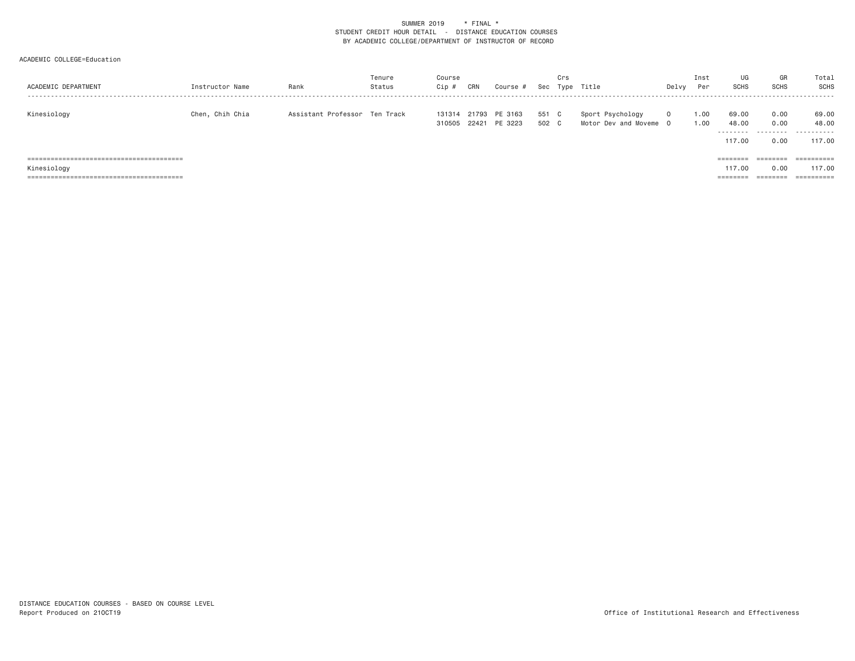| ACADEMIC DEPARTMENT | Instructor Name | Rank                           | Tenure<br>Status | Course<br>Cip # | CRN | Course #                              |                | Crs | Sec Type Title                             | Delvy   | Inst<br>Per  | UG<br><b>SCHS</b>                     | GR<br>SCHS                | Total<br>SCHS                 |
|---------------------|-----------------|--------------------------------|------------------|-----------------|-----|---------------------------------------|----------------|-----|--------------------------------------------|---------|--------------|---------------------------------------|---------------------------|-------------------------------|
| Kinesiology         | Chen, Chih Chia | Assistant Professor  Ten Track |                  | 131314          |     | 21793 PE 3163<br>310505 22421 PE 3223 | 551 C<br>502 C |     | Sport Psychology<br>Motor Dev and Moveme 0 | $\circ$ | 1.00<br>1.00 | 69.00<br>48,00<br>---------<br>117,00 | 0.00<br>0.00<br>.<br>0.00 | 69.00<br>48.00<br>.<br>117,00 |
|                     |                 |                                |                  |                 |     |                                       |                |     |                                            |         |              | ========                              | ========                  | ==========                    |
| Kinesiology         |                 |                                |                  |                 |     |                                       |                |     |                                            |         |              | 117,00                                | 0.00                      | 117,00                        |
|                     |                 |                                |                  |                 |     |                                       |                |     |                                            |         |              | ========                              |                           | ==========                    |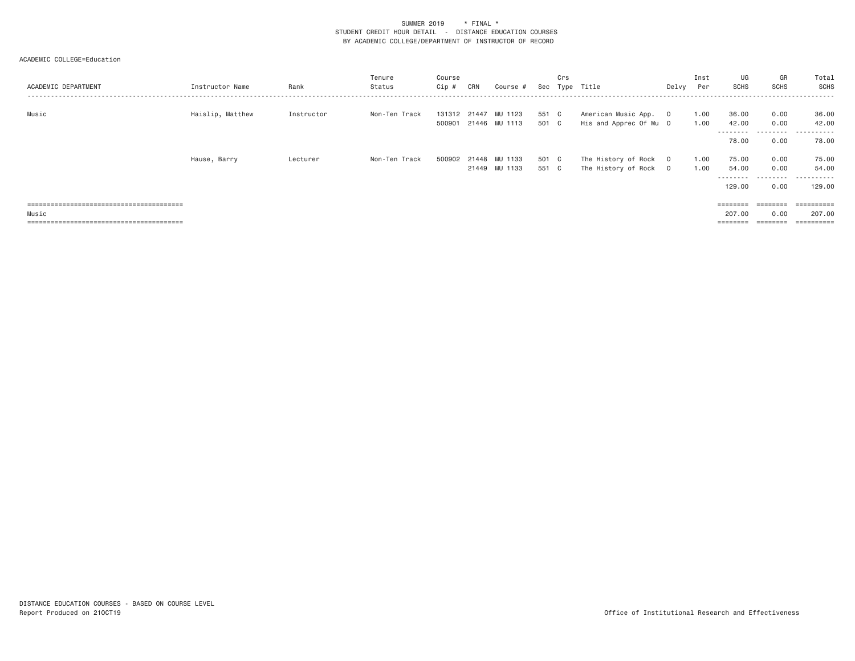| ACADEMIC DEPARTMENT | Instructor Name  | Rank       | Tenure<br>Status | Course<br>Cip # | CRN | Course #                              |                | Crs | Sec Type Title                                  | Delvy          | Inst<br>Per  | UG<br>SCHS                            | GR<br><b>SCHS</b>                 | Total<br>SCHS                          |
|---------------------|------------------|------------|------------------|-----------------|-----|---------------------------------------|----------------|-----|-------------------------------------------------|----------------|--------------|---------------------------------------|-----------------------------------|----------------------------------------|
| Music               | Haislip, Matthew | Instructor | Non-Ten Track    | 131312 21447    |     | MU 1123<br>500901 21446 MU 1113       | 551 C<br>501 C |     | American Music App. 0<br>His and Apprec Of Mu O |                | 1.00<br>1.00 | 36.00<br>42.00<br>---------           | 0.00<br>0.00<br>---------         | 36.00<br>42.00<br>- - - - - - -        |
|                     |                  |            |                  |                 |     |                                       |                |     |                                                 |                |              | 78.00                                 | 0.00                              | 78.00                                  |
|                     | Hause, Barry     | Lecturer   | Non-Ten Track    |                 |     | 500902 21448 MU 1133<br>21449 MU 1133 | 501 C<br>551 C |     | The History of Rock<br>The History of Rock 0    | $\overline{0}$ | 1.00<br>1.00 | 75.00<br>54.00<br>---------<br>129.00 | 0.00<br>0.00<br>---------<br>0.00 | 75.00<br>54.00<br>----------<br>129,00 |
|                     |                  |            |                  |                 |     |                                       |                |     |                                                 |                |              | ========                              | $=$ = = = = = = =                 | $=$ = = = = = = = = =                  |
| Music               |                  |            |                  |                 |     |                                       |                |     |                                                 |                |              | 207.00                                | 0.00                              | 207.00                                 |
|                     |                  |            |                  |                 |     |                                       |                |     |                                                 |                |              | $=$ = = = = = = =                     | ========                          | ==========                             |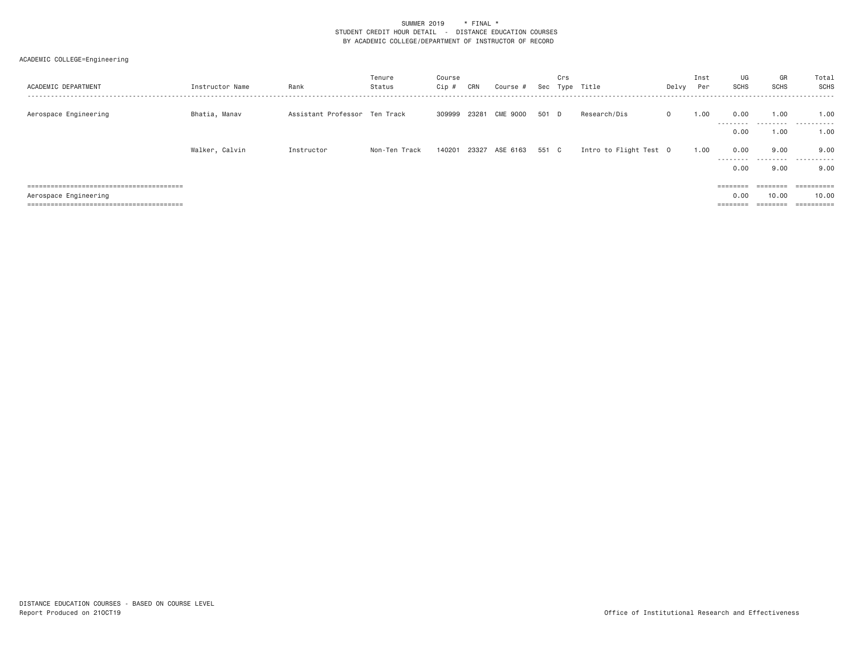| ACADEMIC DEPARTMENT   | Instructor Name | Rank                          | Tenure<br>Status | Course<br>Cip # | CRN   | Course #             |       | Crs | Sec Type Title         | Delvy        | Inst<br>Per | UG<br>SCHS        | GR<br>SCHS | Total<br>SCHS |
|-----------------------|-----------------|-------------------------------|------------------|-----------------|-------|----------------------|-------|-----|------------------------|--------------|-------------|-------------------|------------|---------------|
| Aerospace Engineering | Bhatia, Manav   | Assistant Professor Ten Track |                  | 309999          | 23281 | CME 9000             | 501 D |     | Research/Dis           | $\mathbf{0}$ | 1.00        | 0.00              | 1.00       | 1.00          |
|                       |                 |                               |                  |                 |       |                      |       |     |                        |              |             | ---------<br>0.00 | 1.00       | .<br>1.00     |
|                       | Walker, Calvin  | Instructor                    | Non-Ten Track    | 140201          |       | 23327 ASE 6163 551 C |       |     | Intro to Flight Test 0 |              | 1.00        | 0.00<br>--------- | 9.00       | 9.00<br>.     |
|                       |                 |                               |                  |                 |       |                      |       |     |                        |              |             | 0.00              | 9.00       | 9.00          |
|                       |                 |                               |                  |                 |       |                      |       |     |                        |              |             | $=$ = = = = = = = |            | ==========    |
| Aerospace Engineering |                 |                               |                  |                 |       |                      |       |     |                        |              |             | 0.00              | 10.00      | 10.00         |
|                       |                 |                               |                  |                 |       |                      |       |     |                        |              |             | ========          | ========   |               |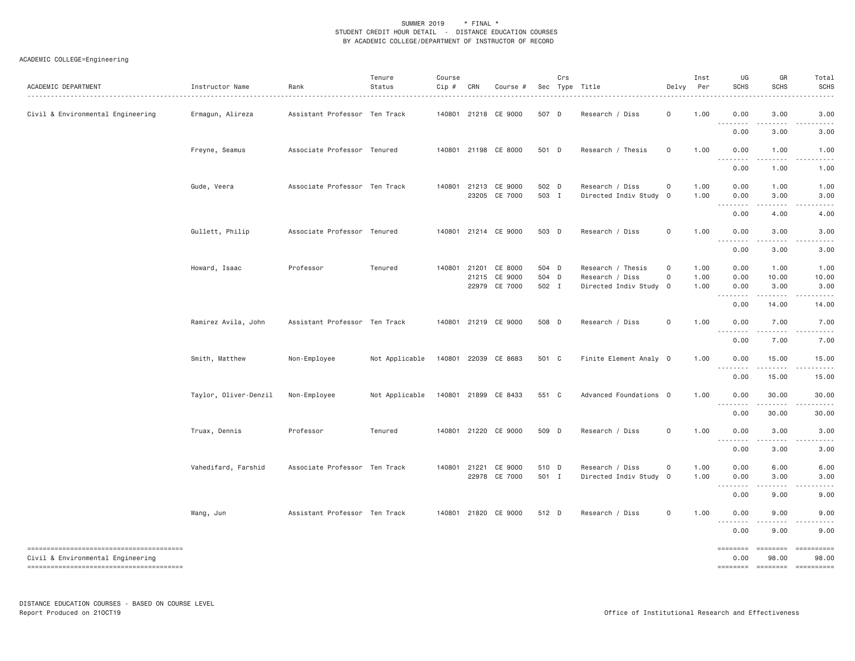| ACADEMIC DEPARTMENT                                                         | Instructor Name       | Rank                          | Tenure<br>Status | Course<br>Cip # | CRN          | Course #             |       | Crs | Sec Type Title         | Delvy               | Inst<br>Per | UG<br><b>SCHS</b>                                           | GR<br><b>SCHS</b> | Total<br><b>SCHS</b>                                                                                                                                                                                                                                                                                                                                                                                                                                                                            |
|-----------------------------------------------------------------------------|-----------------------|-------------------------------|------------------|-----------------|--------------|----------------------|-------|-----|------------------------|---------------------|-------------|-------------------------------------------------------------|-------------------|-------------------------------------------------------------------------------------------------------------------------------------------------------------------------------------------------------------------------------------------------------------------------------------------------------------------------------------------------------------------------------------------------------------------------------------------------------------------------------------------------|
| Civil & Environmental Engineering                                           | Ermagun, Alireza      | Assistant Professor Ten Track |                  |                 |              | 140801 21218 CE 9000 | 507 D |     | Research / Diss        | $\mathsf{O}$        | 1.00        | 0.00<br>$\sim$ $\sim$ $\sim$<br>$\sim$ $\sim$ $\sim$ $\sim$ | 3.00              | 3.00                                                                                                                                                                                                                                                                                                                                                                                                                                                                                            |
|                                                                             |                       |                               |                  |                 |              |                      |       |     |                        |                     |             | 0.00                                                        | 3.00              | 3.00                                                                                                                                                                                                                                                                                                                                                                                                                                                                                            |
|                                                                             | Freyne, Seamus        | Associate Professor Tenured   |                  |                 |              | 140801 21198 CE 8000 | 501 D |     | Research / Thesis      | 0                   | 1.00        | 0.00<br>.                                                   | 1.00<br>.         | 1.00<br>-----                                                                                                                                                                                                                                                                                                                                                                                                                                                                                   |
|                                                                             |                       |                               |                  |                 |              |                      |       |     |                        |                     |             | 0.00                                                        | 1.00              | 1.00                                                                                                                                                                                                                                                                                                                                                                                                                                                                                            |
|                                                                             | Gude, Veera           | Associate Professor Ten Track |                  |                 |              | 140801 21213 CE 9000 | 502 D |     | Research / Diss        | $\mathsf{O}$        | 1.00        | 0.00                                                        | 1.00              | 1.00                                                                                                                                                                                                                                                                                                                                                                                                                                                                                            |
|                                                                             |                       |                               |                  |                 |              | 23205 CE 7000        | 503 I |     | Directed Indiv Study 0 |                     | 1.00        | 0.00                                                        | 3.00              | 3.00                                                                                                                                                                                                                                                                                                                                                                                                                                                                                            |
|                                                                             |                       |                               |                  |                 |              |                      |       |     |                        |                     |             | .<br>$\sim$ $\sim$ $\sim$                                   | .                 | $\frac{1}{2} \left( \frac{1}{2} \right) \left( \frac{1}{2} \right) \left( \frac{1}{2} \right) \left( \frac{1}{2} \right)$                                                                                                                                                                                                                                                                                                                                                                       |
|                                                                             |                       |                               |                  |                 |              |                      |       |     |                        |                     |             | 0.00                                                        | 4.00              | 4.00                                                                                                                                                                                                                                                                                                                                                                                                                                                                                            |
|                                                                             | Gullett, Philip       | Associate Professor Tenured   |                  |                 |              | 140801 21214 CE 9000 | 503 D |     | Research / Diss        | $\mathsf{O}\xspace$ | 1.00        | 0.00                                                        | 3.00              | 3.00                                                                                                                                                                                                                                                                                                                                                                                                                                                                                            |
|                                                                             |                       |                               |                  |                 |              |                      |       |     |                        |                     |             | 0.00                                                        | 3.00              | 3.00                                                                                                                                                                                                                                                                                                                                                                                                                                                                                            |
|                                                                             | Howard, Isaac         | Professor                     | Tenured          |                 |              | 140801 21201 CE 8000 | 504 D |     | Research / Thesis      | $\mathbf 0$         | 1.00        | 0.00                                                        | 1.00              | 1.00                                                                                                                                                                                                                                                                                                                                                                                                                                                                                            |
|                                                                             |                       |                               |                  |                 |              | 21215 CE 9000        | 504 D |     | Research / Diss        | $\mathsf{O}\xspace$ | 1.00        | 0.00                                                        | 10.00             | 10.00                                                                                                                                                                                                                                                                                                                                                                                                                                                                                           |
|                                                                             |                       |                               |                  |                 |              | 22979 CE 7000        | 502 I |     | Directed Indiv Study 0 |                     | 1.00        | 0.00<br>.<br>$  -$                                          | 3.00              | 3.00                                                                                                                                                                                                                                                                                                                                                                                                                                                                                            |
|                                                                             |                       |                               |                  |                 |              |                      |       |     |                        |                     |             | 0.00                                                        | 14.00             | 14.00                                                                                                                                                                                                                                                                                                                                                                                                                                                                                           |
|                                                                             | Ramirez Avila, John   | Assistant Professor Ten Track |                  |                 |              | 140801 21219 CE 9000 | 508 D |     | Research / Diss        | $\mathsf{O}$        | 1.00        | 0.00                                                        | 7.00              | 7.00                                                                                                                                                                                                                                                                                                                                                                                                                                                                                            |
|                                                                             |                       |                               |                  |                 |              |                      |       |     |                        |                     |             | $\sim$ $\sim$ $\sim$<br>$\sim$ $\sim$ $\sim$<br>0.00        | 7.00              | 7.00                                                                                                                                                                                                                                                                                                                                                                                                                                                                                            |
|                                                                             | Smith, Matthew        | Non-Employee                  | Not Applicable   |                 |              | 140801 22039 CE 8683 | 501 C |     | Finite Element Analy 0 |                     | 1.00        | 0.00                                                        | 15.00             | 15.00                                                                                                                                                                                                                                                                                                                                                                                                                                                                                           |
|                                                                             |                       |                               |                  |                 |              |                      |       |     |                        |                     |             | <u>.</u><br>0.00                                            | <b>.</b><br>15.00 | 15.00                                                                                                                                                                                                                                                                                                                                                                                                                                                                                           |
|                                                                             | Taylor, Oliver-Denzil | Non-Employee                  | Not Applicable   |                 |              | 140801 21899 CE 8433 | 551 C |     | Advanced Foundations 0 |                     | 1.00        | 0.00                                                        | 30.00             | 30.00                                                                                                                                                                                                                                                                                                                                                                                                                                                                                           |
|                                                                             |                       |                               |                  |                 |              |                      |       |     |                        |                     |             | .<br>0.00                                                   | 30.00             | 30.00                                                                                                                                                                                                                                                                                                                                                                                                                                                                                           |
|                                                                             | Truax, Dennis         | Professor                     | Tenured          |                 |              | 140801 21220 CE 9000 | 509 D |     | Research / Diss        | $\mathbf 0$         | 1.00        | 0.00                                                        | 3.00              | 3.00                                                                                                                                                                                                                                                                                                                                                                                                                                                                                            |
|                                                                             |                       |                               |                  |                 |              |                      |       |     |                        |                     |             | $  -$<br>.<br>0.00                                          | .<br>3.00         | 3.00                                                                                                                                                                                                                                                                                                                                                                                                                                                                                            |
|                                                                             | Vahedifard, Farshid   | Associate Professor Ten Track |                  |                 | 140801 21221 | CE 9000              | 510 D |     | Research / Diss        | $\mathsf{O}\xspace$ | 1.00        | 0.00                                                        | 6.00              | 6.00                                                                                                                                                                                                                                                                                                                                                                                                                                                                                            |
|                                                                             |                       |                               |                  |                 |              | 22978 CE 7000        | 501 I |     | Directed Indiv Study 0 |                     | 1.00        | 0.00<br>.                                                   | 3.00              | 3.00                                                                                                                                                                                                                                                                                                                                                                                                                                                                                            |
|                                                                             |                       |                               |                  |                 |              |                      |       |     |                        |                     |             | 0.00                                                        | 9.00              | 9.00                                                                                                                                                                                                                                                                                                                                                                                                                                                                                            |
|                                                                             | Wang, Jun             | Assistant Professor Ten Track |                  |                 |              | 140801 21820 CE 9000 | 512 D |     | Research / Diss        | $\mathsf{O}\xspace$ | 1.00        | 0.00                                                        | 9.00              | 9.00                                                                                                                                                                                                                                                                                                                                                                                                                                                                                            |
|                                                                             |                       |                               |                  |                 |              |                      |       |     |                        |                     |             | 0.00                                                        | 9.00              | .<br>9.00                                                                                                                                                                                                                                                                                                                                                                                                                                                                                       |
| --------------------------------------<br>Civil & Environmental Engineering |                       |                               |                  |                 |              |                      |       |     |                        |                     |             | ========<br>0.00                                            | ========<br>98.00 | $\begin{array}{cccccccccc} \multicolumn{2}{c}{} & \multicolumn{2}{c}{} & \multicolumn{2}{c}{} & \multicolumn{2}{c}{} & \multicolumn{2}{c}{} & \multicolumn{2}{c}{} & \multicolumn{2}{c}{} & \multicolumn{2}{c}{} & \multicolumn{2}{c}{} & \multicolumn{2}{c}{} & \multicolumn{2}{c}{} & \multicolumn{2}{c}{} & \multicolumn{2}{c}{} & \multicolumn{2}{c}{} & \multicolumn{2}{c}{} & \multicolumn{2}{c}{} & \multicolumn{2}{c}{} & \multicolumn{2}{c}{} & \multicolumn{2}{c}{} & \mult$<br>98.00 |
|                                                                             |                       |                               |                  |                 |              |                      |       |     |                        |                     |             | ======== ========                                           |                   | $= 22222222222$                                                                                                                                                                                                                                                                                                                                                                                                                                                                                 |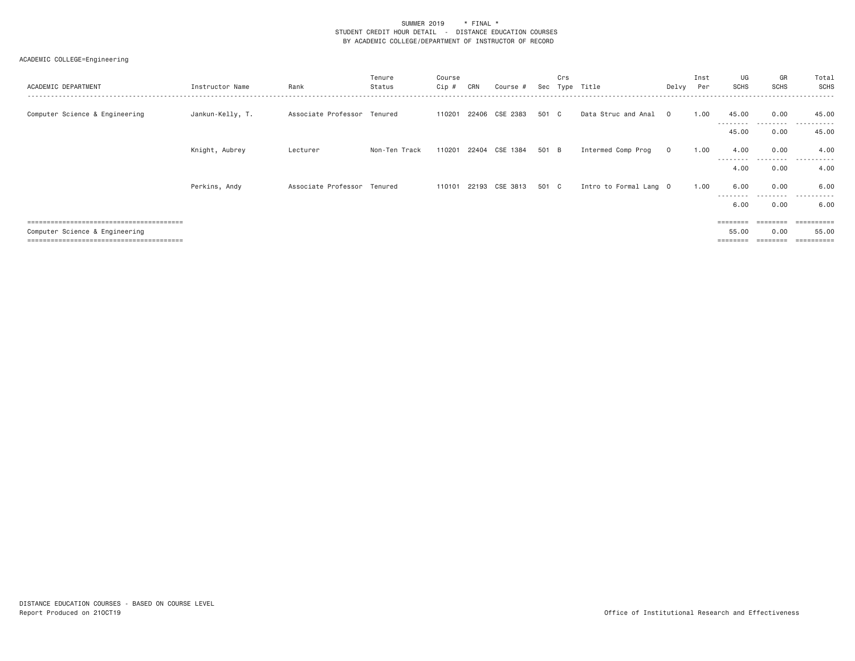| ACADEMIC DEPARTMENT            | Instructor Name  | Rank                        | Tenure<br>Status | Course<br>Cip # | CRN | Course #       | Sec   | Crs<br>Tvpe | Title                  | Delvy    | Inst<br>Per | UG<br>SCHS         | GR<br><b>SCHS</b> | Total<br>SCHS       |
|--------------------------------|------------------|-----------------------------|------------------|-----------------|-----|----------------|-------|-------------|------------------------|----------|-------------|--------------------|-------------------|---------------------|
| Computer Science & Engineering | Jankun-Kelly, T. | Associate Professor Tenured |                  | 110201          |     | 22406 CSE 2383 | 501 C |             | Data Struc and Anal    | $\Omega$ | 1.00        | 45.00              | 0.00              | 45.00               |
|                                |                  |                             |                  |                 |     |                |       |             |                        |          |             | ---------<br>45.00 | .<br>0.00         | ----------<br>45.00 |
|                                | Knight, Aubrey   | Lecturer                    | Non-Ten Track    | 110201          |     | 22404 CSE 1384 | 501 B |             | Intermed Comp Prog     | $\circ$  | 1.00        | 4.00               | 0.00              | 4.00                |
|                                |                  |                             |                  |                 |     |                |       |             |                        |          |             | ---------<br>4.00  | ---------<br>0.00 | ----------<br>4.00  |
|                                | Perkins, Andy    | Associate Professor Tenured |                  | 110101          |     | 22193 CSE 3813 | 501 C |             | Intro to Formal Lang 0 |          | 1.00        | 6,00               | 0.00              | 6,00                |
|                                |                  |                             |                  |                 |     |                |       |             |                        |          |             | ---------<br>6.00  | .<br>0.00         | .<br>6.00           |
|                                |                  |                             |                  |                 |     |                |       |             |                        |          |             |                    | ========          |                     |
| Computer Science & Engineering |                  |                             |                  |                 |     |                |       |             |                        |          |             | 55.00              | 0.00              | 55.00               |
|                                |                  |                             |                  |                 |     |                |       |             |                        |          |             |                    |                   | =======             |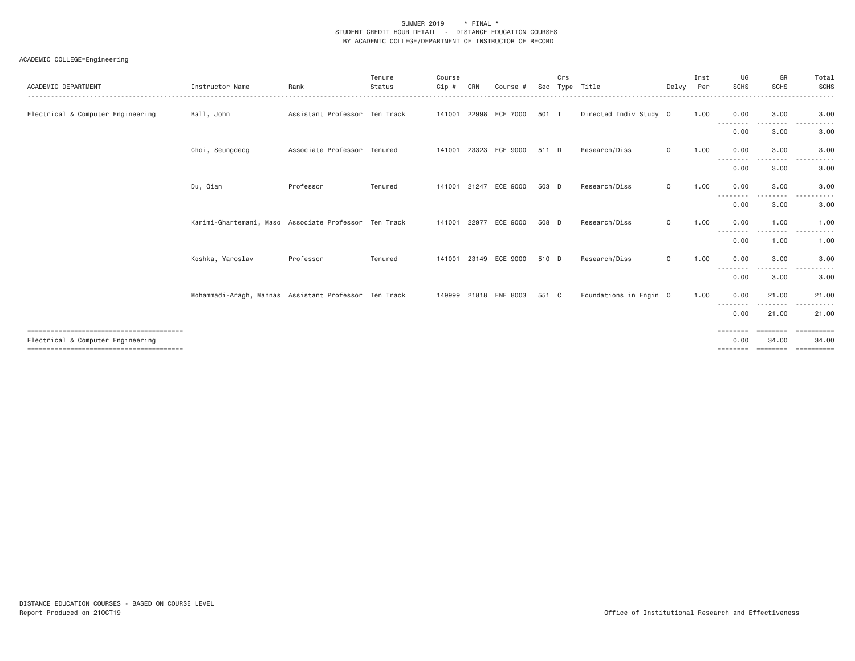| ACADEMIC DEPARTMENT               | Instructor Name                                       | Rank                          | Tenure<br>Status | Course<br>Cip # | CRN | Course #              | Sec   | Crs | Tvpe Title             | Delvy        | Inst<br>Per | UG<br><b>SCHS</b>               | GR<br><b>SCHS</b> | Total<br><b>SCHS</b>                                                                                                                                                                                                                                                                                                                                                                                                                                                                           |
|-----------------------------------|-------------------------------------------------------|-------------------------------|------------------|-----------------|-----|-----------------------|-------|-----|------------------------|--------------|-------------|---------------------------------|-------------------|------------------------------------------------------------------------------------------------------------------------------------------------------------------------------------------------------------------------------------------------------------------------------------------------------------------------------------------------------------------------------------------------------------------------------------------------------------------------------------------------|
| Electrical & Computer Engineering | Ball, John                                            | Assistant Professor Ten Track |                  | 141001          |     | 22998 ECE 7000        | 501 I |     | Directed Indiv Study 0 |              | 1.00        | 0.00                            | 3.00              | 3.00                                                                                                                                                                                                                                                                                                                                                                                                                                                                                           |
|                                   |                                                       |                               |                  |                 |     |                       |       |     |                        |              |             | --------<br>0.00                | 3.00              | 3.00                                                                                                                                                                                                                                                                                                                                                                                                                                                                                           |
|                                   | Choi, Seungdeog                                       | Associate Professor Tenured   |                  |                 |     | 141001 23323 ECE 9000 | 511 D |     | Research/Diss          | $\mathbf{0}$ | 1.00        | 0.00<br><u>.</u>                | 3.00              | 3.00                                                                                                                                                                                                                                                                                                                                                                                                                                                                                           |
|                                   |                                                       |                               |                  |                 |     |                       |       |     |                        |              |             | 0.00                            | 3.00              | 3.00                                                                                                                                                                                                                                                                                                                                                                                                                                                                                           |
|                                   | Du, Qian                                              | Professor                     | Tenured          | 141001          |     | 21247 ECE 9000        | 503 D |     | Research/Diss          | $\mathbf 0$  | 1.00        | 0.00<br>--------                | 3.00              | 3.00<br>.                                                                                                                                                                                                                                                                                                                                                                                                                                                                                      |
|                                   |                                                       |                               |                  |                 |     |                       |       |     |                        |              |             | 0.00                            | 3.00              | 3.00                                                                                                                                                                                                                                                                                                                                                                                                                                                                                           |
|                                   | Karimi-Ghartemani, Maso Associate Professor Ten Track |                               |                  |                 |     | 141001 22977 ECE 9000 | 508 D |     | Research/Diss          | $\circ$      | 1.00        | 0.00<br>--------                | 1.00              | 1.00                                                                                                                                                                                                                                                                                                                                                                                                                                                                                           |
|                                   |                                                       |                               |                  |                 |     |                       |       |     |                        |              |             | 0.00                            | 1.00              | 1.00                                                                                                                                                                                                                                                                                                                                                                                                                                                                                           |
|                                   | Koshka, Yaroslav                                      | Professor                     | Tenured          | 141001          |     | 23149 ECE 9000        | 510 D |     | Research/Diss          | $\mathbf 0$  | 1.00        | 0.00<br>----                    | 3,00              | 3.00                                                                                                                                                                                                                                                                                                                                                                                                                                                                                           |
|                                   |                                                       |                               |                  |                 |     |                       |       |     |                        |              |             | 0.00                            | 3.00              | 3.00                                                                                                                                                                                                                                                                                                                                                                                                                                                                                           |
|                                   | Mohammadi-Aragh, Mahnas Assistant Professor Ten Track |                               |                  |                 |     | 149999 21818 ENE 8003 | 551 C |     | Foundations in Engin 0 |              | 1.00        | 0.00<br>---------               | 21.00<br>-----    | 21.00<br>$- - -$<br>$\frac{1}{2} \left( \frac{1}{2} \right) \left( \frac{1}{2} \right) \left( \frac{1}{2} \right) \left( \frac{1}{2} \right) \left( \frac{1}{2} \right) \left( \frac{1}{2} \right) \left( \frac{1}{2} \right) \left( \frac{1}{2} \right) \left( \frac{1}{2} \right) \left( \frac{1}{2} \right) \left( \frac{1}{2} \right) \left( \frac{1}{2} \right) \left( \frac{1}{2} \right) \left( \frac{1}{2} \right) \left( \frac{1}{2} \right) \left( \frac{1}{2} \right) \left( \frac$ |
|                                   |                                                       |                               |                  |                 |     |                       |       |     |                        |              |             | 0.00                            | 21.00             | 21.00                                                                                                                                                                                                                                                                                                                                                                                                                                                                                          |
| Electrical & Computer Engineering |                                                       |                               |                  |                 |     |                       |       |     |                        |              |             | $=$ =======<br>0.00<br>======== | 34,00             | ========= ==========<br>34,00                                                                                                                                                                                                                                                                                                                                                                                                                                                                  |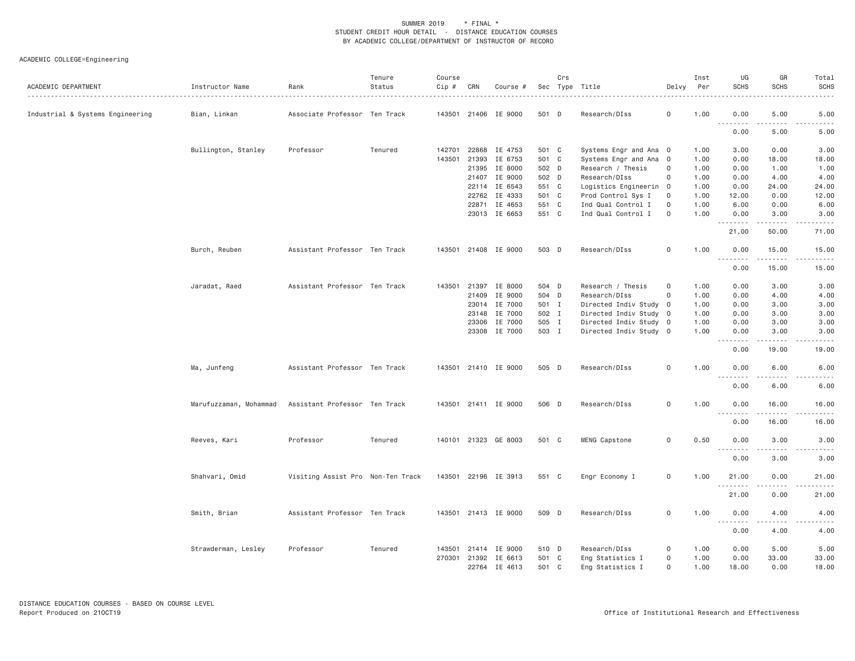| $\mathbf 0$<br>1.00<br>5.00<br>Industrial & Systems Engineering<br>Bian, Linkan<br>Associate Professor Ten Track<br>143501<br>21406 IE 9000<br>501 D<br>Research/DIss<br>0.00<br>5.00<br><b>.</b><br>0.00<br>5.00<br>5.00<br>22868 IE 4753<br>Systems Engr and Ana 0<br>3.00<br>Bullington, Stanley<br>Professor<br>Tenured<br>142701<br>501 C<br>1.00<br>0.00<br>3.00<br>21393<br>143501<br>IE 6753<br>501 C<br>Systems Engr and Ana<br>$\overline{\mathbf{0}}$<br>1.00<br>0.00<br>18.00<br>18.00<br>21395<br>IE 8000<br>502 D<br>Research / Thesis<br>1.00<br>0.00<br>1.00<br>1.00<br>0<br>21407 IE 9000<br>502 D<br>Research/DIss<br>$\mathbf 0$<br>1.00<br>0.00<br>4.00<br>4.00<br>22114 IE 6543<br>551 C<br>Logistics Engineerin 0<br>1.00<br>0.00<br>24.00<br>24.00<br>22762<br>IE 4333<br>501 C<br>Prod Control Sys I<br>1.00<br>0.00<br>12.00<br>0<br>12.00<br>551 C<br>Ind Qual Control I<br>0.00<br>22871<br>IE 4653<br>0<br>1.00<br>6.00<br>6.00<br>23013 IE 6653<br>551 C<br>Ind Qual Control I<br>$\mathbf 0$<br>1.00<br>0.00<br>3.00<br>3.00<br>.<br>$\frac{1}{2} \left( \frac{1}{2} \right) \left( \frac{1}{2} \right) \left( \frac{1}{2} \right) \left( \frac{1}{2} \right)$<br>21.00<br>50.00<br>71.00<br>$\mathbf 0$<br>1.00<br>Assistant Professor Ten Track<br>143501 21408 IE 9000<br>503 D<br>Research/DIss<br>0.00<br>15.00<br>15.00<br>Burch, Reuben<br>$\begin{array}{cccccccccccccc} \multicolumn{2}{c}{} & \multicolumn{2}{c}{} & \multicolumn{2}{c}{} & \multicolumn{2}{c}{} & \multicolumn{2}{c}{} & \multicolumn{2}{c}{} & \multicolumn{2}{c}{} & \multicolumn{2}{c}{} & \multicolumn{2}{c}{} & \multicolumn{2}{c}{} & \multicolumn{2}{c}{} & \multicolumn{2}{c}{} & \multicolumn{2}{c}{} & \multicolumn{2}{c}{} & \multicolumn{2}{c}{} & \multicolumn{2}{c}{} & \multicolumn{2}{c}{} & \multicolumn{2}{c}{} & \multicolumn{2}{c}{} & \$<br>.<br>.<br>0.00<br>15.00<br>15.00<br>Assistant Professor Ten Track<br>Jaradat, Raed<br>143501<br>21397 IE 8000<br>504 D<br>Research / Thesis<br>0<br>1.00<br>0.00<br>3.00<br>3.00<br>21409<br>IE 9000<br>504 D<br>Research/DIss<br>$\mathbf 0$<br>1.00<br>0.00<br>4.00<br>4.00<br>23014 IE 7000<br>501 I<br>Directed Indiv Study 0<br>0.00<br>3.00<br>3.00<br>1.00<br>23148 IE 7000<br>502 I<br>Directed Indiv Study 0<br>3.00<br>1.00<br>0.00<br>3.00<br>505 I<br>23306<br>IE 7000<br>Directed Indiv Study 0<br>1.00<br>0.00<br>3.00<br>3.00<br>23308 IE 7000<br>503 I<br>Directed Indiv Study 0<br>1.00<br>0.00<br>3.00<br>3.00<br>$- - - -$<br>.<br>0.00<br>19.00<br>19.00<br>$\mathbf 0$<br>1.00<br>0.00<br>Ma, Junfeng<br>Assistant Professor Ten Track<br>143501 21410 IE 9000<br>505 D<br>Research/DIss<br>6.00<br>6.00<br>1.1.1.1.1.1.1<br>0.00<br>6.00<br>6.00<br>Marufuzzaman, Mohammad<br>506 D<br>$\mathsf{O}$<br>1.00<br>Assistant Professor Ten Track<br>143501 21411 IE 9000<br>Research/DIss<br>0.00<br>16.00<br>16.00<br><b></b><br>$- - - - -$<br>.<br>0.00<br>16.00<br>16.00<br>$\mathbf 0$<br>0.50<br>0.00<br>Reeves, Kari<br>Professor<br>Tenured<br>140101 21323 GE 8003<br>501 C<br>MENG Capstone<br>3.00<br>3.00<br>1.1.1.1.1.1.1<br>0.00<br>3.00<br>3.00<br>$\mathsf{O}\xspace$<br>1.00<br>Shahvari, Omid<br>Visiting Assist Pro Non-Ten Track<br>143501 22196 IE 3913<br>551 C<br>Engr Economy I<br>21.00<br>0.00<br>21.00<br>$\begin{array}{cccccccccccccc} \multicolumn{2}{c}{} & \multicolumn{2}{c}{} & \multicolumn{2}{c}{} & \multicolumn{2}{c}{} & \multicolumn{2}{c}{} & \multicolumn{2}{c}{} & \multicolumn{2}{c}{} & \multicolumn{2}{c}{} & \multicolumn{2}{c}{} & \multicolumn{2}{c}{} & \multicolumn{2}{c}{} & \multicolumn{2}{c}{} & \multicolumn{2}{c}{} & \multicolumn{2}{c}{} & \multicolumn{2}{c}{} & \multicolumn{2}{c}{} & \multicolumn{2}{c}{} & \multicolumn{2}{c}{} & \multicolumn{2}{c}{} & \$<br>22222<br>.<br>21.00<br>0.00<br>21.00<br>Smith, Brian<br>Assistant Professor Ten Track<br>143501 21413 IE 9000<br>509 D<br>$\mathbf 0$<br>1,00<br>0.00<br>4.00<br>Research/DIss<br>4.00<br>.<br>0.00<br>4.00<br>4.00 | ACADEMIC DEPARTMENT | Instructor Name | Rank | Tenure<br>Status | Course<br>Cip # | CRN | Course # | Sec | Crs | Type Title | Delvy | Inst<br>Per | UG<br><b>SCHS</b> | GR<br><b>SCHS</b> | Total<br><b>SCHS</b> |
|------------------------------------------------------------------------------------------------------------------------------------------------------------------------------------------------------------------------------------------------------------------------------------------------------------------------------------------------------------------------------------------------------------------------------------------------------------------------------------------------------------------------------------------------------------------------------------------------------------------------------------------------------------------------------------------------------------------------------------------------------------------------------------------------------------------------------------------------------------------------------------------------------------------------------------------------------------------------------------------------------------------------------------------------------------------------------------------------------------------------------------------------------------------------------------------------------------------------------------------------------------------------------------------------------------------------------------------------------------------------------------------------------------------------------------------------------------------------------------------------------------------------------------------------------------------------------------------------------------------------------------------------------------------------------------------------------------------------------------------------------------------------------------------------------------------------------------------------------------------------------------------------------------------------------------------------------------------------------------------------------------------------------------------------------------------------------------------------------------------------------------------------------------------------------------------------------------------------------------------------------------------------------------------------------------------------------------------------------------------------------------------------------------------------------------------------------------------------------------------------------------------------------------------------------------------------------------------------------------------------------------------------------------------------------------------------------------------------------------------------------------------------------------------------------------------------------------------------------------------------------------------------------------------------------------------------------------------------------------------------------------------------------------------------------------------------------------------------------------------------------------------------------------------------------------------------------------------------------------------------------------------------------------------------------------------------------------------------------------------------------------------------------------------------------------------------------------------------------------------------------------------------------------------------------------------------------------------------------------------------------------------------------------------------------------------------------------------------------------------------------------------------------------------------------------------------------------------------------------------------------------------------------------------------------------------------------------------------------------------------------------------------------------------------|---------------------|-----------------|------|------------------|-----------------|-----|----------|-----|-----|------------|-------|-------------|-------------------|-------------------|----------------------|
|                                                                                                                                                                                                                                                                                                                                                                                                                                                                                                                                                                                                                                                                                                                                                                                                                                                                                                                                                                                                                                                                                                                                                                                                                                                                                                                                                                                                                                                                                                                                                                                                                                                                                                                                                                                                                                                                                                                                                                                                                                                                                                                                                                                                                                                                                                                                                                                                                                                                                                                                                                                                                                                                                                                                                                                                                                                                                                                                                                                                                                                                                                                                                                                                                                                                                                                                                                                                                                                                                                                                                                                                                                                                                                                                                                                                                                                                                                                                                                                                                                                |                     |                 |      |                  |                 |     |          |     |     |            |       |             |                   |                   |                      |
|                                                                                                                                                                                                                                                                                                                                                                                                                                                                                                                                                                                                                                                                                                                                                                                                                                                                                                                                                                                                                                                                                                                                                                                                                                                                                                                                                                                                                                                                                                                                                                                                                                                                                                                                                                                                                                                                                                                                                                                                                                                                                                                                                                                                                                                                                                                                                                                                                                                                                                                                                                                                                                                                                                                                                                                                                                                                                                                                                                                                                                                                                                                                                                                                                                                                                                                                                                                                                                                                                                                                                                                                                                                                                                                                                                                                                                                                                                                                                                                                                                                |                     |                 |      |                  |                 |     |          |     |     |            |       |             |                   |                   |                      |
|                                                                                                                                                                                                                                                                                                                                                                                                                                                                                                                                                                                                                                                                                                                                                                                                                                                                                                                                                                                                                                                                                                                                                                                                                                                                                                                                                                                                                                                                                                                                                                                                                                                                                                                                                                                                                                                                                                                                                                                                                                                                                                                                                                                                                                                                                                                                                                                                                                                                                                                                                                                                                                                                                                                                                                                                                                                                                                                                                                                                                                                                                                                                                                                                                                                                                                                                                                                                                                                                                                                                                                                                                                                                                                                                                                                                                                                                                                                                                                                                                                                |                     |                 |      |                  |                 |     |          |     |     |            |       |             |                   |                   |                      |
|                                                                                                                                                                                                                                                                                                                                                                                                                                                                                                                                                                                                                                                                                                                                                                                                                                                                                                                                                                                                                                                                                                                                                                                                                                                                                                                                                                                                                                                                                                                                                                                                                                                                                                                                                                                                                                                                                                                                                                                                                                                                                                                                                                                                                                                                                                                                                                                                                                                                                                                                                                                                                                                                                                                                                                                                                                                                                                                                                                                                                                                                                                                                                                                                                                                                                                                                                                                                                                                                                                                                                                                                                                                                                                                                                                                                                                                                                                                                                                                                                                                |                     |                 |      |                  |                 |     |          |     |     |            |       |             |                   |                   |                      |
|                                                                                                                                                                                                                                                                                                                                                                                                                                                                                                                                                                                                                                                                                                                                                                                                                                                                                                                                                                                                                                                                                                                                                                                                                                                                                                                                                                                                                                                                                                                                                                                                                                                                                                                                                                                                                                                                                                                                                                                                                                                                                                                                                                                                                                                                                                                                                                                                                                                                                                                                                                                                                                                                                                                                                                                                                                                                                                                                                                                                                                                                                                                                                                                                                                                                                                                                                                                                                                                                                                                                                                                                                                                                                                                                                                                                                                                                                                                                                                                                                                                |                     |                 |      |                  |                 |     |          |     |     |            |       |             |                   |                   |                      |
|                                                                                                                                                                                                                                                                                                                                                                                                                                                                                                                                                                                                                                                                                                                                                                                                                                                                                                                                                                                                                                                                                                                                                                                                                                                                                                                                                                                                                                                                                                                                                                                                                                                                                                                                                                                                                                                                                                                                                                                                                                                                                                                                                                                                                                                                                                                                                                                                                                                                                                                                                                                                                                                                                                                                                                                                                                                                                                                                                                                                                                                                                                                                                                                                                                                                                                                                                                                                                                                                                                                                                                                                                                                                                                                                                                                                                                                                                                                                                                                                                                                |                     |                 |      |                  |                 |     |          |     |     |            |       |             |                   |                   |                      |
|                                                                                                                                                                                                                                                                                                                                                                                                                                                                                                                                                                                                                                                                                                                                                                                                                                                                                                                                                                                                                                                                                                                                                                                                                                                                                                                                                                                                                                                                                                                                                                                                                                                                                                                                                                                                                                                                                                                                                                                                                                                                                                                                                                                                                                                                                                                                                                                                                                                                                                                                                                                                                                                                                                                                                                                                                                                                                                                                                                                                                                                                                                                                                                                                                                                                                                                                                                                                                                                                                                                                                                                                                                                                                                                                                                                                                                                                                                                                                                                                                                                |                     |                 |      |                  |                 |     |          |     |     |            |       |             |                   |                   |                      |
|                                                                                                                                                                                                                                                                                                                                                                                                                                                                                                                                                                                                                                                                                                                                                                                                                                                                                                                                                                                                                                                                                                                                                                                                                                                                                                                                                                                                                                                                                                                                                                                                                                                                                                                                                                                                                                                                                                                                                                                                                                                                                                                                                                                                                                                                                                                                                                                                                                                                                                                                                                                                                                                                                                                                                                                                                                                                                                                                                                                                                                                                                                                                                                                                                                                                                                                                                                                                                                                                                                                                                                                                                                                                                                                                                                                                                                                                                                                                                                                                                                                |                     |                 |      |                  |                 |     |          |     |     |            |       |             |                   |                   |                      |
|                                                                                                                                                                                                                                                                                                                                                                                                                                                                                                                                                                                                                                                                                                                                                                                                                                                                                                                                                                                                                                                                                                                                                                                                                                                                                                                                                                                                                                                                                                                                                                                                                                                                                                                                                                                                                                                                                                                                                                                                                                                                                                                                                                                                                                                                                                                                                                                                                                                                                                                                                                                                                                                                                                                                                                                                                                                                                                                                                                                                                                                                                                                                                                                                                                                                                                                                                                                                                                                                                                                                                                                                                                                                                                                                                                                                                                                                                                                                                                                                                                                |                     |                 |      |                  |                 |     |          |     |     |            |       |             |                   |                   |                      |
|                                                                                                                                                                                                                                                                                                                                                                                                                                                                                                                                                                                                                                                                                                                                                                                                                                                                                                                                                                                                                                                                                                                                                                                                                                                                                                                                                                                                                                                                                                                                                                                                                                                                                                                                                                                                                                                                                                                                                                                                                                                                                                                                                                                                                                                                                                                                                                                                                                                                                                                                                                                                                                                                                                                                                                                                                                                                                                                                                                                                                                                                                                                                                                                                                                                                                                                                                                                                                                                                                                                                                                                                                                                                                                                                                                                                                                                                                                                                                                                                                                                |                     |                 |      |                  |                 |     |          |     |     |            |       |             |                   |                   |                      |
|                                                                                                                                                                                                                                                                                                                                                                                                                                                                                                                                                                                                                                                                                                                                                                                                                                                                                                                                                                                                                                                                                                                                                                                                                                                                                                                                                                                                                                                                                                                                                                                                                                                                                                                                                                                                                                                                                                                                                                                                                                                                                                                                                                                                                                                                                                                                                                                                                                                                                                                                                                                                                                                                                                                                                                                                                                                                                                                                                                                                                                                                                                                                                                                                                                                                                                                                                                                                                                                                                                                                                                                                                                                                                                                                                                                                                                                                                                                                                                                                                                                |                     |                 |      |                  |                 |     |          |     |     |            |       |             |                   |                   |                      |
|                                                                                                                                                                                                                                                                                                                                                                                                                                                                                                                                                                                                                                                                                                                                                                                                                                                                                                                                                                                                                                                                                                                                                                                                                                                                                                                                                                                                                                                                                                                                                                                                                                                                                                                                                                                                                                                                                                                                                                                                                                                                                                                                                                                                                                                                                                                                                                                                                                                                                                                                                                                                                                                                                                                                                                                                                                                                                                                                                                                                                                                                                                                                                                                                                                                                                                                                                                                                                                                                                                                                                                                                                                                                                                                                                                                                                                                                                                                                                                                                                                                |                     |                 |      |                  |                 |     |          |     |     |            |       |             |                   |                   |                      |
|                                                                                                                                                                                                                                                                                                                                                                                                                                                                                                                                                                                                                                                                                                                                                                                                                                                                                                                                                                                                                                                                                                                                                                                                                                                                                                                                                                                                                                                                                                                                                                                                                                                                                                                                                                                                                                                                                                                                                                                                                                                                                                                                                                                                                                                                                                                                                                                                                                                                                                                                                                                                                                                                                                                                                                                                                                                                                                                                                                                                                                                                                                                                                                                                                                                                                                                                                                                                                                                                                                                                                                                                                                                                                                                                                                                                                                                                                                                                                                                                                                                |                     |                 |      |                  |                 |     |          |     |     |            |       |             |                   |                   |                      |
|                                                                                                                                                                                                                                                                                                                                                                                                                                                                                                                                                                                                                                                                                                                                                                                                                                                                                                                                                                                                                                                                                                                                                                                                                                                                                                                                                                                                                                                                                                                                                                                                                                                                                                                                                                                                                                                                                                                                                                                                                                                                                                                                                                                                                                                                                                                                                                                                                                                                                                                                                                                                                                                                                                                                                                                                                                                                                                                                                                                                                                                                                                                                                                                                                                                                                                                                                                                                                                                                                                                                                                                                                                                                                                                                                                                                                                                                                                                                                                                                                                                |                     |                 |      |                  |                 |     |          |     |     |            |       |             |                   |                   |                      |
|                                                                                                                                                                                                                                                                                                                                                                                                                                                                                                                                                                                                                                                                                                                                                                                                                                                                                                                                                                                                                                                                                                                                                                                                                                                                                                                                                                                                                                                                                                                                                                                                                                                                                                                                                                                                                                                                                                                                                                                                                                                                                                                                                                                                                                                                                                                                                                                                                                                                                                                                                                                                                                                                                                                                                                                                                                                                                                                                                                                                                                                                                                                                                                                                                                                                                                                                                                                                                                                                                                                                                                                                                                                                                                                                                                                                                                                                                                                                                                                                                                                |                     |                 |      |                  |                 |     |          |     |     |            |       |             |                   |                   |                      |
|                                                                                                                                                                                                                                                                                                                                                                                                                                                                                                                                                                                                                                                                                                                                                                                                                                                                                                                                                                                                                                                                                                                                                                                                                                                                                                                                                                                                                                                                                                                                                                                                                                                                                                                                                                                                                                                                                                                                                                                                                                                                                                                                                                                                                                                                                                                                                                                                                                                                                                                                                                                                                                                                                                                                                                                                                                                                                                                                                                                                                                                                                                                                                                                                                                                                                                                                                                                                                                                                                                                                                                                                                                                                                                                                                                                                                                                                                                                                                                                                                                                |                     |                 |      |                  |                 |     |          |     |     |            |       |             |                   |                   |                      |
|                                                                                                                                                                                                                                                                                                                                                                                                                                                                                                                                                                                                                                                                                                                                                                                                                                                                                                                                                                                                                                                                                                                                                                                                                                                                                                                                                                                                                                                                                                                                                                                                                                                                                                                                                                                                                                                                                                                                                                                                                                                                                                                                                                                                                                                                                                                                                                                                                                                                                                                                                                                                                                                                                                                                                                                                                                                                                                                                                                                                                                                                                                                                                                                                                                                                                                                                                                                                                                                                                                                                                                                                                                                                                                                                                                                                                                                                                                                                                                                                                                                |                     |                 |      |                  |                 |     |          |     |     |            |       |             |                   |                   |                      |
|                                                                                                                                                                                                                                                                                                                                                                                                                                                                                                                                                                                                                                                                                                                                                                                                                                                                                                                                                                                                                                                                                                                                                                                                                                                                                                                                                                                                                                                                                                                                                                                                                                                                                                                                                                                                                                                                                                                                                                                                                                                                                                                                                                                                                                                                                                                                                                                                                                                                                                                                                                                                                                                                                                                                                                                                                                                                                                                                                                                                                                                                                                                                                                                                                                                                                                                                                                                                                                                                                                                                                                                                                                                                                                                                                                                                                                                                                                                                                                                                                                                |                     |                 |      |                  |                 |     |          |     |     |            |       |             |                   |                   |                      |
|                                                                                                                                                                                                                                                                                                                                                                                                                                                                                                                                                                                                                                                                                                                                                                                                                                                                                                                                                                                                                                                                                                                                                                                                                                                                                                                                                                                                                                                                                                                                                                                                                                                                                                                                                                                                                                                                                                                                                                                                                                                                                                                                                                                                                                                                                                                                                                                                                                                                                                                                                                                                                                                                                                                                                                                                                                                                                                                                                                                                                                                                                                                                                                                                                                                                                                                                                                                                                                                                                                                                                                                                                                                                                                                                                                                                                                                                                                                                                                                                                                                |                     |                 |      |                  |                 |     |          |     |     |            |       |             |                   |                   |                      |
|                                                                                                                                                                                                                                                                                                                                                                                                                                                                                                                                                                                                                                                                                                                                                                                                                                                                                                                                                                                                                                                                                                                                                                                                                                                                                                                                                                                                                                                                                                                                                                                                                                                                                                                                                                                                                                                                                                                                                                                                                                                                                                                                                                                                                                                                                                                                                                                                                                                                                                                                                                                                                                                                                                                                                                                                                                                                                                                                                                                                                                                                                                                                                                                                                                                                                                                                                                                                                                                                                                                                                                                                                                                                                                                                                                                                                                                                                                                                                                                                                                                |                     |                 |      |                  |                 |     |          |     |     |            |       |             |                   |                   |                      |
|                                                                                                                                                                                                                                                                                                                                                                                                                                                                                                                                                                                                                                                                                                                                                                                                                                                                                                                                                                                                                                                                                                                                                                                                                                                                                                                                                                                                                                                                                                                                                                                                                                                                                                                                                                                                                                                                                                                                                                                                                                                                                                                                                                                                                                                                                                                                                                                                                                                                                                                                                                                                                                                                                                                                                                                                                                                                                                                                                                                                                                                                                                                                                                                                                                                                                                                                                                                                                                                                                                                                                                                                                                                                                                                                                                                                                                                                                                                                                                                                                                                |                     |                 |      |                  |                 |     |          |     |     |            |       |             |                   |                   |                      |
|                                                                                                                                                                                                                                                                                                                                                                                                                                                                                                                                                                                                                                                                                                                                                                                                                                                                                                                                                                                                                                                                                                                                                                                                                                                                                                                                                                                                                                                                                                                                                                                                                                                                                                                                                                                                                                                                                                                                                                                                                                                                                                                                                                                                                                                                                                                                                                                                                                                                                                                                                                                                                                                                                                                                                                                                                                                                                                                                                                                                                                                                                                                                                                                                                                                                                                                                                                                                                                                                                                                                                                                                                                                                                                                                                                                                                                                                                                                                                                                                                                                |                     |                 |      |                  |                 |     |          |     |     |            |       |             |                   |                   |                      |
|                                                                                                                                                                                                                                                                                                                                                                                                                                                                                                                                                                                                                                                                                                                                                                                                                                                                                                                                                                                                                                                                                                                                                                                                                                                                                                                                                                                                                                                                                                                                                                                                                                                                                                                                                                                                                                                                                                                                                                                                                                                                                                                                                                                                                                                                                                                                                                                                                                                                                                                                                                                                                                                                                                                                                                                                                                                                                                                                                                                                                                                                                                                                                                                                                                                                                                                                                                                                                                                                                                                                                                                                                                                                                                                                                                                                                                                                                                                                                                                                                                                |                     |                 |      |                  |                 |     |          |     |     |            |       |             |                   |                   |                      |
|                                                                                                                                                                                                                                                                                                                                                                                                                                                                                                                                                                                                                                                                                                                                                                                                                                                                                                                                                                                                                                                                                                                                                                                                                                                                                                                                                                                                                                                                                                                                                                                                                                                                                                                                                                                                                                                                                                                                                                                                                                                                                                                                                                                                                                                                                                                                                                                                                                                                                                                                                                                                                                                                                                                                                                                                                                                                                                                                                                                                                                                                                                                                                                                                                                                                                                                                                                                                                                                                                                                                                                                                                                                                                                                                                                                                                                                                                                                                                                                                                                                |                     |                 |      |                  |                 |     |          |     |     |            |       |             |                   |                   |                      |
|                                                                                                                                                                                                                                                                                                                                                                                                                                                                                                                                                                                                                                                                                                                                                                                                                                                                                                                                                                                                                                                                                                                                                                                                                                                                                                                                                                                                                                                                                                                                                                                                                                                                                                                                                                                                                                                                                                                                                                                                                                                                                                                                                                                                                                                                                                                                                                                                                                                                                                                                                                                                                                                                                                                                                                                                                                                                                                                                                                                                                                                                                                                                                                                                                                                                                                                                                                                                                                                                                                                                                                                                                                                                                                                                                                                                                                                                                                                                                                                                                                                |                     |                 |      |                  |                 |     |          |     |     |            |       |             |                   |                   |                      |
|                                                                                                                                                                                                                                                                                                                                                                                                                                                                                                                                                                                                                                                                                                                                                                                                                                                                                                                                                                                                                                                                                                                                                                                                                                                                                                                                                                                                                                                                                                                                                                                                                                                                                                                                                                                                                                                                                                                                                                                                                                                                                                                                                                                                                                                                                                                                                                                                                                                                                                                                                                                                                                                                                                                                                                                                                                                                                                                                                                                                                                                                                                                                                                                                                                                                                                                                                                                                                                                                                                                                                                                                                                                                                                                                                                                                                                                                                                                                                                                                                                                |                     |                 |      |                  |                 |     |          |     |     |            |       |             |                   |                   |                      |
|                                                                                                                                                                                                                                                                                                                                                                                                                                                                                                                                                                                                                                                                                                                                                                                                                                                                                                                                                                                                                                                                                                                                                                                                                                                                                                                                                                                                                                                                                                                                                                                                                                                                                                                                                                                                                                                                                                                                                                                                                                                                                                                                                                                                                                                                                                                                                                                                                                                                                                                                                                                                                                                                                                                                                                                                                                                                                                                                                                                                                                                                                                                                                                                                                                                                                                                                                                                                                                                                                                                                                                                                                                                                                                                                                                                                                                                                                                                                                                                                                                                |                     |                 |      |                  |                 |     |          |     |     |            |       |             |                   |                   |                      |
|                                                                                                                                                                                                                                                                                                                                                                                                                                                                                                                                                                                                                                                                                                                                                                                                                                                                                                                                                                                                                                                                                                                                                                                                                                                                                                                                                                                                                                                                                                                                                                                                                                                                                                                                                                                                                                                                                                                                                                                                                                                                                                                                                                                                                                                                                                                                                                                                                                                                                                                                                                                                                                                                                                                                                                                                                                                                                                                                                                                                                                                                                                                                                                                                                                                                                                                                                                                                                                                                                                                                                                                                                                                                                                                                                                                                                                                                                                                                                                                                                                                |                     |                 |      |                  |                 |     |          |     |     |            |       |             |                   |                   |                      |
|                                                                                                                                                                                                                                                                                                                                                                                                                                                                                                                                                                                                                                                                                                                                                                                                                                                                                                                                                                                                                                                                                                                                                                                                                                                                                                                                                                                                                                                                                                                                                                                                                                                                                                                                                                                                                                                                                                                                                                                                                                                                                                                                                                                                                                                                                                                                                                                                                                                                                                                                                                                                                                                                                                                                                                                                                                                                                                                                                                                                                                                                                                                                                                                                                                                                                                                                                                                                                                                                                                                                                                                                                                                                                                                                                                                                                                                                                                                                                                                                                                                |                     |                 |      |                  |                 |     |          |     |     |            |       |             |                   |                   |                      |
|                                                                                                                                                                                                                                                                                                                                                                                                                                                                                                                                                                                                                                                                                                                                                                                                                                                                                                                                                                                                                                                                                                                                                                                                                                                                                                                                                                                                                                                                                                                                                                                                                                                                                                                                                                                                                                                                                                                                                                                                                                                                                                                                                                                                                                                                                                                                                                                                                                                                                                                                                                                                                                                                                                                                                                                                                                                                                                                                                                                                                                                                                                                                                                                                                                                                                                                                                                                                                                                                                                                                                                                                                                                                                                                                                                                                                                                                                                                                                                                                                                                |                     |                 |      |                  |                 |     |          |     |     |            |       |             |                   |                   |                      |
|                                                                                                                                                                                                                                                                                                                                                                                                                                                                                                                                                                                                                                                                                                                                                                                                                                                                                                                                                                                                                                                                                                                                                                                                                                                                                                                                                                                                                                                                                                                                                                                                                                                                                                                                                                                                                                                                                                                                                                                                                                                                                                                                                                                                                                                                                                                                                                                                                                                                                                                                                                                                                                                                                                                                                                                                                                                                                                                                                                                                                                                                                                                                                                                                                                                                                                                                                                                                                                                                                                                                                                                                                                                                                                                                                                                                                                                                                                                                                                                                                                                |                     |                 |      |                  |                 |     |          |     |     |            |       |             |                   |                   |                      |
|                                                                                                                                                                                                                                                                                                                                                                                                                                                                                                                                                                                                                                                                                                                                                                                                                                                                                                                                                                                                                                                                                                                                                                                                                                                                                                                                                                                                                                                                                                                                                                                                                                                                                                                                                                                                                                                                                                                                                                                                                                                                                                                                                                                                                                                                                                                                                                                                                                                                                                                                                                                                                                                                                                                                                                                                                                                                                                                                                                                                                                                                                                                                                                                                                                                                                                                                                                                                                                                                                                                                                                                                                                                                                                                                                                                                                                                                                                                                                                                                                                                |                     |                 |      |                  |                 |     |          |     |     |            |       |             |                   |                   |                      |
| Strawderman, Lesley<br>Professor<br>Tenured<br>143501<br>21414 IE 9000<br>510 D<br>Research/DIss<br>0<br>1.00<br>0.00<br>5.00<br>5.00                                                                                                                                                                                                                                                                                                                                                                                                                                                                                                                                                                                                                                                                                                                                                                                                                                                                                                                                                                                                                                                                                                                                                                                                                                                                                                                                                                                                                                                                                                                                                                                                                                                                                                                                                                                                                                                                                                                                                                                                                                                                                                                                                                                                                                                                                                                                                                                                                                                                                                                                                                                                                                                                                                                                                                                                                                                                                                                                                                                                                                                                                                                                                                                                                                                                                                                                                                                                                                                                                                                                                                                                                                                                                                                                                                                                                                                                                                          |                     |                 |      |                  |                 |     |          |     |     |            |       |             |                   |                   |                      |
| 501 C<br>270301<br>21392 IE 6613<br>Eng Statistics I<br>$\mathbf 0$<br>1.00<br>0.00<br>33.00<br>33.00                                                                                                                                                                                                                                                                                                                                                                                                                                                                                                                                                                                                                                                                                                                                                                                                                                                                                                                                                                                                                                                                                                                                                                                                                                                                                                                                                                                                                                                                                                                                                                                                                                                                                                                                                                                                                                                                                                                                                                                                                                                                                                                                                                                                                                                                                                                                                                                                                                                                                                                                                                                                                                                                                                                                                                                                                                                                                                                                                                                                                                                                                                                                                                                                                                                                                                                                                                                                                                                                                                                                                                                                                                                                                                                                                                                                                                                                                                                                          |                     |                 |      |                  |                 |     |          |     |     |            |       |             |                   |                   |                      |
| 22764 IE 4613<br>501 C<br>Eng Statistics I<br>$\circ$<br>1.00<br>18,00<br>0.00<br>18.00                                                                                                                                                                                                                                                                                                                                                                                                                                                                                                                                                                                                                                                                                                                                                                                                                                                                                                                                                                                                                                                                                                                                                                                                                                                                                                                                                                                                                                                                                                                                                                                                                                                                                                                                                                                                                                                                                                                                                                                                                                                                                                                                                                                                                                                                                                                                                                                                                                                                                                                                                                                                                                                                                                                                                                                                                                                                                                                                                                                                                                                                                                                                                                                                                                                                                                                                                                                                                                                                                                                                                                                                                                                                                                                                                                                                                                                                                                                                                        |                     |                 |      |                  |                 |     |          |     |     |            |       |             |                   |                   |                      |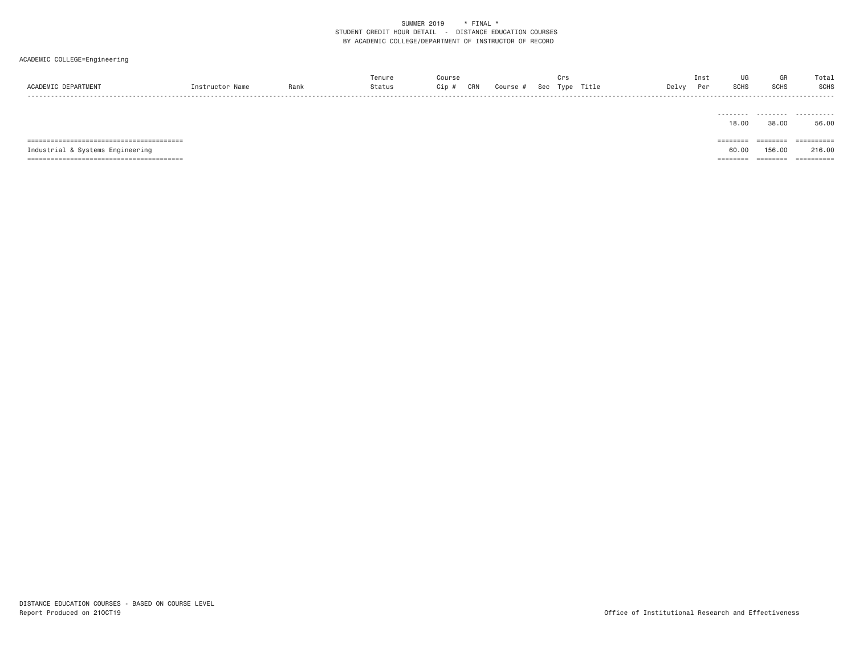## ACADEMIC COLLEGE=Engineering

|       | Rank | Tenur<br>Status | Сiр | CRN | 0.11r | --- | <b>Crs</b><br>. | Title | Jelvv | Inst<br>Pe | UG<br><b>COL</b> | SCHS | Totai<br><b>SCHS</b> |
|-------|------|-----------------|-----|-----|-------|-----|-----------------|-------|-------|------------|------------------|------|----------------------|
| ----- |      |                 |     |     |       |     |                 |       |       |            |                  |      | .                    |

 -------- -------- ----------18.00 38.00 56.00

| ________<br>________<br>--------<br>________ |
|----------------------------------------------|
|                                              |

 ======================================== ======== ======== ==========Industrial & Systems Engineering ======================================== ======== ======== ==========

DISTANCE EDUCATION COURSES - BASED ON COURSE LEVELReport Produced on 210CT19 **Office of Institutional Research and Effectiveness Office of Institutional Research and Effectiveness**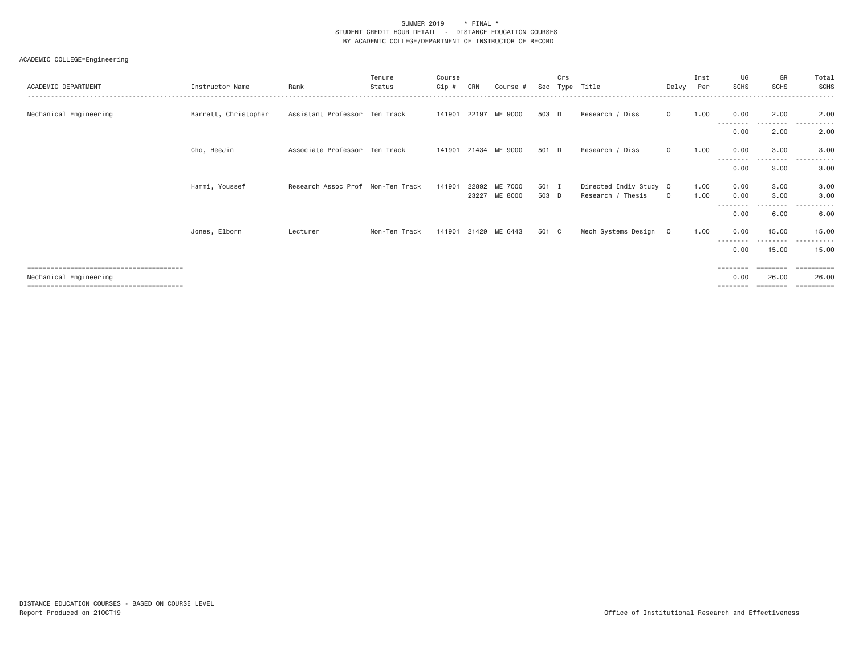| ACADEMIC DEPARTMENT    | Instructor Name      | Rank                              | Tenure<br>Status | Course<br>Cip # | CRN   | Course #                 | Sec            | Crs | Type Title                                  |              | Inst<br>Delvy Per | UG<br>SCHS                            | GR<br><b>SCHS</b> | Total<br>SCHS                                |
|------------------------|----------------------|-----------------------------------|------------------|-----------------|-------|--------------------------|----------------|-----|---------------------------------------------|--------------|-------------------|---------------------------------------|-------------------|----------------------------------------------|
| Mechanical Engineering | Barrett, Christopher | Assistant Professor Ten Track     |                  |                 |       | 141901 22197 ME 9000     | 503 D          |     | Research / Diss                             | $\mathbf{0}$ | 1.00              | 0.00                                  | 2.00              | 2.00                                         |
|                        |                      |                                   |                  |                 |       |                          |                |     |                                             |              |                   | ---------<br>0.00                     | 2.00              | $\cdots$<br>2.00                             |
|                        | Cho, HeeJin          | Associate Professor Ten Track     |                  | 141901          | 21434 | ME 9000                  | 501 D          |     | Research / Diss                             | $\circ$      | 1.00              | 0.00<br>--------                      | 3.00<br>.         | 3.00<br>----------                           |
|                        |                      |                                   |                  |                 |       |                          |                |     |                                             |              |                   | 0.00                                  | 3.00              | 3.00                                         |
|                        | Hammi, Youssef       | Research Assoc Prof Non-Ten Track |                  | 141901          | 23227 | 22892 ME 7000<br>ME 8000 | 501 I<br>503 D |     | Directed Indiv Study 0<br>Research / Thesis | $\circ$      | 1.00<br>1.00      | 0.00<br>0.00                          | 3.00<br>3.00      | 3.00<br>3.00                                 |
|                        |                      |                                   |                  |                 |       |                          |                |     |                                             |              |                   | --------<br>0.00                      | -----<br>6.00     | ---------<br>6.00                            |
|                        | Jones, Elborn        | Lecturer                          | Non-Ten Track    |                 |       | 141901 21429 ME 6443     | 501 C          |     | Mech Systems Design 0                       |              | 1.00              | 0.00                                  | 15.00             | 15.00                                        |
|                        |                      |                                   |                  |                 |       |                          |                |     |                                             |              |                   | 0.00                                  | 15.00             | 15.00                                        |
| Mechanical Engineering |                      |                                   |                  |                 |       |                          |                |     |                                             |              |                   | $=$ = = = = = = =<br>0.00<br>======== | ========<br>26.00 | ==========<br>26.00<br>$=$ = = = = = = = = = |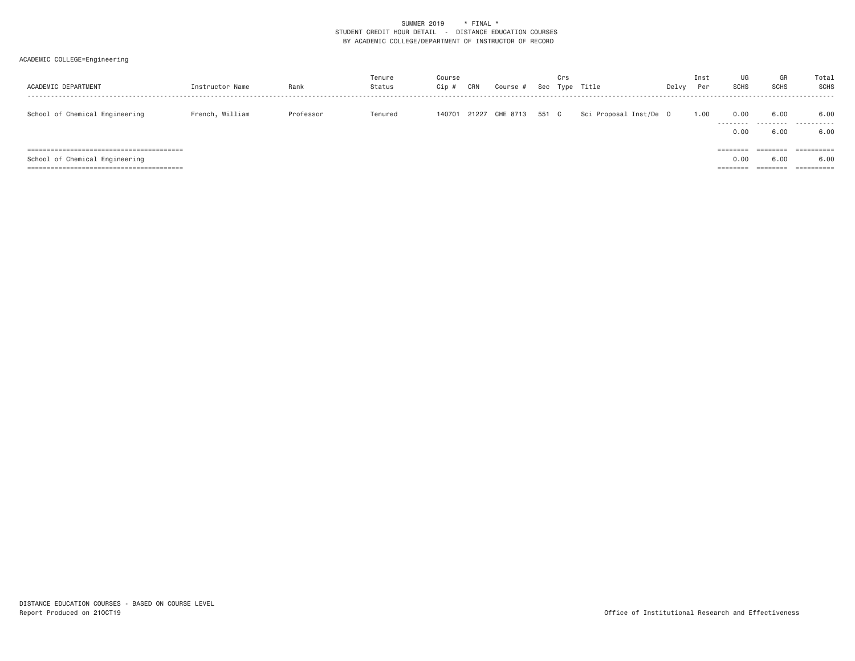| ACADEMIC DEPARTMENT                                               | Instructor Name | Rank      | Tenure<br>Status | Course<br>Cip ; | CRN | Course #       | Sec   | Crs | Type Title             | Delvy | Inst<br>Per | UG<br><b>SCHS</b>         | GR<br><b>SCHS</b>           | Total<br>SCHS                                              |
|-------------------------------------------------------------------|-----------------|-----------|------------------|-----------------|-----|----------------|-------|-----|------------------------|-------|-------------|---------------------------|-----------------------------|------------------------------------------------------------|
| School of Chemical Engineering                                    | French, William | Professor | Tenured          | 140701          |     | 21227 CHE 8713 | 551 C |     | Sci Proposal Inst/De O |       | 1.00        | 0.00<br>0.00              | 6.00<br>6,00                | 6.00<br><br>6.00                                           |
| School of Chemical Engineering<br>------------------------------- |                 |           |                  |                 |     |                |       |     |                        |       |             | ========<br>0.00<br>===== | ========<br>6.00<br>======= | $=$ = = = = = = = = = =<br>6.00<br>$=$ = = = = = = = = = = |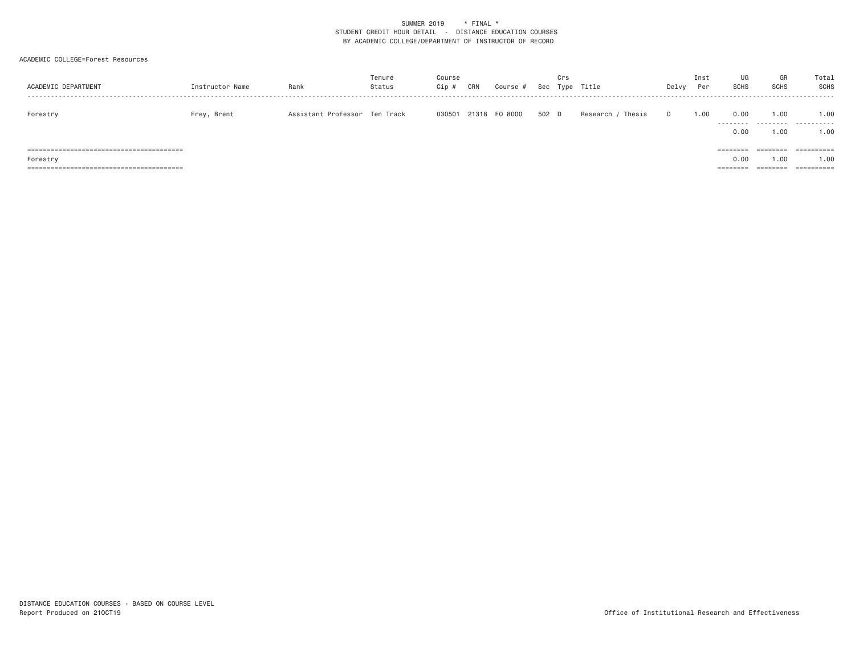### ACADEMIC COLLEGE=Forest Resources

| ACADEMIC DEPARTMENT | Instructor Name | Rank                          | Tenure<br>Status | Course<br>Cip # | CRN   | Course # | Sec   | Crs<br>Type | Title             | Delvy    | Inst<br>Per | UG<br><b>SCHS</b>            | GR<br><b>SCHS</b>            | Total<br>SCHS                    |
|---------------------|-----------------|-------------------------------|------------------|-----------------|-------|----------|-------|-------------|-------------------|----------|-------------|------------------------------|------------------------------|----------------------------------|
| Forestry            | Frey, Brent     | Assistant Professor Ten Track |                  | 030501          | 21318 | F0 8000  | 502 D |             | Research / Thesis | $\Omega$ | 1.00        | 0.00<br>0.00                 | 1.00<br>1.00                 | 1.00<br><br>1.00                 |
| Forestry            |                 |                               |                  |                 |       |          |       |             |                   |          |             | ========<br>0.00<br>======== | ========<br>1.00<br>======== | ==========<br>1.00<br>========== |